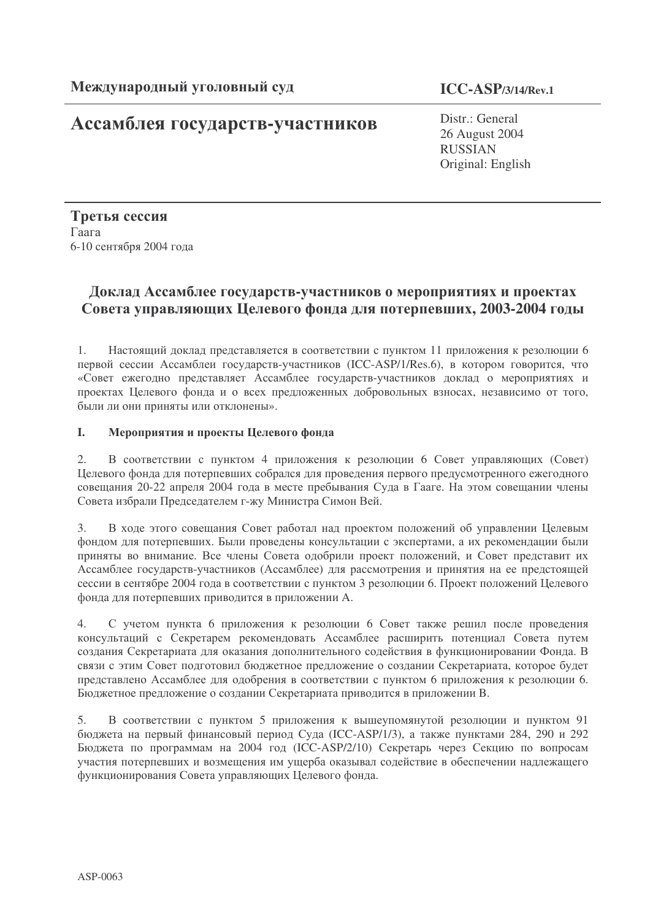# Ассамблея государств-участников

**ICC-ASP/3/14/Rev.1**

Distr.: General 26 August 2004 RUSSIAN Original: English

Третья сессия  $\Gamma$ aara 6-10 сентября 2004 года

# Доклад Ассамблее государств-участников о мероприятиях и проектах Совета управляющих Целевого фонда для потерпевших, 2003-2004 годы

1. Настоящий доклад представляется в соответствии с пунктом 11 приложения к резолюции 6 первой сессии Ассамблеи государств-участников (ICC-ASP/1/Res.6), в котором говорится, что «Совет ежегодно представляет Ассамблее государств-участников доклад о мероприятиях и проектах Целевого фонда и о всех предложенных добровольных взносах, независимо от того, были ли они приняты или отклонены».

## I. Мероприятия и проекты Целевого фонда

2. В соответствии с пунктом 4 приложения к резолюции 6 Совет управляющих (Совет) Целевого фонда для потерпевших собрался для проведения первого предусмотренного ежегодного совещания 20-22 апреля 2004 года в месте пребывания Суда в Гааге. На этом совещании члены Совета избрали Председателем г-жу Министра Симон Вей.

3. В ходе этого совещания Совет работал над проектом положений об управлении Целевым фондом для потерпевших. Были проведены консультации с экспертами, а их рекомендации были приняты во внимание. Все члены Совета одобрили проект положений, и Совет представит их Ассамблее государств-участников (Ассамблее) для рассмотрения и принятия на ее предстоящей сессии в сентябре 2004 года в соответствии с пунктом 3 резолюции 6. Проект положений Целевого фонда для потерпевших приводится в приложении А.

4. С учетом пункта 6 приложения к резолюции 6 Совет также решил после проведения консультаций с Секретарем рекомендовать Ассамблее расширить потенциал Совета путем создания Секретариата для оказания дополнительного содействия в функционировании Фонда. В связи с этим Совет подготовил бюджетное предложение о создании Секретариата, которое будет представлено Ассамблее для одобрения в соответствии с пунктом 6 приложения к резолюции 6. Бюджетное предложение о создании Секретариата приводится в приложении В.

5. В соответствии с пунктом 5 приложения к вышеупомянутой резолюции и пунктом 91 бюджета на первый финансовый период Суда (ICC-ASP/1/3), а также пунктами 284, 290 и 292 Бюджета по программам на 2004 год (ICC-ASP/2/10) Секретарь через Секцию по вопросам участия потерпевших и возмещения им ущерба оказывал содействие в обеспечении надлежащего функционирования Совета управляющих Целевого фонда.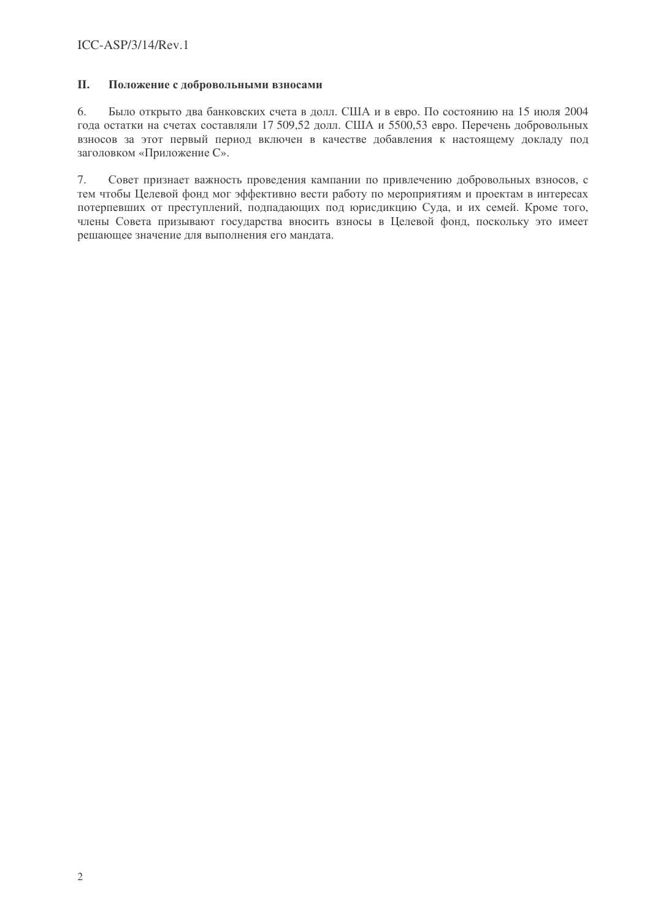#### II. Положение с добровольными взносами

6. Было открыто два банковских счета в долл. США и в евро. По состоянию на 15 июля 2004 года остатки на счетах составляли 17 509,52 долл. США и 5500,53 евро. Перечень добровольных взносов за этот первый период включен в качестве добавления к настоящему докладу под заголовком «Приложение С».

 $7.$ Совет признает важность проведения кампании по привлечению добровольных взносов, с тем чтобы Целевой фонд мог эффективно вести работу по мероприятиям и проектам в интересах потерпевших от преступлений, подпадающих под юрисдикцию Суда, и их семей. Кроме того, члены Совета призывают государства вносить взносы в Целевой фонд, поскольку это имеет решающее значение для выполнения его мандата.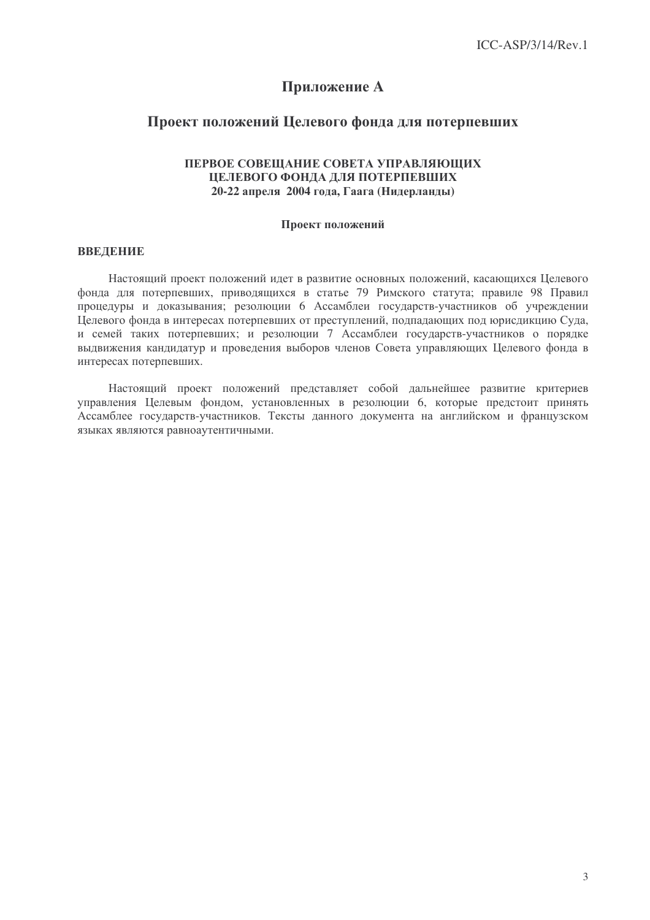## Приложение А

## Проект положений Целевого фонда для потерпевших

## ПЕРВОЕ СОВЕЩАНИЕ СОВЕТА УПРАВЛЯЮЩИХ ПЕЛЕВОГО ФОНЛА ЛЛЯ ПОТЕРПЕВШИХ 20-22 апреля 2004 года, Гаага (Нидерланды)

### Проект положений

### **ВВЕДЕНИЕ**

Настоящий проект положений идет в развитие основных положений, касающихся Целевого фонда для потерпевших, приводящихся в статье 79 Римского статута; правиле 98 Правил процедуры и доказывания: резолюции 6 Ассамблеи государств-участников об учреждении Целевого фонда в интересах потерпевших от преступлений, подпадающих под юрисдикцию Суда, и семей таких потерпевших; и резолюции 7 Ассамблеи государств-участников о порядке выдвижения кандидатур и проведения выборов членов Совета управляющих Целевого фонда в интересах потерпевших.

Настоящий проект положений представляет собой дальнейшее развитие критериев управления Целевым фондом, установленных в резолюции 6, которые предстоит принять Ассамблее государств-участников. Тексты данного документа на английском и французском языках являются равноаутентичными.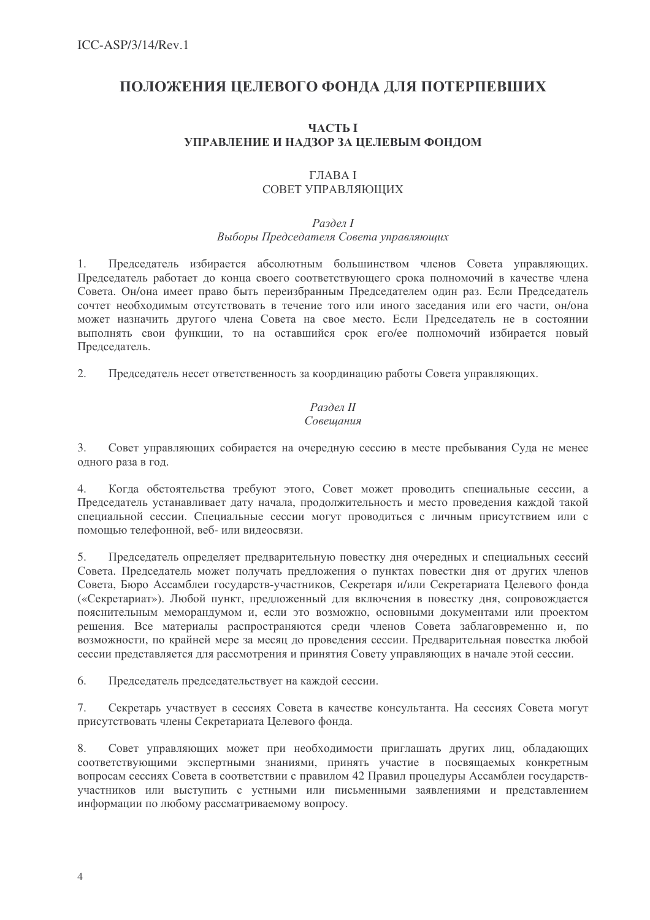## ПОЛОЖЕНИЯ ЦЕЛЕВОГО ФОНДА ДЛЯ ПОТЕРПЕВШИХ

## **ЧАСТЬ І** УПРАВЛЕНИЕ И НАДЗОР ЗА ЦЕЛЕВЫМ ФОНДОМ

## $\Gamma$ **TABAI** СОВЕТ УПРАВЛЯЮЩИХ

## Раздел І Выборы Председателя Совета управляющих

Председатель избирается абсолютным большинством членов Совета управляющих.  $1<sub>1</sub>$ Председатель работает до конца своего соответствующего срока полномочий в качестве члена Совета. Он/она имеет право быть переизбранным Председателем один раз. Если Председатель сочтет необходимым отсутствовать в течение того или иного заседания или его части, он/она может назначить другого члена Совета на свое место. Если Председатель не в состоянии выполнять свои функции, то на оставшийся срок ero/ee полномочий избирается новый Председатель.

 $2.$ Председатель несет ответственность за координацию работы Совета управляющих.

## Раздел II Совещания

Совет управляющих собирается на очередную сессию в месте пребывания Суда не менее  $3.$ одного раза в год.

Когда обстоятельства требуют этого, Совет может проводить специальные сессии, а  $\overline{4}$ Председатель устанавливает дату начала, продолжительность и место проведения каждой такой специальной сессии. Специальные сессии могут проводиться с личным присутствием или с помощью телефонной, веб-или видеосвязи.

 $5<sub>1</sub>$ Председатель определяет предварительную повестку дня очередных и специальных сессий Совета. Председатель может получать предложения о пунктах повестки дня от других членов Совета, Бюро Ассамблеи государств-участников, Секретаря и/или Секретариата Целевого фонда («Секретариат»). Любой пункт, предложенный для включения в повестку дня, сопровождается пояснительным меморандумом и, если это возможно, основными документами или проектом решения. Все материалы распространяются среди членов Совета заблаговременно и, по возможности, по крайней мере за месяц до проведения сессии. Предварительная повестка любой сессии представляется для рассмотрения и принятия Совету управляющих в начале этой сессии.

6. Председатель председательствует на каждой сессии.

7. Секретарь участвует в сессиях Совета в качестве консультанта. На сессиях Совета могут присутствовать члены Секретариата Целевого фонда.

8. Совет управляющих может при необходимости приглашать других лиц, обладающих соответствующими экспертными знаниями, принять участие в посвящаемых конкретным вопросам сессиях Совета в соответствии с правилом 42 Правил процедуры Ассамблеи государствучастников или выступить с устными или письменными заявлениями и представлением информации по любому рассматриваемому вопросу.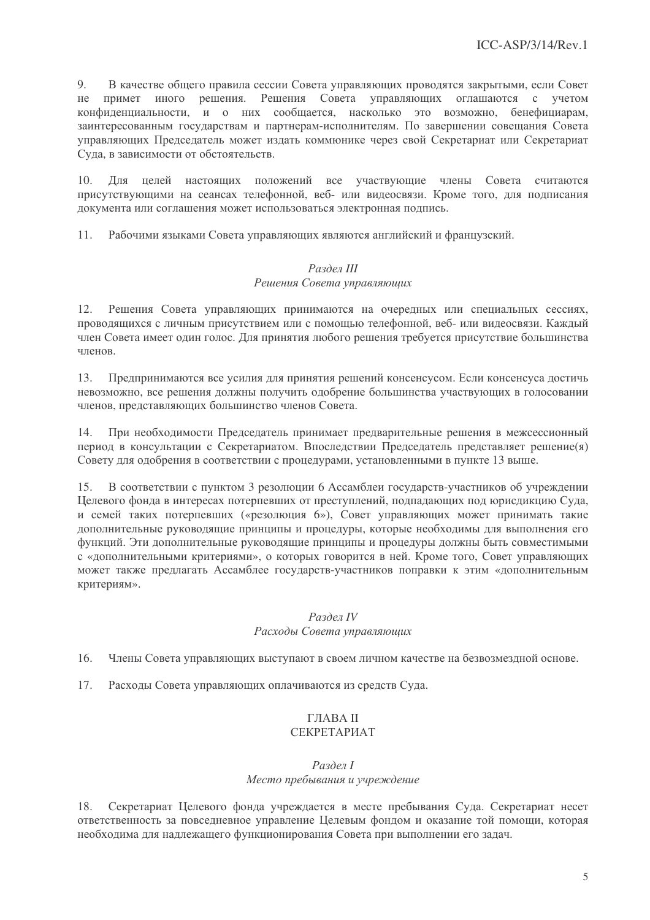9. В качестве общего правила сессии Совета управляющих проводятся закрытыми, если Совет иного решения. Решения Совета управляющих оглашаются  $He$ примет с учетом конфиденциальности, и о них сообщается, насколько это возможно, бенефициарам, заинтересованным государствам и партнерам-исполнителям. По завершении совещания Совета управляющих Председатель может издать коммюнике через свой Секретариат или Секретариат Суда, в зависимости от обстоятельств.

Лля целей настоящих положений все участвующие члены Совета считаются  $10<sub>1</sub>$ присутствующими на сеансах телефонной, веб- или видеосвязи. Кроме того, для подписания документа или соглашения может использоваться электронная подпись.

 $11.$ Рабочими языками Совета управляющих являются английский и французский.

## Раздел III Решения Совета управляющих

 $12.$ Решения Совета управляющих принимаются на очередных или специальных сессиях, проводящихся с личным присутствием или с помощью телефонной, веб- или видеосвязи. Каждый член Совета имеет один голос. Для принятия любого решения требуется присутствие большинства членов.

Предпринимаются все усилия для принятия решений консенсусом. Если консенсуса достичь 13. невозможно, все решения должны получить одобрение большинства участвующих в голосовании членов, представляющих большинство членов Совета.

При необходимости Председатель принимает предварительные решения в межсессионный 14. период в консультации с Секретариатом. Впоследствии Председатель представляет решение(я) Совету для одобрения в соответствии с процедурами, установленными в пункте 13 выше.

 $15.$ В соответствии с пунктом 3 резолюции 6 Ассамблеи государств-участников об учреждении Целевого фонда в интересах потерпевших от преступлений, подпадающих под юрисдикцию Суда, и семей таких потерпевших («резолюция 6»). Совет управляющих может принимать такие дополнительные руководящие принципы и процедуры, которые необходимы для выполнения его функций. Эти дополнительные руководящие принципы и процедуры должны быть совместимыми с «дополнительными критериями», о которых говорится в ней. Кроме того, Совет управляющих может также предлагать Ассамблее государств-участников поправки к этим «дополнительным критериям».

## Раздел IV Расходы Совета управляющих

 $16.$ Члены Совета управляющих выступают в своем личном качестве на безвозмездной основе.

17. Расходы Совета управляющих оплачиваются из средств Суда.

## **ГЛАВА II**

## СЕКРЕТАРИАТ

### Раздел І Место пребывания и учреждение

Секретариат Целевого фонда учреждается в месте пребывания Суда. Секретариат несет 18. ответственность за повседневное управление Целевым фондом и оказание той помощи, которая необходима для надлежащего функционирования Совета при выполнении его задач.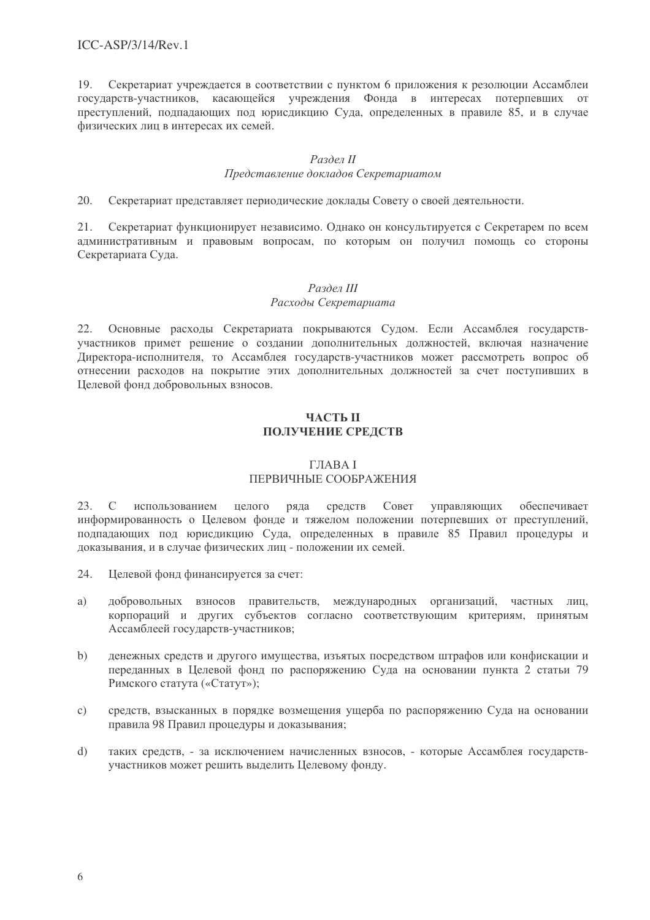19. Секретариат учреждается в соответствии с пунктом 6 приложения к резолюции Ассамблеи государств-участников, касающейся учреждения Фонда в интересах потерпевших от преступлений, подпадающих под юрисдикцию Суда, определенных в правиле 85, и в случае физических лиц в интересах их семей.

## Раздел II

## Представление докладов Секретариатом

 $20<sup>1</sup>$ Секретариат представляет периодические доклады Совету о своей деятельности.

21. Секретариат функционирует независимо. Однако он консультируется с Секретарем по всем административным и правовым вопросам, по которым он получил помощь со стороны Секретариата Суда.

## Раздел III

## Расходы Секретариата

Основные расходы Секретариата покрываются Судом. Если Ассамблея государств- $22.$ участников примет решение о создании дополнительных должностей, включая назначение Директора-исполнителя, то Ассамблея государств-участников может рассмотреть вопрос об отнесении расходов на покрытие этих дополнительных должностей за счет поступивших в Целевой фонд добровольных взносов.

## ЧАСТЬ П ПОЛУЧЕНИЕ СРЕДСТВ

## **ГЛАВА I** ПЕРВИЧНЫЕ СООБРАЖЕНИЯ

С использованием 23. целого ряда средств Совет управляющих обеспечивает информированность о Целевом фонде и тяжелом положении потерпевших от преступлений, подпадающих под юрисдикцию Суда, определенных в правиле 85 Правил процедуры и доказывания, и в случае физических лиц - положении их семей.

- 24. Целевой фонд финансируется за счет:
- a) добровольных взносов правительств, международных организаций, частных лиц, корпораций и других субъектов согласно соответствующим критериям, принятым Ассамблеей государств-участников:
- $b)$ ленежных средств и другого имущества, изъятых посредством штрафов или конфискации и переданных в Целевой фонд по распоряжению Суда на основании пункта 2 статьи 79 Римского статута («Статут»);
- средств, взысканных в порядке возмещения ущерба по распоряжению Суда на основании  $c)$ правила 98 Правил процедуры и доказывания;
- $d)$ таких средств, - за исключением начисленных взносов, - которые Ассамблея государствучастников может решить выделить Целевому фонду.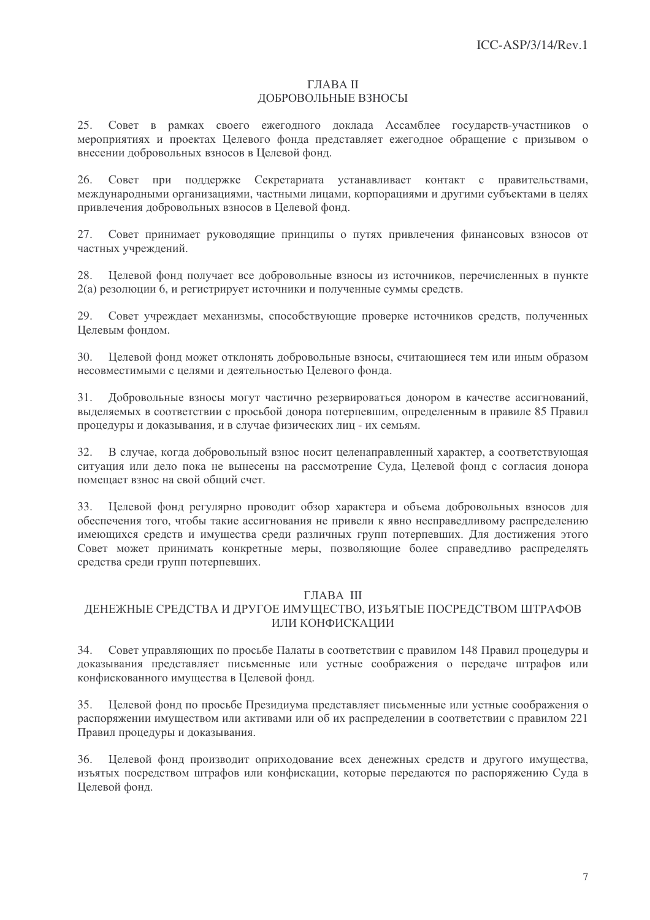### ГЛАВА II ДОБРОВОЛЬНЫЕ ВЗНОСЫ

25. Совет в рамках своего ежегодного доклада Ассамблее государств-участников о мероприятиях и проектах Целевого фонда представляет ежегодное обращение с призывом о внесении добровольных взносов в Целевой фонд.

26. Совет при поддержке Секретариата устанавливает контакт с правительствами, международными организациями, частными лицами, корпорациями и другими субъектами в целях привлечения добровольных взносов в Целевой фонд.

Совет принимает руководящие принципы о путях привлечения финансовых взносов от 27. частных учреждений.

Целевой фонд получает все добровольные взносы из источников, перечисленных в пункте 28. 2(а) резолюции 6, и регистрирует источники и полученные суммы средств.

Совет учреждает механизмы, способствующие проверке источников средств, полученных 29 Целевым фондом.

 $30<sup>2</sup>$ Пелевой фонд может отклонять добровольные взносы, считающиеся тем или иным образом несовместимыми с целями и деятельностью Целевого фонда.

Добровольные взносы могут частично резервироваться донором в качестве ассигнований, 31. выделяемых в соответствии с просьбой донора потерпевшим, определенным в правиле 85 Правил процедуры и доказывания, и в случае физических лиц - их семьям.

32. В случае, когда добровольный взнос носит целенаправленный характер, а соответствующая ситуация или дело пока не вынесены на рассмотрение Суда, Целевой фонд с согласия донора помешает взнос на свой общий счет.

33. Целевой фонд регулярно проводит обзор характера и объема добровольных взносов для обеспечения того, чтобы такие ассигнования не привели к явно несправедливому распределению имеющихся средств и имущества среди различных групп потерпевших. Для достижения этого Совет может принимать конкретные меры, позволяющие более справедливо распределять средства среди групп потерпевших.

## ГЛАВА III

## ЛЕНЕЖНЫЕ СРЕЛСТВА И ЛРУГОЕ ИМУШЕСТВО, ИЗЪЯТЫЕ ПОСРЕЛСТВОМ ШТРАФОВ ИЛИ КОНФИСКАЦИИ

34. Совет управляющих по просьбе Палаты в соответствии с правилом 148 Правил процедуры и доказывания представляет письменные или устные соображения о передаче штрафов или конфискованного имущества в Целевой фонд.

35. Целевой фонд по просьбе Президиума представляет письменные или устные соображения о распоряжении имуществом или активами или об их распределении в соответствии с правилом 221 Правил процедуры и доказывания.

Целевой фонд производит оприходование всех денежных средств и другого имущества, 36. изъятых посредством штрафов или конфискации, которые передаются по распоряжению Суда в Целевой фонд.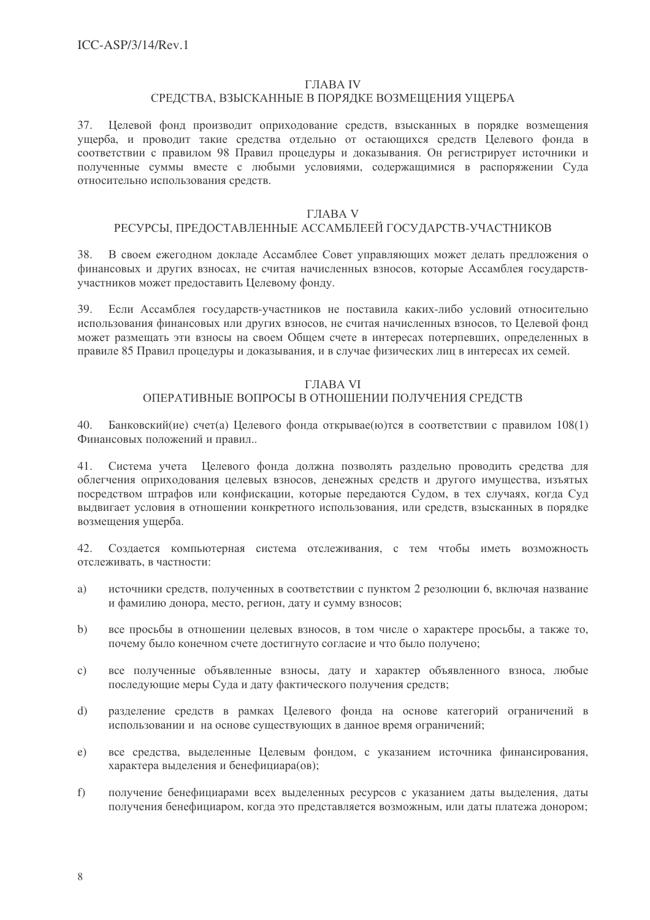#### **ГЛАВА IV**

#### СРЕДСТВА, ВЗЫСКАННЫЕ В ПОРЯДКЕ ВОЗМЕЩЕНИЯ УЩЕРБА

Целевой фонд производит оприходование средств, взысканных в порядке возмещения 37. ущерба, и проводит такие средства отдельно от остающихся средств Целевого фонда в соответствии с правилом 98 Правил процедуры и доказывания. Он регистрирует источники и полученные суммы вместе с любыми условиями, содержащимися в распоряжении Суда относительно использования средств.

### ГЛАВА V

## РЕСУРСЫ, ПРЕДОСТАВЛЕННЫЕ АССАМБЛЕЕЙ ГОСУДАРСТВ-УЧАСТНИКОВ

В своем ежегодном докладе Ассамблее Совет управляющих может делать предложения о 38. финансовых и других взносах, не считая начисленных взносов, которые Ассамблея государствучастников может предоставить Целевому фонду.

Если Ассамблея государств-участников не поставила каких-либо условий относительно 39. использования финансовых или других взносов, не считая начисленных взносов, то Целевой фонд может размещать эти взносы на своем Общем счете в интересах потерпевших, определенных в правиле 85 Правил процедуры и доказывания, и в случае физических лиц в интересах их семей.

#### **ГЛАВА VI**

### ОПЕРАТИВНЫЕ ВОПРОСЫ В ОТНОШЕНИИ ПОЛУЧЕНИЯ СРЕДСТВ

40. Банковский (ие) счет(а) Целевого фонда открывае (ю) тся в соответствии с правилом 108(1) Финансовых положений и правил..

 $41.$ Система учета Целевого фонда должна позволять раздельно проводить средства для облегчения оприходования целевых взносов, денежных средств и другого имущества, изъятых посредством штрафов или конфискации, которые передаются Судом, в тех случаях, когда Суд выдвигает условия в отношении конкретного использования, или средств, взысканных в порядке возмешения ушерба.

 $42<sub>1</sub>$ Создается компьютерная система отслеживания, с тем чтобы иметь возможность отслеживать, в частности:

- a) источники средств, полученных в соответствии с пунктом 2 резолюции 6, включая название и фамилию донора, место, регион, дату и сумму взносов;
- все просьбы в отношении целевых взносов, в том числе о характере просьбы, а также то,  $h)$ почему было конечном счете достигнуто согласие и что было получено;
- все полученные объявленные взносы, дату и характер объявленного взноса, любые  $\mathbf{c})$ последующие меры Суда и дату фактического получения средств;
- $d)$ разделение средств в рамках Целевого фонда на основе категорий ограничений в использовании и на основе существующих в данное время ограничений;
- все средства, выделенные Целевым фондом, с указанием источника финансирования,  $e)$ характера выделения и бенефициара(ов);
- $f$ ) получение бенефициарами всех выделенных ресурсов с указанием даты выделения, даты получения бенефициаром, когда это представляется возможным, или даты платежа донором;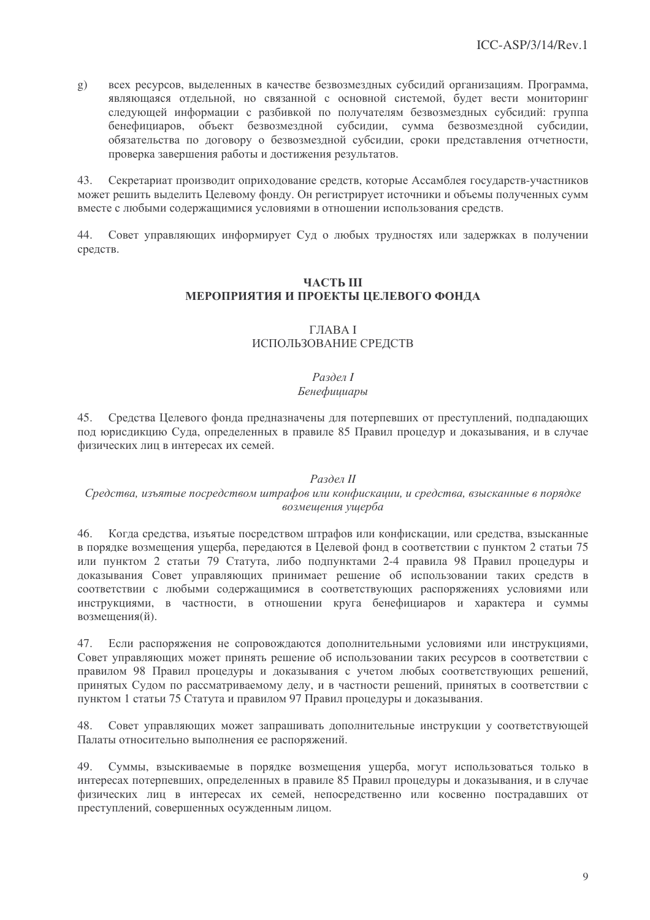всех ресурсов, выделенных в качестве безвозмездных субсидий организациям. Программа,  $g)$ являющаяся отдельной, но связанной с основной системой, будет вести мониторинг следующей информации с разбивкой по получателям безвозмездных субсидий: группа объект безвозмездной субсидии, сумма безвозмездной субсидии, бенефициаров. обязательства по договору о безвозмездной субсидии, сроки представления отчетности, проверка завершения работы и достижения результатов.

Секретариат производит оприходование средств, которые Ассамблея государств-участников 43. может решить выделить Целевому фонду. Он регистрирует источники и объемы полученных сумм вместе с любыми содержащимися условиями в отношении использования средств.

44 Совет управляющих информирует Суд о любых трудностях или задержках в получении средств.

## **ЧАСТЬ III** МЕРОПРИЯТИЯ И ПРОЕКТЫ ЦЕЛЕВОГО ФОНДА

## **ГЛАВА І** ИСПОЛЬЗОВАНИЕ СРЕЛСТВ

### Раздел І Бенефишиары

45. Средства Целевого фонда предназначены для потерпевших от преступлений, подпадающих под юрисдикцию Суда, определенных в правиле 85 Правил процедур и доказывания, и в случае физических лиц в интересах их семей.

## Раздел II

## Средства, изъятые посредством штрафов или конфискации, и средства, взысканные в порядке возмешения ущерба

Когда средства, изъятые посредством штрафов или конфискации, или средства, взысканные 46. в порядке возмещения ущерба, передаются в Целевой фонд в соответствии с пунктом 2 статьи 75 или пунктом 2 статьи 79 Статута, либо подпунктами 2-4 правила 98 Правил процедуры и доказывания Совет управляющих принимает решение об использовании таких средств в соответствии с любыми содержащимися в соответствующих распоряжениях условиями или инструкциями, в частности, в отношении круга бенефициаров и характера и суммы возмешения(й).

47. Если распоряжения не сопровождаются дополнительными условиями или инструкциями, Совет управляющих может принять решение об использовании таких ресурсов в соответствии с правилом 98 Правил процедуры и доказывания с учетом любых соответствующих решений, принятых Судом по рассматриваемому делу, и в частности решений, принятых в соответствии с пунктом 1 статьи 75 Статута и правилом 97 Правил процедуры и доказывания.

Совет управляющих может запрашивать дополнительные инструкции у соответствующей 48 Палаты относительно выполнения ее распоряжений.

Суммы, взыскиваемые в порядке возмешения ушерба, могут использоваться только в 49. интересах потерпевших, определенных в правиле 85 Правил процедуры и доказывания, и в случае физических лиц в интересах их семей, непосредственно или косвенно пострадавших от преступлений, совершенных осужденным лицом.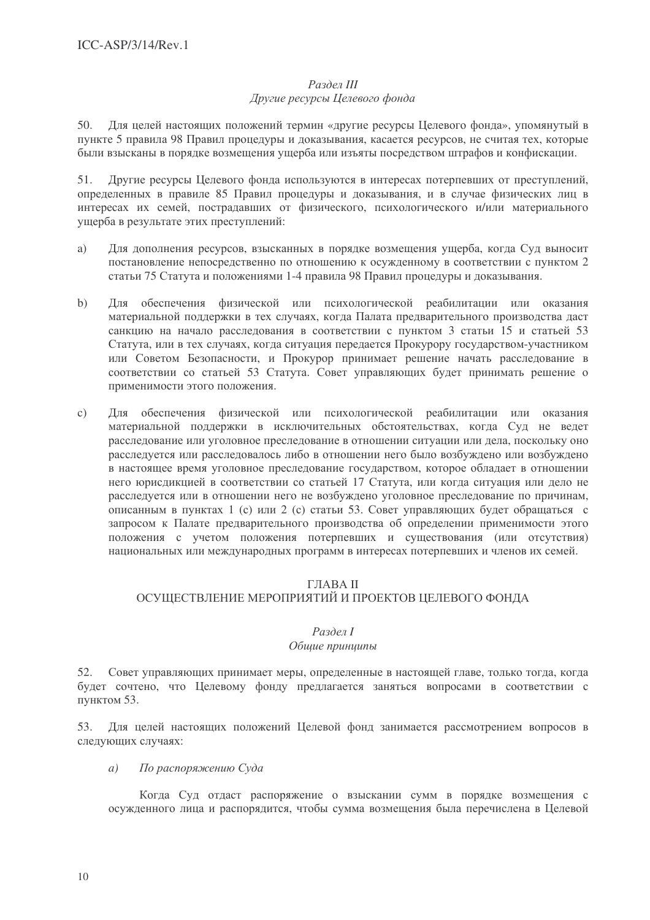# $Pa$ здел III

## Другие ресурсы Целевого фонда

Для целей настоящих положений термин «другие ресурсы Целевого фонда», упомянутый в  $50.$ пункте 5 правила 98 Правил процедуры и доказывания, касается ресурсов, не считая тех, которые были взысканы в порядке возмещения ущерба или изъяты посредством штрафов и конфискации.

 $51.$ Лругие ресурсы Пелевого фонда используются в интересах потерпевших от преступлений, определенных в правиле 85 Правил процедуры и доказывания, и в случае физических лиц в интересах их семей, пострадавших от физического, психологического и/или материального ущерба в результате этих преступлений:

- a) Для дополнения ресурсов, взысканных в порядке возмещения ущерба, когда Суд выносит постановление непосредственно по отношению к осужденному в соответствии с пунктом 2 статьи 75 Статута и положениями 1-4 правила 98 Правил процедуры и доказывания.
- $b)$ Для обеспечения физической или психологической реабилитации или оказания материальной поддержки в тех случаях, когда Палата предварительного производства даст санкцию на начало расследования в соответствии с пунктом 3 статьи 15 и статьей 53 Статута, или в тех случаях, когда ситуация передается Прокурору государством-участником или Советом Безопасности, и Прокурор принимает решение начать расследование в соответствии со статьей 53 Статута. Совет управляющих будет принимать решение о применимости этого положения.
- Для обеспечения физической или психологической реабилитации или оказания  $c)$ материальной поддержки в исключительных обстоятельствах, когда Суд не ведет расследование или уголовное преследование в отношении ситуации или дела, поскольку оно расследуется или расследовалось либо в отношении него было возбуждено или возбуждено в настоящее время уголовное преследование государством, которое обладает в отношении него юрисдикцией в соответствии со статьей 17 Статута, или когда ситуация или дело не расследуется или в отношении него не возбуждено уголовное преследование по причинам, описанным в пунктах 1 (с) или 2 (с) статьи 53. Совет управляющих будет обращаться с запросом к Палате предварительного производства об определении применимости этого положения с учетом положения потерпевших и существования (или отсутствия) национальных или международных программ в интересах потерпевших и членов их семей.

## ГЛАВА II

## ОСУЩЕСТВЛЕНИЕ МЕРОПРИЯТИЙ И ПРОЕКТОВ ЦЕЛЕВОГО ФОНДА

## Раздел І

## Общие принципы

Совет управляющих принимает меры, определенные в настоящей главе, только тогда, когда 52. будет сочтено, что Целевому фонду предлагается заняться вопросами в соответствии с пунктом 53.

53. Лля целей настоящих положений Целевой фонд занимается рассмотрением вопросов в следующих случаях:

По распоряжению Суда  $\overline{a}$ )

Когда Суд отдаст распоряжение о взыскании сумм в порядке возмещения с осужденного лица и распорядится, чтобы сумма возмещения была перечислена в Целевой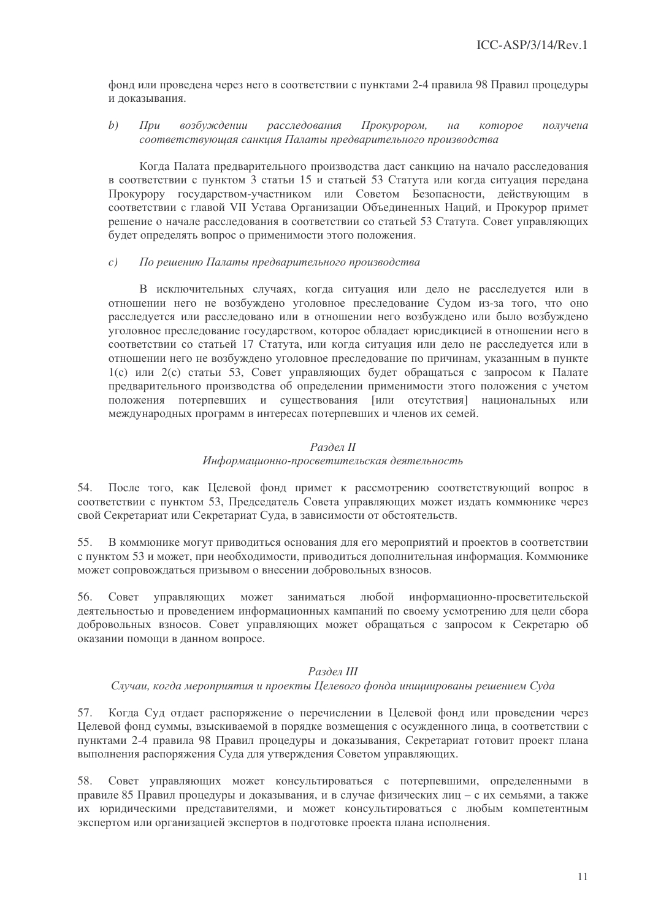фонд или проведена через него в соответствии с пунктами 2-4 правила 98 Правил процедуры и локазывания.

#### $b)$  $\prod$ pu возбуждении расследования Прокурором, которое получена  $Ha$ соответствующая санкция Палаты предварительного производства

Когда Палата предварительного производства даст санкцию на начало расследования в соответствии с пунктом 3 статьи 15 и статьей 53 Статута или когда ситуация передана Прокурору государством-участником или Советом Безопасности, действующим в соответствии с главой VII Устава Организации Объединенных Наций, и Прокурор примет решение о начале расследования в соответствии со статьей 53 Статута. Совет управляющих будет определять вопрос о применимости этого положения.

#### $c)$ По решению Палаты предварительного производства

В исключительных случаях, когда ситуация или дело не расследуется или в отношении него не возбуждено уголовное преследование Судом из-за того, что оно расследуется или расследовано или в отношении него возбуждено или было возбуждено уголовное преследование государством, которое обладает юрисликцией в отношении него в соответствии со статьей 17 Статута, или когда ситуация или дело не расследуется или в отношении него не возбуждено уголовное преследование по причинам, указанным в пункте 1(с) или 2(с) статьи 53, Совет управляющих будет обращаться с запросом к Палате предварительного производства об определении применимости этого положения с учетом положения потерпевших и существования [или отсутствия] национальных или международных программ в интересах потерпевших и членов их семей.

## Раздел II

## Информационно-просветительская деятельность

54. После того, как Целевой фонд примет к рассмотрению соответствующий вопрос в соответствии с пунктом 53, Председатель Совета управляющих может издать коммюнике через свой Секретариат или Секретариат Суда, в зависимости от обстоятельств.

55. В коммюнике могут приводиться основания для его мероприятий и проектов в соответствии с пунктом 53 и может, при необходимости, приводиться дополнительная информация. Коммюнике может сопровождаться призывом о внесении добровольных взносов.

56. информационно-просветительской Совет управляющих может заниматься любой деятельностью и проведением информационных кампаний по своему усмотрению для цели сбора добровольных взносов. Совет управляющих может обращаться с запросом к Секретарю об оказании помощи в данном вопросе.

## Раздел III

## Случаи, когда мероприятия и проекты Целевого фонда инициированы решением Суда

57. Когда Суд отдает распоряжение о перечислении в Целевой фонд или проведении через Пелевой фонд суммы, взыскиваемой в порядке возмещения с осужденного лица, в соответствии с пунктами 2-4 правила 98 Правил процедуры и доказывания, Секретариат готовит проект плана выполнения распоряжения Суда для утверждения Советом управляющих.

58. Совет управляющих может консультироваться с потерпевшими, определенными в правиле 85 Правил процедуры и доказывания, и в случае физических лиц - с их семьями, а также их юридическими представителями, и может консультироваться с любым компетентным экспертом или организацией экспертов в подготовке проекта плана исполнения.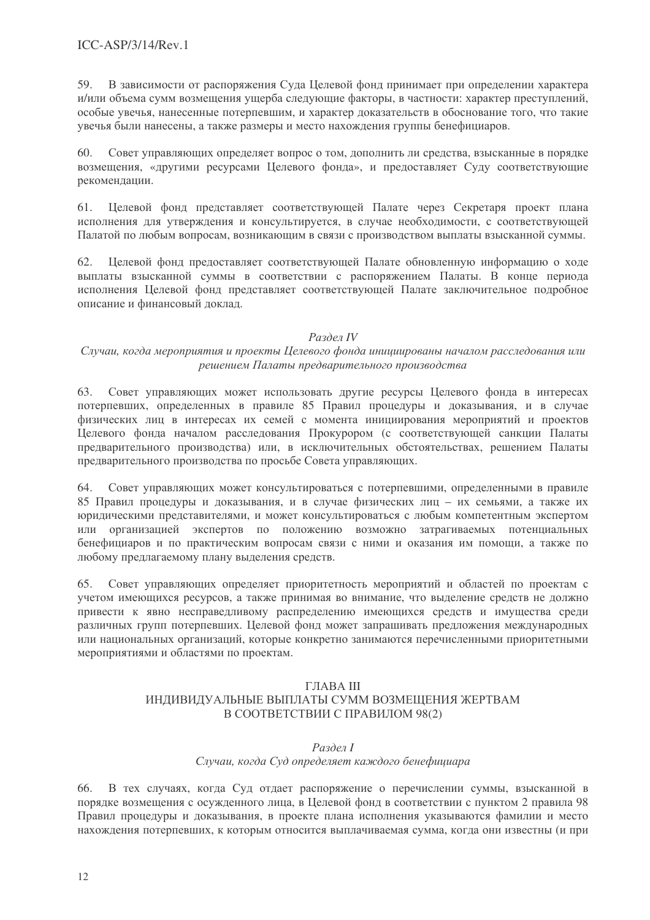В зависимости от распоряжения Суда Целевой фонд принимает при определении характера 59. и/или объема сумм возмещения ущерба следующие факторы, в частности: характер преступлений, особые увечья, нанесенные потерпевшим, и характер доказательств в обоснование того, что такие увечья были нанесены, а также размеры и место нахождения группы бенефициаров.

Совет управляющих определяет вопрос о том, дополнить ли средства, взысканные в порядке  $60.$ возмещения, «другими ресурсами Целевого фонда», и предоставляет Суду соответствующие рекомендации.

61. Целевой фонд представляет соответствующей Палате через Секретаря проект плана исполнения для утверждения и консультируется, в случае необходимости, с соответствующей Палатой по любым вопросам, возникающим в связи с производством выплаты взысканной суммы.

62. Целевой фонд предоставляет соответствующей Палате обновленную информацию о ходе выплаты взысканной суммы в соответствии с распоряжением Палаты. В конце периода исполнения Целевой фонд представляет соответствующей Палате заключительное подробное описание и финансовый доклад.

## Раздел IV

## Случаи, когда мероприятия и проекты Целевого фонда инициированы началом расследования или решением Палаты предварительного производства

Совет управляющих может использовать другие ресурсы Целевого фонда в интересах 63. потерпевших, определенных в правиле 85 Правил процедуры и доказывания, и в случае физических лиц в интересах их семей с момента инициирования мероприятий и проектов Целевого фонда началом расследования Прокурором (с соответствующей санкции Палаты предварительного производства) или, в исключительных обстоятельствах, решением Палаты предварительного производства по просьбе Совета управляющих.

64. Совет управляющих может консультироваться с потерпевшими, определенными в правиле 85 Правил процедуры и доказывания, и в случае физических лиц - их семьями, а также их юридическими представителями, и может консультироваться с любым компетентным экспертом или организацией экспертов по положению возможно затрагиваемых потенциальных бенефициаров и по практическим вопросам связи с ними и оказания им помощи, а также по любому предлагаемому плану выделения средств.

Совет управляющих определяет приоритетность мероприятий и областей по проектам с 65. учетом имеющихся ресурсов, а также принимая во внимание, что выделение средств не должно привести к явно несправедливому распределению имеющихся средств и имущества среди различных групп потерпевших. Целевой фонд может запрашивать предложения международных или национальных организаций, которые конкретно занимаются перечисленными приоритетными мероприятиями и областями по проектам.

## ГЛАВА III ИНЛИВИЛУАЛЬНЫЕ ВЫПЛАТЫ СУММ ВОЗМЕШЕНИЯ ЖЕРТВАМ В СООТВЕТСТВИИ С ПРАВИЛОМ 98(2)

### Раздел І

## Случаи, когда Суд определяет каждого бенефициара

В тех случаях, когда Суд отдает распоряжение о перечислении суммы, взысканной в 66. порядке возмещения с осужденного лица, в Целевой фонд в соответствии с пунктом 2 правила 98 Правил процедуры и доказывания, в проекте плана исполнения указываются фамилии и место нахождения потерпевших, к которым относится выплачиваемая сумма, когда они известны (и при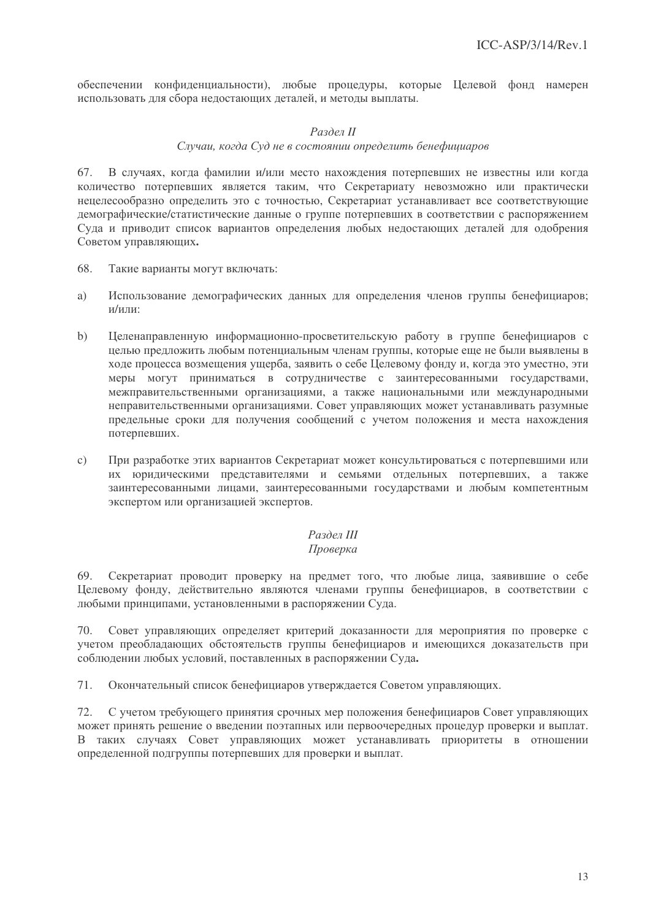обеспечении конфиденциальности), любые процедуры, которые Целевой фонд намерен использовать для сбора недостающих деталей, и методы выплаты.

## Раздел II

## Случаи, когда Суд не в состоянии определить бенефициаров

В случаях, когда фамилии и/или место нахождения потерпевших не известны или когда 67. количество потерпевших является таким, что Секретариату невозможно или практически нецелесообразно определить это с точностью, Секретариат устанавливает все соответствующие демографические/статистические данные о группе потерпевших в соответствии с распоряжением Суда и приводит список вариантов определения любых недостающих деталей для одобрения Советом управляющих.

- 68. Такие варианты могут включать:
- a) Использование демографических данных для определения членов группы бенефициаров; и/или:
- $b)$ Целенаправленную информационно-просветительскую работу в группе бенефициаров с целью предложить любым потенциальным членам группы, которые еще не были выявлены в ходе процесса возмещения ущерба, заявить о себе Целевому фонду и, когда это уместно, эти меры могут приниматься в сотрудничестве с заинтересованными государствами, межправительственными организациями, а также национальными или международными неправительственными организациями. Совет управляющих может устанавливать разумные предельные сроки для получения сообщений с учетом положения и места нахождения потерпевших.
- $\mathcal{C}$ ) При разработке этих вариантов Секретариат может консультироваться с потерпевшими или их юрилическими прелставителями и семьями отдельных потерпевших, а также заинтересованными лицами, заинтересованными государствами и любым компетентным экспертом или организацией экспертов.

## Раздел III

## Проверка

Секретариат проводит проверку на предмет того, что любые лица, заявившие о себе 69. Целевому фонду, действительно являются членами группы бенефициаров, в соответствии с любыми принципами, установленными в распоряжении Суда.

70 Совет управляющих определяет критерий доказанности для мероприятия по проверке с учетом преобладающих обстоятельств группы бенефициаров и имеющихся доказательств при соблюдении любых условий, поставленных в распоряжении Суда.

71. Окончательный список бенефициаров утверждается Советом управляющих.

С учетом требующего принятия срочных мер положения бенефициаров Совет управляющих 72. может принять решение о введении поэтапных или первоочередных процедур проверки и выплат. В таких случаях Совет управляющих может устанавливать приоритеты в отношении определенной подгруппы потерпевших для проверки и выплат.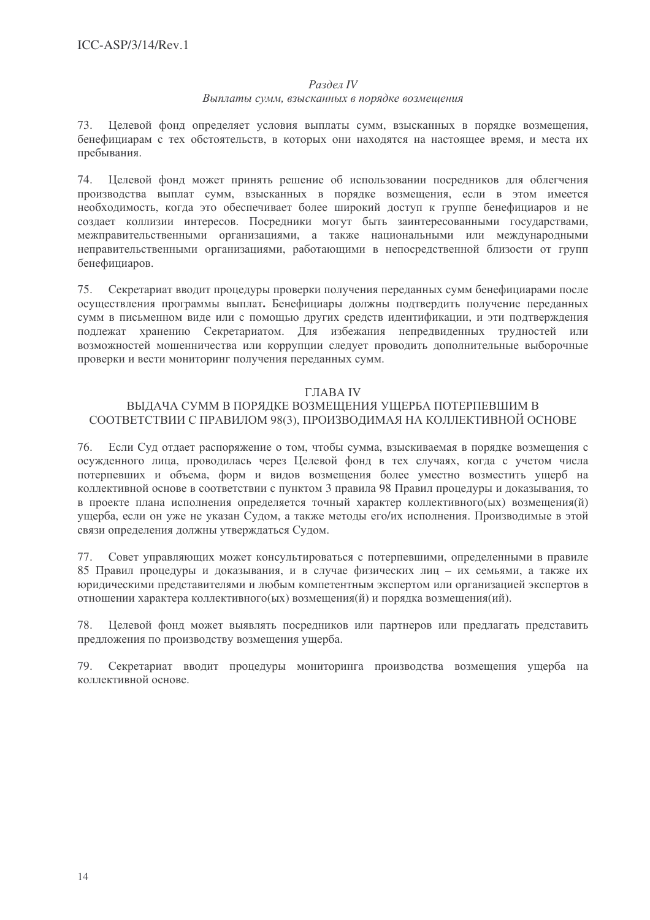## Раздел IV

## Выплаты сумм, взысканных в порядке возмещения

73. Целевой фонд определяет условия выплаты сумм, взысканных в порядке возмещения, бенефициарам с тех обстоятельств, в которых они находятся на настоящее время, и места их пребывания.

Целевой фонд может принять решение об использовании посредников для облегчения 74. производства выплат сумм, взысканных в порядке возмешения, если в этом имеется необходимость, когда это обеспечивает более широкий доступ к группе бенефициаров и не создает коллизии интересов. Посредники могут быть заинтересованными государствами, межправительственными организациями, а также национальными или международными неправительственными организациями, работающими в непосредственной близости от групп бенефициаров.

75. Секретариат вводит процедуры проверки получения переданных сумм бенефициарами после осуществления программы выплат. Бенефициары должны подтвердить получение переданных сумм в письменном виде или с помошью других средств идентификации, и эти подтверждения подлежат хранению Секретариатом. Для избежания непредвиденных трудностей или возможностей мошенничества или коррупции следует проводить дополнительные выборочные проверки и вести мониторинг получения переданных сумм.

## ГЛАВА IV

## ВЫДАЧА СУММ В ПОРЯДКЕ ВОЗМЕЩЕНИЯ УЩЕРБА ПОТЕРПЕВШИМ В СООТВЕТСТВИИ С ПРАВИЛОМ 98(3), ПРОИЗВОДИМАЯ НА КОЛЛЕКТИВНОЙ ОСНОВЕ

76. Если Суд отдает распоряжение о том, чтобы сумма, взыскиваемая в порядке возмещения с осужденного лица, проводилась через Целевой фонд в тех случаях, когда с учетом числа потерпевших и объема, форм и видов возмещения более уместно возместить ущерб на коллективной основе в соответствии с пунктом 3 правила 98 Правил процедуры и доказывания, то в проекте плана исполнения определяется точный характер коллективного(ых) возмещения(й) ущерба, если он уже не указан Судом, а также методы его/их исполнения. Производимые в этой связи определения должны утверждаться Судом.

Совет управляющих может консультироваться с потерпевшими, определенными в правиле 77. 85 Правил процедуры и доказывания, и в случае физических лиц - их семьями, а также их юридическими представителями и любым компетентным экспертом или организацией экспертов в отношении характера коллективного(ых) возмещения(й) и порядка возмещения(ий).

Целевой фонд может выявлять посредников или партнеров или предлагать представить 78. предложения по производству возмещения ущерба.

Секретариат вводит процедуры мониторинга производства возмещения ущерба на 79. коллективной основе.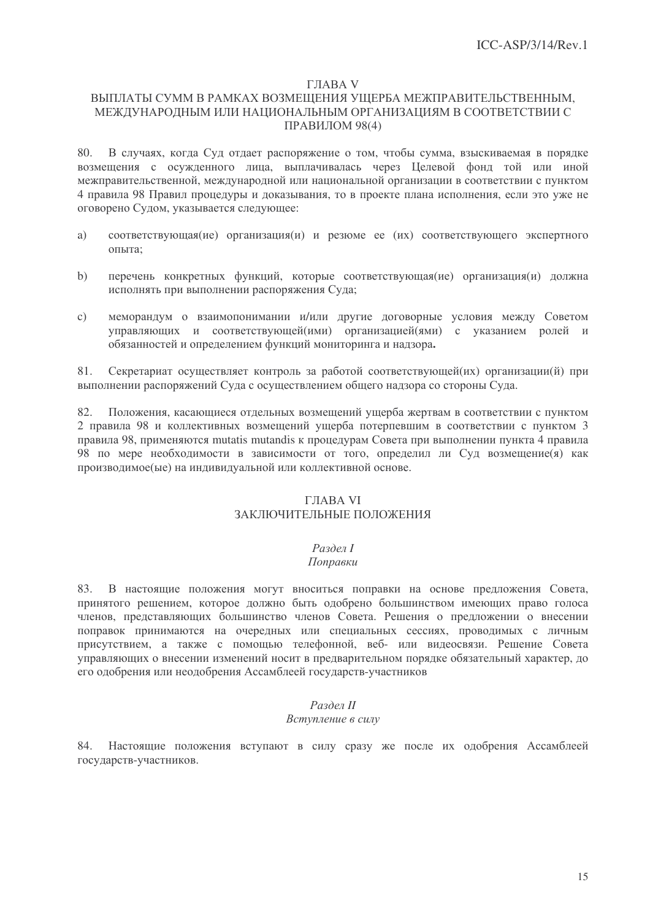## **ГЛАВА V**

## ВЫПЛАТЫ СУММ В РАМКАХ ВОЗМЕЩЕНИЯ УЩЕРБА МЕЖПРАВИТЕЛЬСТВЕННЫМ, МЕЖДУНАРОДНЫМ ИЛИ НАЦИОНАЛЬНЫМ ОРГАНИЗАЦИЯМ В СООТВЕТСТВИИ С ПРАВИЛОМ 98(4)

В случаях, когда Суд отдает распоряжение о том, чтобы сумма, взыскиваемая в порядке 80. возмещения с осужденного лица, выплачивалась через Целевой фонд той или иной межправительственной, межлународной или национальной организации в соответствии с пунктом 4 правила 98 Правил процедуры и доказывания, то в проекте плана исполнения, если это уже не оговорено Судом, указывается следующее:

- $\alpha$ оответствующая(ие) организация(и) и резюме ее (их) соответствующего экспертного a) ОПЫТА:
- $b)$ перечень конкретных функций, которые соответствующая(ие) организация(и) должна исполнять при выполнении распоряжения Суда;
- меморандум о взаимопонимании и/или другие договорные условия между Советом  $\mathbf{c})$ управляющих и соответствующей(ими) организацией(ями) с указанием ролей и обязанностей и определением функций мониторинга и надзора.

81. Секретариат осуществляет контроль за работой соответствующей (их) организации (й) при выполнении распоряжений Суда с осуществлением общего надзора со стороны Суда.

Положения, касающиеся отдельных возмещений ущерба жертвам в соответствии с пунктом 82. 2 правила 98 и коллективных возмещений ущерба потерпевшим в соответствии с пунктом 3 правила 98, применяются mutatis mutandis к процедурам Совета при выполнении пункта 4 правила 98 по мере необходимости в зависимости от того, определил ли Суд возмещение(я) как производимое(ые) на индивидуальной или коллективной основе.

## *THABA VI* ЗАКЛЮЧИТЕЛЬНЫЕ ПОЛОЖЕНИЯ

## Раздел І

#### Поправки

83. В настоящие положения могут вноситься поправки на основе предложения Совета, принятого решением, которое должно быть одобрено большинством имеющих право голоса членов, представляющих большинство членов Совета. Решения о предложении о внесении поправок принимаются на очередных или специальных сессиях, проводимых с личным присутствием, а также с помощью телефонной, веб- или видеосвязи. Решение Совета управляющих о внесении изменений носит в предварительном порядке обязательный характер, до его одобрения или неодобрения Ассамблеей государств-участников

## Раздел II

## Вступление в силу

84. Настоящие положения вступают в силу сразу же после их одобрения Ассамблеей государств-участников.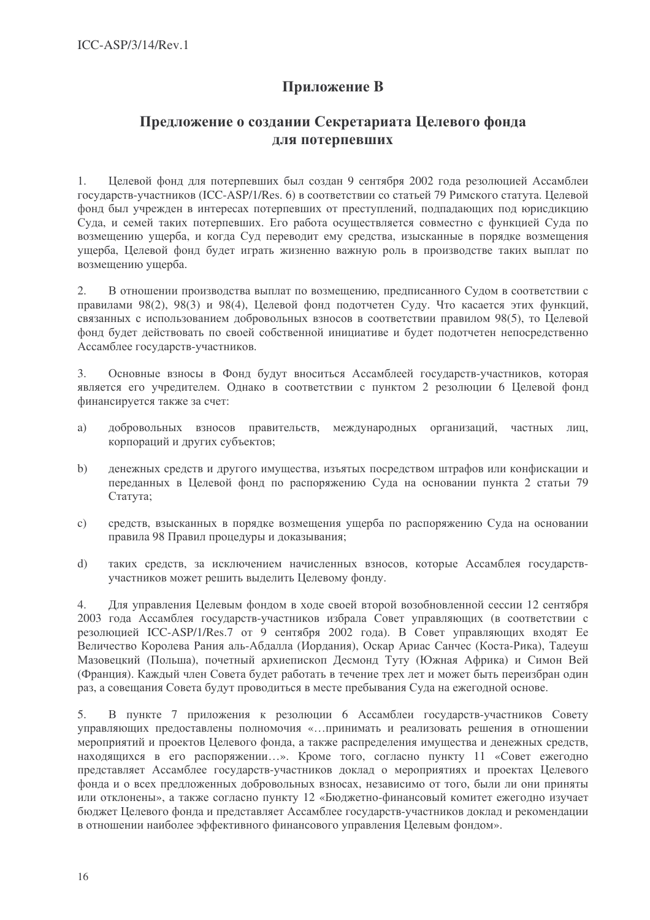# Приложение В

## Предложение о создании Секретариата Целевого фонда лля потерпевших

 $1.$ Целевой фонд для потерпевших был создан 9 сентября 2002 года резолюцией Ассамблеи государств-участников (ICC-ASP/1/Res. 6) в соответствии со статьей 79 Римского статута. Целевой фонд был учрежден в интересах потерпевших от преступлений, подпадающих под юрисдикцию Суда, и семей таких потерпевших. Его работа осуществляется совместно с функцией Суда по возмешению ушерба, и когда Суд переводит ему средства, изысканные в порядке возмешения ущерба, Целевой фонд будет играть жизненно важную роль в производстве таких выплат по возмещению ущерба.

В отношении производства выплат по возмещению, предписанного Судом в соответствии с 2. правилами 98(2), 98(3) и 98(4), Целевой фонд подотчетен Суду. Что касается этих функций, связанных с использованием добровольных взносов в соответствии правилом 98(5), то Целевой фонд будет действовать по своей собственной инициативе и будет подотчетен непосредственно Ассамблее государств-участников.

 $\overline{3}$ . Основные взносы в Фонд будут вноситься Ассамблеей государств-участников, которая является его учредителем. Однако в соответствии с пунктом 2 резолюции 6 Целевой фонд финансируется также за счет:

- a) добровольных взносов правительств, международных организаций, частных лиц, корпораций и других субъектов;
- денежных средств и другого имущества, изъятых посредством штрафов или конфискации и  $\mathbf{b}$ переданных в Целевой фонд по распоряжению Суда на основании пункта 2 статьи 79 Статута;
- средств, взысканных в порядке возмешения ушерба по распоряжению Суда на основании  $\mathcal{C}$ ) правила 98 Правил процедуры и доказывания:
- таких средств, за исключением начисленных взносов, которые Ассамблея государств $d)$ участников может решить выделить Целевому фонду.

Для управления Целевым фондом в ходе своей второй возобновленной сессии 12 сентября  $\overline{4}$ . 2003 года Ассамблея государств-участников избрала Совет управляющих (в соответствии с резолюцией ICC-ASP/1/Res.7 от 9 сентября 2002 года). В Совет управляющих входят Ее Величество Королева Рания аль-Абдалла (Иордания), Оскар Ариас Санчес (Коста-Рика), Тадеуш Мазовецкий (Польша), почетный архиепископ Десмонд Туту (Южная Африка) и Симон Вей (Франция). Каждый член Совета будет работать в течение трех лет и может быть переизбран один раз, а совещания Совета будут проводиться в месте пребывания Суда на ежегодной основе.

 $5<sub>1</sub>$ В пункте 7 приложения к резолюции 6 Ассамблеи государств-участников Совету управляющих предоставлены полномочия «... принимать и реализовать решения в отношении мероприятий и проектов Целевого фонда, а также распределения имущества и денежных средств, находящихся в его распоряжении...». Кроме того, согласно пункту 11 «Совет ежегодно представляет Ассамблее государств-участников доклад о мероприятиях и проектах Целевого фонла и о всех предложенных добровольных взносах, независимо от того, были ли они приняты или отклонены», а также согласно пункту 12 «Бюджетно-финансовый комитет ежегодно изучает бюджет Целевого фонда и представляет Ассамблее государств-участников доклад и рекомендации в отношении наиболее эффективного финансового управления Целевым фондом».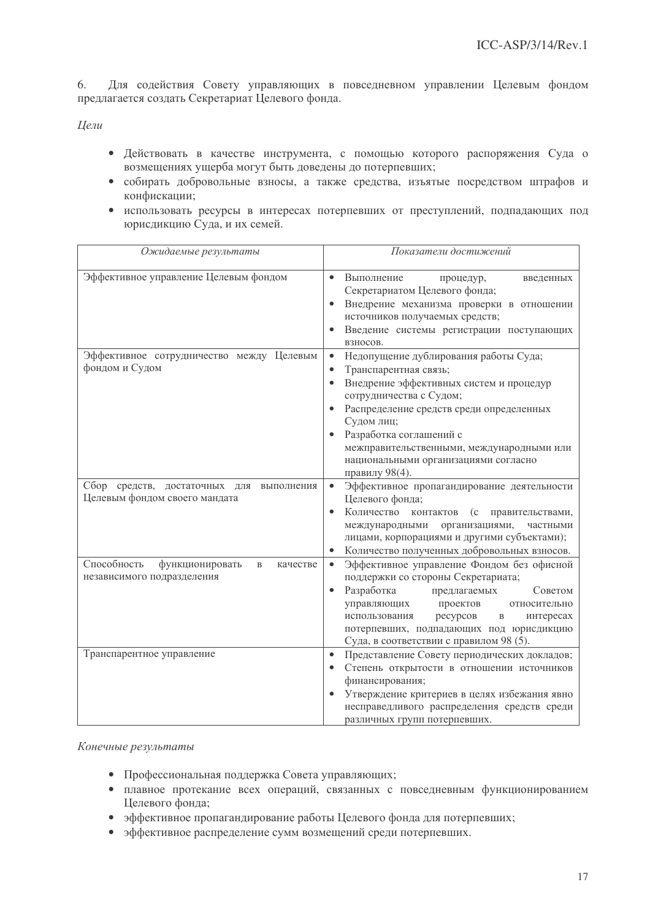$6.$ Для содействия Совету управляющих в повседневном управлении Целевым фондом предлагается создать Секретариат Целевого фонда.

Цели

- Действовать в качестве инструмента, с помощью которого распоряжения Суда о возмещениях ущерба могут быть доведены до потерпевших;
- собирать добровольные взносы, а также средства, изъятые посредством штрафов и конфискации;
- использовать ресурсы в интересах потерпевших от преступлений, подпадающих под юрисдикцию Суда, и их семей.

| Ожидаемые результаты                                                                    | Показатели достижений                                                                                                                                                                                                                                                                                                                         |
|-----------------------------------------------------------------------------------------|-----------------------------------------------------------------------------------------------------------------------------------------------------------------------------------------------------------------------------------------------------------------------------------------------------------------------------------------------|
| Эффективное управление Целевым фондом                                                   | Выполнение<br>процедур,<br>введенных<br>Секретариатом Целевого фонда;<br>Внедрение механизма проверки в отношении<br>источников получаемых средств;<br>Введение системы регистрации поступающих<br>взносов.                                                                                                                                   |
| Эффективное сотрудничество между Целевым<br>фондом и Судом                              | Недопущение дублирования работы Суда;<br>$\bullet$<br>Транспарентная связь;<br>Внедрение эффективных систем и процедур<br>сотрудничества с Судом;<br>Распределение средств среди определенных<br>Судом лиц;<br>Разработка соглашений с<br>межправительственными, международными или<br>национальными организациями согласно<br>правилу 98(4). |
| Сбор средств, достаточных<br>ДЛЯ<br>выполнения<br>Целевым фондом своего мандата         | Эффективное пропагандирование деятельности<br>Целевого фонда;<br>Количество<br>контактов<br>(c)<br>правительствами,<br>международными<br>организациями,<br>частными<br>лицами, корпорациями и другими субъектами);<br>Количество полученных добровольных взносов.                                                                             |
| Способность<br>функционировать<br>$\mathbf B$<br>качестве<br>независимого подразделения | Эффективное управление Фондом без офисной<br>поддержки со стороны Секретариата;<br>Разработка<br>предлагаемых<br>Советом<br>управляющих<br>проектов<br>относительно<br>использования<br>ресурсов<br>$\, {\bf B}$<br>интересах<br>потерпевших, подпадающих под юрисдикцию<br>Суда, в соответствии с правилом 98 (5).                           |
| Транспарентное управление                                                               | Представление Совету периодических докладов;<br>Степень открытости в отношении источников<br>финансирования;<br>Утверждение критериев в целях избежания явно<br>несправедливого распределения средств среди<br>различных групп потерпевших.                                                                                                   |

#### Конечные результаты

- Профессиональная поддержка Совета управляющих;
- плавное протекание всех операций, связанных с повседневным функционированием Целевого фонда;
- эффективное пропагандирование работы Целевого фонда для потерпевших;
- эффективное распределение сумм возмещений среди потерпевших.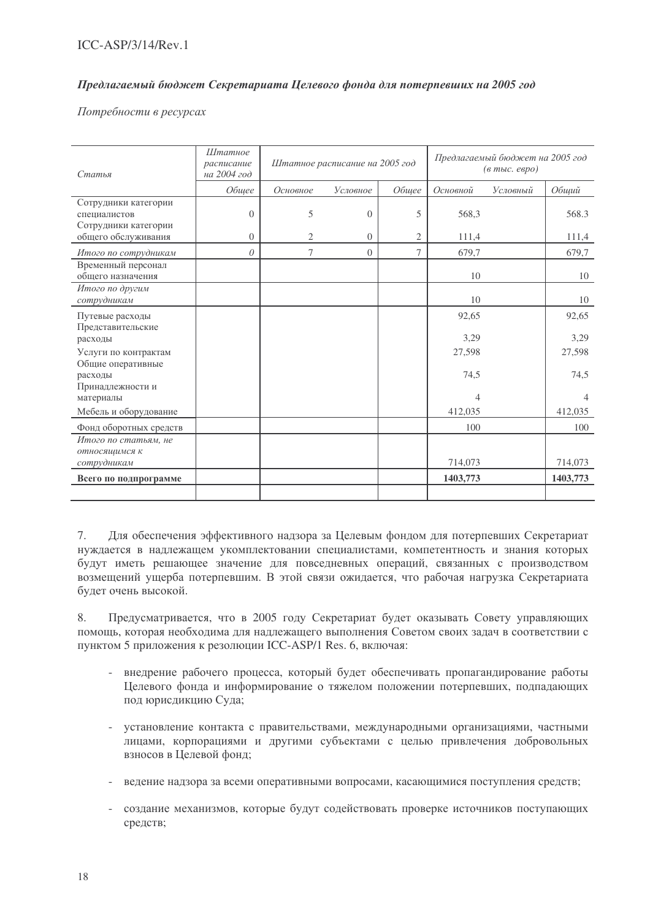## Предлагаемый бюджет Секретариата Целевого фонда для потерпевших на 2005 год

Потребности в ресурсах

| Статья                                                       | <b>Штатное</b><br>расписание<br>на 2004 год | Штатное расписание на 2005 год |          | Предлагаемый бюджет на 2005 год<br>$(a \text{ mol.} \text{ espo})$ |                |          |                |
|--------------------------------------------------------------|---------------------------------------------|--------------------------------|----------|--------------------------------------------------------------------|----------------|----------|----------------|
|                                                              | Общее                                       | Основное                       | Условное | Общее                                                              | Основной       | Условный | Общий          |
| Сотрудники категории<br>специалистов<br>Сотрудники категории | $\Omega$                                    | 5                              | $\Omega$ | 5                                                                  | 568,3          |          | 568.3          |
| общего обслуживания                                          | $\Omega$                                    | 2                              | $\theta$ | $\overline{2}$                                                     | 111,4          |          | 111,4          |
| Итого по сотрудникам                                         | $\theta$                                    | 7                              | $\theta$ | $\overline{7}$                                                     | 679,7          |          | 679,7          |
| Временный персонал<br>общего назначения                      |                                             |                                |          |                                                                    | 10             |          | 10             |
| Итого по другим<br>сотрудникам                               |                                             |                                |          |                                                                    | 10             |          | 10             |
| Путевые расходы<br>Представительские                         |                                             |                                |          |                                                                    | 92,65          |          | 92,65          |
| расходы<br>Услуги по контрактам<br>Общие оперативные         |                                             |                                |          |                                                                    | 3,29<br>27,598 |          | 3,29<br>27,598 |
| расходы<br>Принадлежности и                                  |                                             |                                |          |                                                                    | 74,5           |          | 74,5           |
| материалы                                                    |                                             |                                |          |                                                                    | 4              |          | $\overline{4}$ |
| Мебель и оборудование                                        |                                             |                                |          |                                                                    | 412,035        |          | 412,035        |
| Фонд оборотных средств                                       |                                             |                                |          |                                                                    | 100            |          | 100            |
| Итого по статьям, не<br>относящимся к                        |                                             |                                |          |                                                                    |                |          |                |
| сотрудникам                                                  |                                             |                                |          |                                                                    | 714,073        |          | 714,073        |
| Всего по подпрограмме                                        |                                             |                                |          |                                                                    | 1403,773       |          | 1403,773       |

7. Для обеспечения эффективного надзора за Целевым фондом для потерпевших Секретариат нуждается в надлежащем укомплектовании специалистами, компетентность и знания которых будут иметь решающее значение для повседневных операций, связанных с производством возмещений ущерба потерпевшим. В этой связи ожидается, что рабочая нагрузка Секретариата будет очень высокой.

8. Предусматривается, что в 2005 году Секретариат будет оказывать Совету управляющих помощь, которая необходима для надлежащего выполнения Советом своих задач в соответствии с пунктом 5 приложения к резолюции ICC-ASP/1 Res. 6, включая:

- внедрение рабочего процесса, который будет обеспечивать пропагандирование работы Целевого фонда и информирование о тяжелом положении потерпевших, подпадающих под юрисдикцию Суда;
- установление контакта с правительствами, международными организациями, частными лицами, корпорациями и другими субъектами с целью привлечения добровольных взносов в Целевой фонд;
- ведение надзора за всеми оперативными вопросами, касающимися поступления средств;
- создание механизмов, которые будут содействовать проверке источников поступающих средств;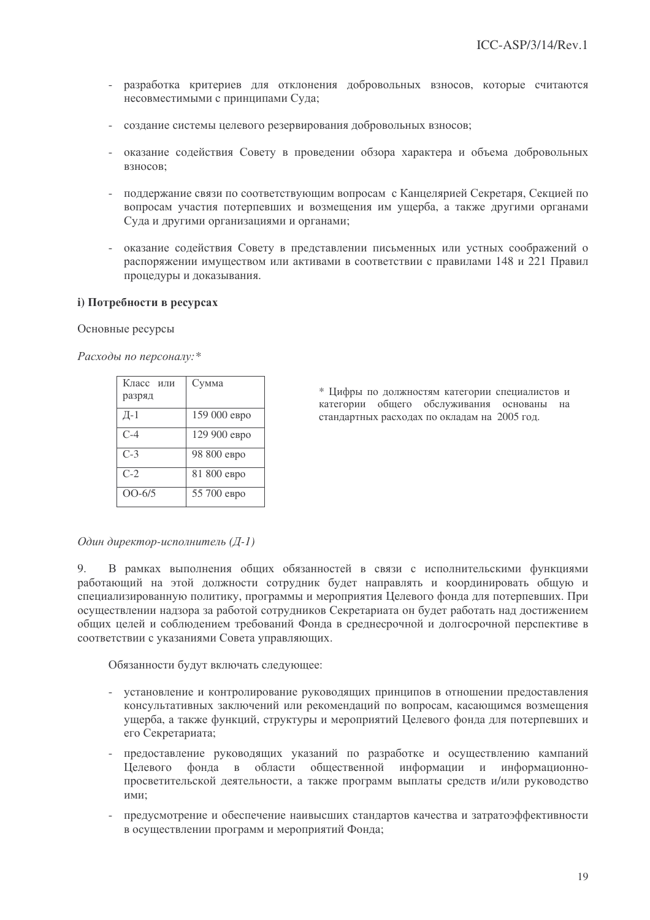- разработка критериев для отклонения добровольных взносов, которые считаются  $\mathcal{L}^{\pm}$ несовместимыми с принципами Суда;
- создание системы целевого резервирования добровольных взносов;
- оказание содействия Совету в проведении обзора характера и объема добровольных B3HOCOB:
- поллержание связи по соответствующим вопросам с Канцелярией Секретаря. Секцией по вопросам участия потерпевших и возмещения им ущерба, а также другими органами Суда и другими организациями и органами;
- оказание содействия Совету в представлении письменных или устных соображений о распоряжении имуществом или активами в соответствии с правилами 148 и 221 Правил процедуры и доказывания.

### і) Потребности в ресурсах

Основные ресурсы

Расходы по персоналу:\*

| Класс или<br>разряд | Сумма        |
|---------------------|--------------|
| Д $-1$              | 159 000 евро |
| C-4                 | 129 900 евро |
| $C-3$               | 98 800 евро  |
| $C-2$               | 81 800 евро  |
| $OO-6/5$            | 55 700 евро  |

\* Цифры по должностям категории специалистов и категории общего обслуживания основаны на стандартных расходах по окладам на 2005 год.

#### Один директор-исполнитель (Д-1)

В рамках выполнения общих обязанностей в связи с исполнительскими функциями 9. работающий на этой должности сотрудник будет направлять и координировать обшую и специализированную политику, программы и мероприятия Целевого фонда для потерпевших. При осуществлении надзора за работой сотрудников Секретариата он будет работать над достижением общих целей и соблюдением требований Фонда в среднесрочной и долгосрочной перспективе в соответствии с указаниями Совета управляющих.

Обязанности будут включать следующее:

- установление и контролирование руководящих принципов в отношении предоставления консультативных заключений или рекомендаций по вопросам, касающимся возмещения ущерба, а также функций, структуры и мероприятий Целевого фонда для потерпевших и его Секретариата;
- предоставление руководящих указаний по разработке и осуществлению кампаний области общественной информации и информационно-**Пелевого** фонда в просветительской деятельности, а также программ выплаты средств и/или руководство ими:
- предусмотрение и обеспечение наивысших стандартов качества и затратоэффективности в осуществлении программ и мероприятий Фонда;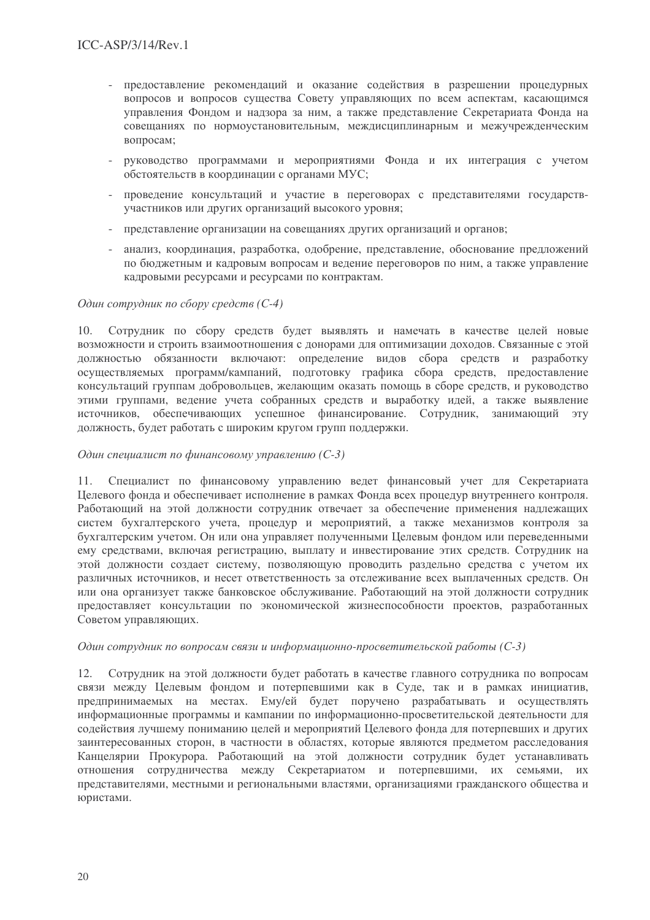- предоставление рекомендаций и оказание содействия в разрешении процедурных  $\overline{a}$ вопросов и вопросов существа Совету управляющих по всем аспектам, касающимся управления Фондом и надзора за ним, а также представление Секретариата Фонда на совещаниях по нормоустановительным, междисциплинарным и межучрежденческим вопросам;
- руководство программами и мероприятиями Фонда и их интеграция с учетом обстоятельств в координации с органами МУС;
- проведение консультаций и участие в переговорах с представителями государствучастников или других организаций высокого уровня;
- представление организации на совещаниях других организаций и органов;
- анализ, координация, разработка, одобрение, представление, обоснование предложений по бюджетным и кадровым вопросам и ведение переговоров по ним, а также управление кадровыми ресурсами и ресурсами по контрактам.

## Один сотрудник по сбору средств (С-4)

Сотрудник по сбору средств будет выявлять и намечать в качестве целей новые  $10<sub>1</sub>$ возможности и строить взаимоотношения с донорами для оптимизации доходов. Связанные с этой должностью обязанности включают: определение видов сбора средств и разработку осуществляемых программ/кампаний, подготовку графика сбора средств, предоставление консультаций группам добровольцев, желающим оказать помощь в сборе средств, и руководство этими группами, ведение учета собранных средств и выработку идей, а также выявление источников, обеспечивающих успешное финансирование. Сотрудник, занимающий  $-9TV$ должность, будет работать с широким кругом групп поддержки.

## Один специалист по финансовому управлению (С-3)

Специалист по финансовому управлению ведет финансовый учет для Секретариата  $11.$ Целевого фонда и обеспечивает исполнение в рамках Фонда всех процедур внутреннего контроля. Работающий на этой должности сотрудник отвечает за обеспечение применения надлежащих систем бухгалтерского учета, процедур и мероприятий, а также механизмов контроля за бухгалтерским учетом. Он или она управляет полученными Пелевым фондом или перевеленными ему средствами, включая регистрацию, выплату и инвестирование этих средств. Сотрудник на этой должности создает систему, позволяющую проводить раздельно средства с учетом их различных источников, и несет ответственность за отслеживание всех выплаченных средств. Он или она организует также банковское обслуживание. Работающий на этой должности сотрудник предоставляет консультации по экономической жизнеспособности проектов, разработанных Советом управляющих.

## Один сотрудник по вопросам связи и информационно-просветительской работы (С-3)

Сотрудник на этой должности будет работать в качестве главного сотрудника по вопросам 12. связи между Целевым фондом и потерпевшими как в Суде, так и в рамках инициатив, предпринимаемых на местах. Ему/ей будет поручено разрабатывать и осуществлять информационные программы и кампании по информационно-просветительской деятельности для содействия лучшему пониманию целей и мероприятий Целевого фонда для потерпевших и других заинтересованных сторон, в частности в областях, которые являются предметом расследования Канцелярии Прокурора. Работающий на этой должности сотрудник будет устанавливать отношения сотрудничества между Секретариатом и потерпевшими, их семьями, их представителями, местными и региональными властями, организациями гражданского общества и юристами.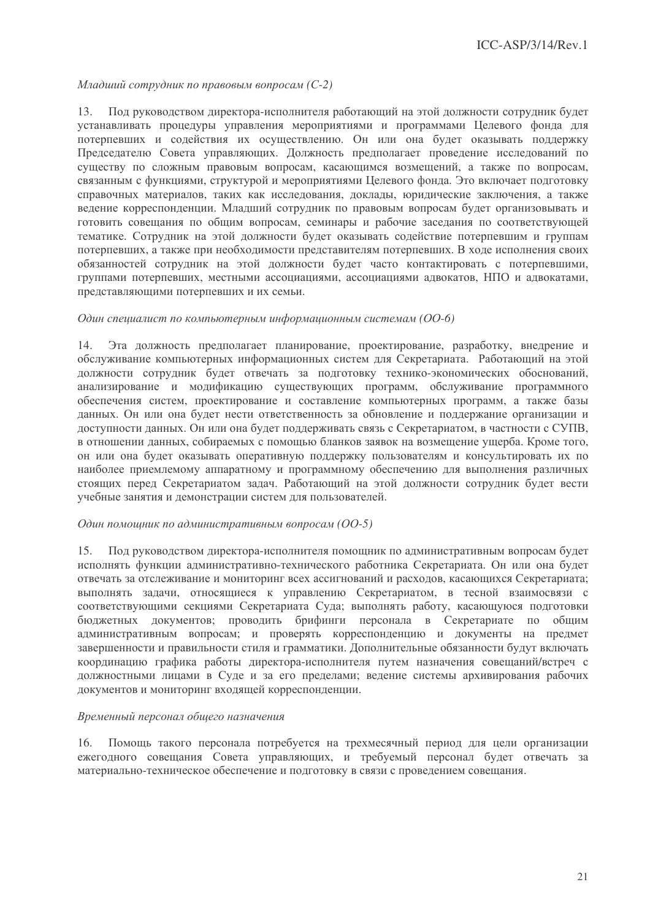Младший сотрудник по правовым вопросам (С-2)

Под руководством директора-исполнителя работающий на этой должности сотрудник будет  $13.$ устанавливать процедуры управления мероприятиями и программами Целевого фонда для потерпевших и содействия их осуществлению. Он или она будет оказывать поддержку Председателю Совета управляющих. Должность предполагает проведение исследований по существу по сложным правовым вопросам, касающимся возмещений, а также по вопросам, связанным с функциями, структурой и мероприятиями Целевого фонда. Это включает подготовку справочных материалов, таких как исследования, доклады, юридические заключения, а также ведение корреспонденции. Младший сотрудник по правовым вопросам будет организовывать и готовить совещания по общим вопросам, семинары и рабочие заседания по соответствующей тематике. Сотрудник на этой лоджности будет оказывать солействие потерпевшим и группам потерпевших, а также при необходимости представителям потерпевших. В ходе исполнения своих обязанностей сотрудник на этой должности будет часто контактировать с потерпевшими, группами потерпевших, местными ассоциациями, ассоциациями адвокатов, НПО и адвокатами, представляющими потерпевших и их семьи.

#### Один специалист по компьютерным информационным системам (ОО-6)

Эта должность предполагает планирование, проектирование, разработку, внедрение и 14. обслуживание компьютерных информационных систем для Секретариата. Работающий на этой должности сотрудник будет отвечать за подготовку технико-экономических обоснований, анализирование и модификацию существующих программ, обслуживание программного обеспечения систем, проектирование и составление компьютерных программ, а также базы данных. Он или она будет нести ответственность за обновление и поддержание организации и доступности данных. Он или она будет поддерживать связь с Секретариатом, в частности с СУПВ, в отношении данных, собираемых с помощью бланков заявок на возмещение ущерба. Кроме того, он или она будет оказывать оперативную поддержку пользователям и консультировать их по наиболее приемлемому аппаратному и программному обеспечению для выполнения различных стоящих перед Секретариатом задач. Работающий на этой должности сотрудник будет вести учебные занятия и демонстрации систем для пользователей.

#### Один помощник по административным вопросам (ОО-5)

Под руководством директора-исполнителя помощник по административным вопросам будет  $15.$ исполнять функции административно-технического работника Секретариата. Он или она будет отвечать за отслеживание и мониторинг всех ассигнований и расходов, касающихся Секретариата; выполнять задачи, относящиеся к управлению Секретариатом, в тесной взаимосвязи с соответствующими секциями Секретариата Суда; выполнять работу, касающуюся подготовки бюджетных документов; проводить брифинги персонала в Секретариате по общим административным вопросам; и проверять корреспонденцию и документы на предмет завершенности и правильности стиля и грамматики. Лополнительные обязанности булут включать координацию графика работы директора-исполнителя путем назначения совещаний/встреч с должностными лицами в Суде и за его пределами; ведение системы архивирования рабочих документов и мониторинг входящей корреспонденции.

### Временный персонал общего назначения

Помощь такого персонала потребуется на трехмесячный период для цели организации  $16.$ ежегодного совещания Совета управляющих, и требуемый персонал будет отвечать за материально-техническое обеспечение и подготовку в связи с проведением совещания.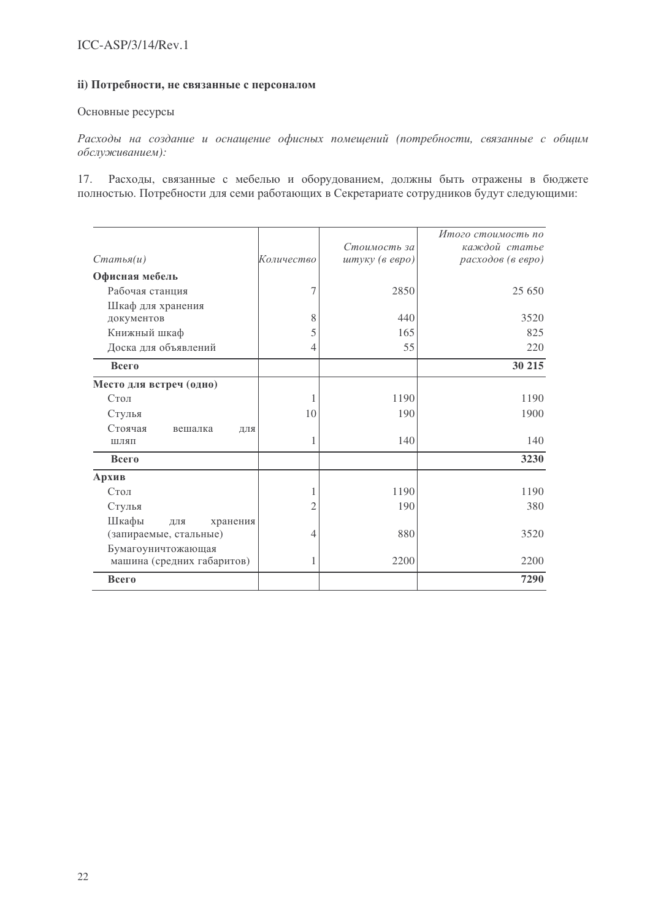## іі) Потребности, не связанные с персоналом

## Основные ресурсы

Расходы на создание и оснащение офисных помещений (потребности, связанные с общим обслуживанием):

17. Расходы, связанные с мебелью и оборудованием, должны быть отражены в бюджете полностью. Потребности для семи работающих в Секретариате сотрудников будут следующими:

|                            |            | Стоимость за   | Итого стоимость по<br>каждой статье |
|----------------------------|------------|----------------|-------------------------------------|
| $C$ татья $(u)$            | Количество | штуку (в евро) | расходов (в евро)                   |
| Офисная мебель             |            |                |                                     |
| Рабочая станция            | 7          | 2850           | 25 650                              |
| Шкаф для хранения          |            |                |                                     |
| документов                 | 8          | 440            | 3520                                |
| Книжный шкаф               | 5          | 165            | 825                                 |
| Доска для объявлений       | 4          | 55             | 220                                 |
| Всего                      |            |                | 30 215                              |
| Место для встреч (одно)    |            |                |                                     |
| Стол                       | 1          | 1190           | 1190                                |
| Стулья                     | 10         | 190            | 1900                                |
| Стоячая<br>вешалка<br>ДЛЯ  |            |                |                                     |
| ШЛЯП                       | 1          | 140            | 140                                 |
| Всего                      |            |                | 3230                                |
| Архив                      |            |                |                                     |
| Стол                       | 1          | 1190           | 1190                                |
| Стулья                     | 2          | 190            | 380                                 |
| Шкафы<br>хранения<br>ДЛЯ   |            |                |                                     |
| (запираемые, стальные)     | 4          | 880            | 3520                                |
| Бумагоуничтожающая         |            |                |                                     |
| машина (средних габаритов) | 1          | 2200           | 2200                                |
| Всего                      |            |                | 7290                                |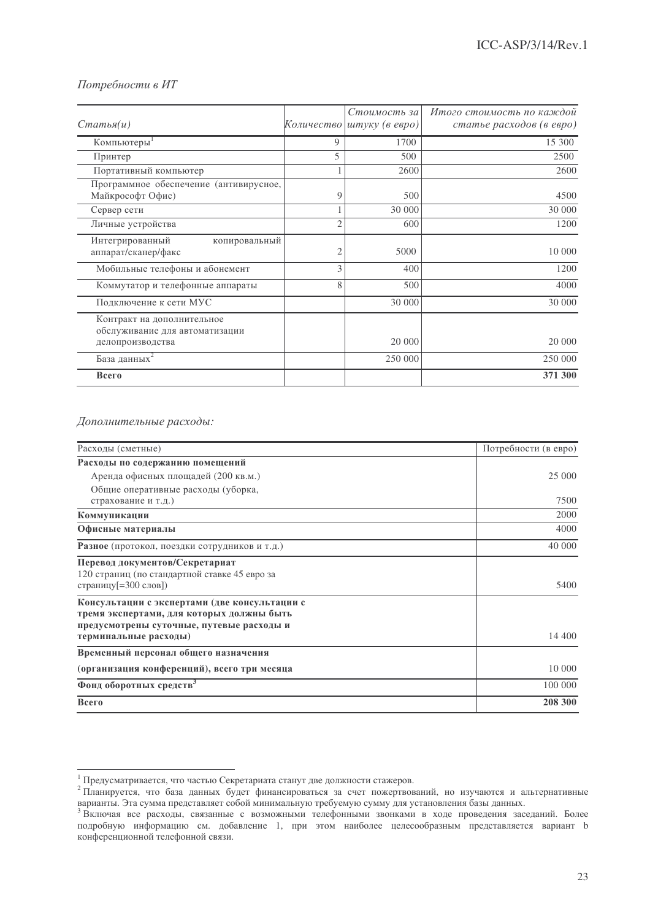## Потребности в ИТ

| $C$ татья $(u)$                                                                  |   | Стоимость за<br>Количество штуку (в евро) | Итого стоимость по каждой<br>статье расходов (в евро) |
|----------------------------------------------------------------------------------|---|-------------------------------------------|-------------------------------------------------------|
| Компьютеры <sup>1</sup>                                                          | 9 | 1700                                      | 15 300                                                |
| Принтер                                                                          | 5 | 500                                       | 2500                                                  |
| Портативный компьютер                                                            |   | 2600                                      | 2600                                                  |
| Программное обеспечение (антивирусное,<br>Майкрософт Офис)                       | 9 | 500                                       | 4500                                                  |
| Сервер сети                                                                      |   | 30 000                                    | 30 000                                                |
| Личные устройства                                                                | 2 | 600                                       | 1200                                                  |
| Интегрированный<br>копировальный<br>аппарат/сканер/факс                          | 2 | 5000                                      | 10 000                                                |
| Мобильные телефоны и абонемент                                                   | 3 | 400                                       | 1200                                                  |
| Коммутатор и телефонные аппараты                                                 | 8 | 500                                       | 4000                                                  |
| Подключение к сети МУС                                                           |   | 30 000                                    | 30 000                                                |
| Контракт на дополнительное<br>обслуживание для автоматизации<br>делопроизводства |   | 20 000                                    | 20 000                                                |
| База данных <sup>2</sup>                                                         |   | 250 000                                   | 250 000                                               |
| Всего                                                                            |   |                                           | 371 300                                               |

#### Дополнительные расходы:

| Расходы (сметные)                                                               | Потребности (в евро) |
|---------------------------------------------------------------------------------|----------------------|
| Расходы по содержанию помещений                                                 |                      |
| Аренда офисных площадей (200 кв.м.)                                             | 25 000               |
| Общие оперативные расходы (уборка,                                              |                      |
| страхование и т.д.)                                                             | 7500                 |
| Коммуникации                                                                    | 2000                 |
| Офисные материалы                                                               | 4000                 |
| Разное (протокол, поездки сотрудников и т.д.)                                   | 40 000               |
| Перевод документов/Секретариат<br>120 страниц (по стандартной ставке 45 евро за |                      |
| страницу [= 300 слов])                                                          | 5400                 |
| Консультации с экспертами (две консультации с                                   |                      |
| тремя экспертами, для которых должны быть                                       |                      |
| предусмотрены суточные, путевые расходы и<br>терминальные расходы)              | 14 400               |
| Временный персонал общего назначения                                            |                      |
| (организация конференций), всего три месяца                                     | 10 000               |
| Фонд оборотных средств <sup>3</sup>                                             | 100 000              |
| Всего                                                                           | 208 300              |

 $^{\rm l}$ Предусматривается, что частью Секретариата станут две должности стажеров.

предусматривается, что частью секретариата станут две должности стажеров.<br><sup>2</sup> Планируется, что база данных будет финансироваться за счет пожертвований, но изучаются и альтернативные варианты. Эта сумма представляет собой минимальную требуемую сумму для установления базы данных.

<sup>&</sup>lt;sup>3</sup> Включая все расходы, связанные с возможными телефонными звонками в ходе проведения заседаний. Более подробную информацию см. добавление 1, при этом наиболее целесообразным представляется вариант b конференционной телефонной связи.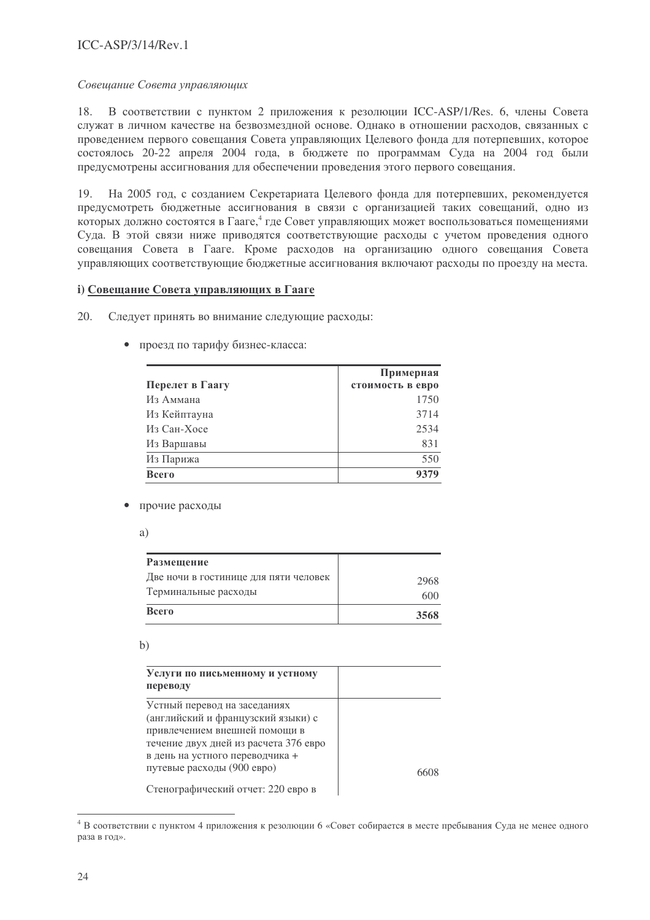## $ICC-ASP/3/14/Rev.1$

### Совещание Совета управляющих

В соответствии с пунктом 2 приложения к резолюции ICC-ASP/1/Res. 6, члены Совета 18. служат в личном качестве на безвозмездной основе. Однако в отношении расходов, связанных с проведением первого совещания Совета управляющих Целевого фонда для потерпевших, которое состоялось 20-22 апреля 2004 года, в бюджете по программам Суда на 2004 год были предусмотрены ассигнования для обеспечении проведения этого первого совещания.

На 2005 год, с созданием Секретариата Целевого фонда для потерпевших, рекомендуется  $19<sub>1</sub>$ предусмотреть бюджетные ассигнования в связи с организацией таких совещаний, одно из которых должно состоятся в Гааге,<sup>4</sup> где Совет управляющих может воспользоваться помещениями Суда. В этой связи ниже приводятся соответствующие расходы с учетом проведения одного совещания Совета в Гааге. Кроме расходов на организацию одного совещания Совета управляющих соответствующие бюджетные ассигнования включают расходы по проезду на места.

### 1) Совещание Совета управляющих в Гааге

- $20.$ Следует принять во внимание следующие расходы:
	- проезд по тарифу бизнес-класса:

|                 | Примерная        |
|-----------------|------------------|
| Перелет в Гаагу | стоимость в евро |
| Из Аммана       | 1750             |
| Из Кейптауна    | 3714             |
| Из Сан-Хосе     | 2534             |
| Из Варшавы      | 831              |
| Из Парижа       | 550              |
| Всего           | 9379             |

• прочие расходы

| ۰,          |             |
|-------------|-------------|
| ٧           | ш           |
| ٦<br>$\sim$ | I<br>I<br>I |

| Размещение                            |      |
|---------------------------------------|------|
| Две ночи в гостинице для пяти человек | 2968 |
| Терминальные расходы                  | 6(0) |
| Всего                                 | 3568 |

 $b)$ 

| Услуги по письменному и устному<br>переводу |     |
|---------------------------------------------|-----|
| Устный перевод на заседаниях                |     |
| (английский и французский языки) с          |     |
| привлечением внешней помощи в               |     |
| течение двух дней из расчета 376 евро       |     |
| в день на устного переводчика +             |     |
| путевые расходы (900 евро)                  | 661 |

Стенографический отчет: 220 евро в

 $\mathbf{I}$ 

<sup>&</sup>lt;sup>4</sup> В соответствии с пунктом 4 приложения к резолюции 6 «Совет собирается в месте пребывания Суда не менее одного раза в год».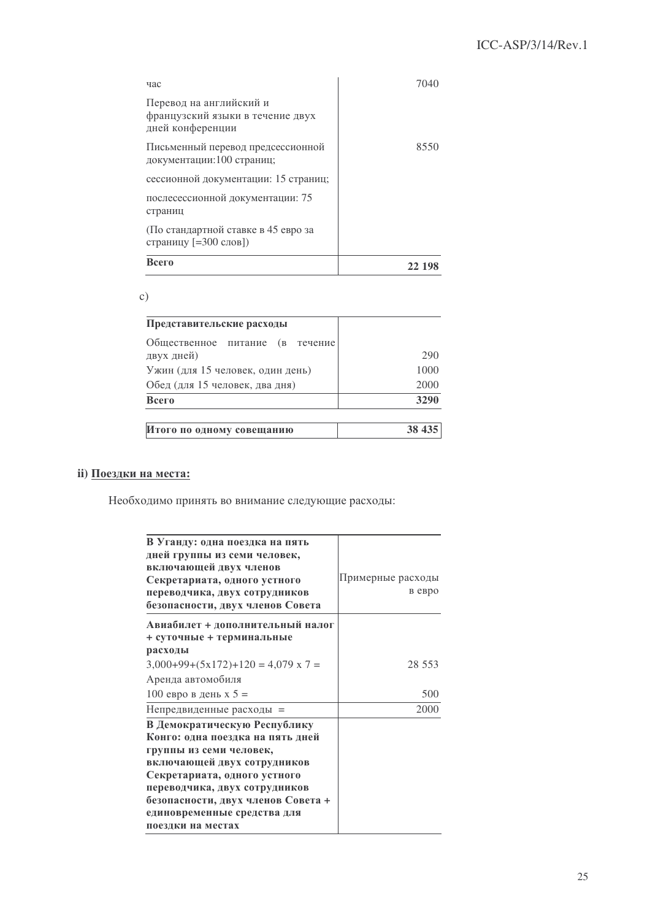## ICC-ASP/3/14/Rev.1

| час                                                                             | 7040   |
|---------------------------------------------------------------------------------|--------|
| Перевод на английский и<br>французский языки в течение двух<br>дней конференции |        |
| Письменный перевод предсессионной<br>документации: 100 страниц;                 | 8550   |
| сессионной документации: 15 страниц;                                            |        |
| послесессионной документации: 75<br>страниц                                     |        |
| (По стандартной ставке в 45 евро за<br>страницу [=300 слов])                    |        |
| Всего                                                                           | 22 198 |

 $c)$ 

| Представительские расходы                     |         |
|-----------------------------------------------|---------|
| Общественное питание (в течение<br>двух дней) | 290     |
| Ужин (для 15 человек, один день)              | 1000    |
| Обед (для 15 человек, два дня)                | 2000    |
| Всего                                         | 3290    |
| Итого по одному совещанию                     | 38 4 35 |

## іі) Поездки на места:

Необходимо принять во внимание следующие расходы:

| В Уганду: одна поездка на пять            |                   |
|-------------------------------------------|-------------------|
| дней группы из семи человек,              |                   |
| включающей двух членов                    |                   |
| Секретариата, одного устного              | Примерные расходы |
| переводчика, двух сотрудников             | в евро            |
| безопасности, двух членов Совета          |                   |
| Авиабилет + дополнительный налог          |                   |
| + суточные + терминальные                 |                   |
| расходы                                   |                   |
| $3,000+99+(5x172)+120 = 4,079 \times 7 =$ | 28 553            |
| Аренда автомобиля                         |                   |
| 100 евро в день х 5 =                     | 500               |
| Непредвиденные расходы =                  | 2000              |
| В Демократическую Республику              |                   |
| Конго: одна поездка на пять дней          |                   |
| группы из семи человек,                   |                   |
| включающей двух сотрудников               |                   |
| Секретариата, одного устного              |                   |
| переводчика, двух сотрудников             |                   |
| безопасности, двух членов Совета +        |                   |
| единовременные средства для               |                   |
| поездки на местах                         |                   |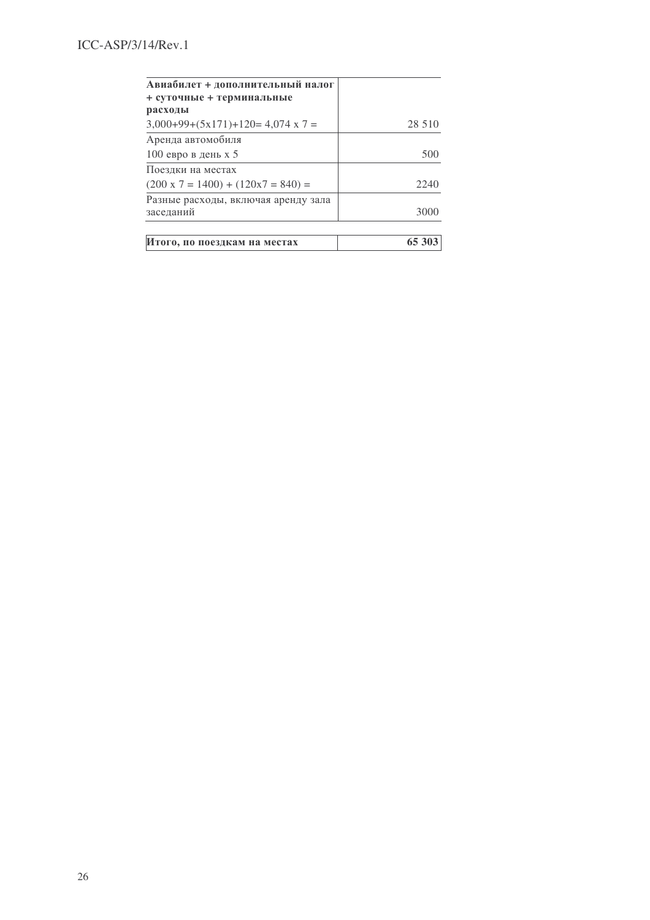| 28 5 10 |
|---------|
|         |
| 500     |
|         |
| 2240    |
|         |
| 3000    |
| 65 303  |
|         |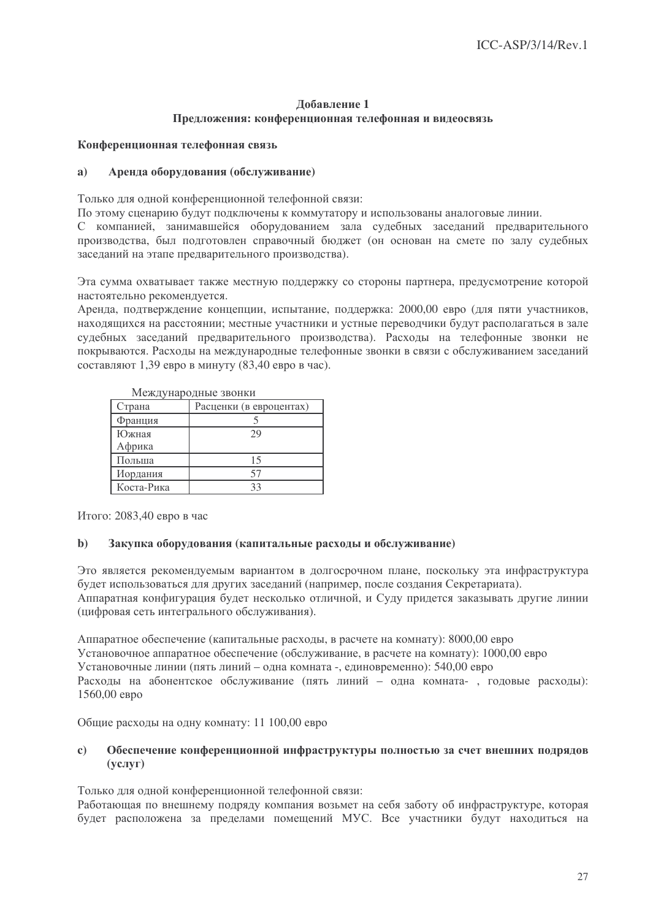## Лобавление 1 Предложения: конференционная телефонная и видеосвязь

## Конференционная телефонная связь

#### $a)$ Аренда оборудования (обслуживание)

Только для одной конференционной телефонной связи:

По этому сценарию будут подключены к коммутатору и использованы аналоговые линии.

С компанией, занимавшейся оборудованием зала судебных заседаний предварительного производства, был подготовлен справочный бюджет (он основан на смете по залу судебных заседаний на этапе предварительного производства).

Эта сумма охватывает также местную поддержку со стороны партнера, предусмотрение которой настоятельно рекомендуется.

Аренда, подтверждение концепции, испытание, поддержка: 2000,00 евро (для пяти участников, находящихся на расстоянии; местные участники и устные переводчики будут располагаться в зале судебных заседаний предварительного производства). Расходы на телефонные звонки не покрываются. Расходы на международные телефонные звонки в связи с обслуживанием заседаний составляют 1,39 евро в минуту (83,40 евро в час).

| ічісждународные звонки |                         |  |
|------------------------|-------------------------|--|
| Страна                 | Расценки (в евроцентах) |  |
| Франция                |                         |  |
| Южная                  | 29                      |  |
| Африка                 |                         |  |
| Польша                 | 15                      |  |
| Иордания               | 57                      |  |
| Коста-Рика             | 33                      |  |
|                        |                         |  |

Movementono ultra apolitica

Итого: 2083,40 евро в час

#### Закупка оборудования (капитальные расходы и обслуживание)  $\mathbf{b}$

Это является рекомендуемым вариантом в долгосрочном плане, поскольку эта инфраструктура будет использоваться для других заседаний (например, после создания Секретариата). Аппаратная конфигурация будет несколько отличной, и Суду придется заказывать другие линии (цифровая сеть интегрального обслуживания).

Аппаратное обеспечение (капитальные расходы, в расчете на комнату): 8000,00 евро Установочное аппаратное обеспечение (обслуживание, в расчете на комнату): 1000,00 евро Установочные линии (пять линий - одна комната -, единовременно): 540,00 евро Расходы на абонентское обслуживание (пять линий - одна комната-, годовые расходы): 1560,00 евро

Общие расходы на одну комнату: 11 100,00 евро

#### $\mathbf{c}$ Обеспечение конференционной инфраструктуры полностью за счет внешних подрядов  $(vcJIVF)$

Только для одной конференционной телефонной связи:

Работающая по внешнему подряду компания возьмет на себя заботу об инфраструктуре, которая будет расположена за пределами помещений МУС. Все участники будут находиться на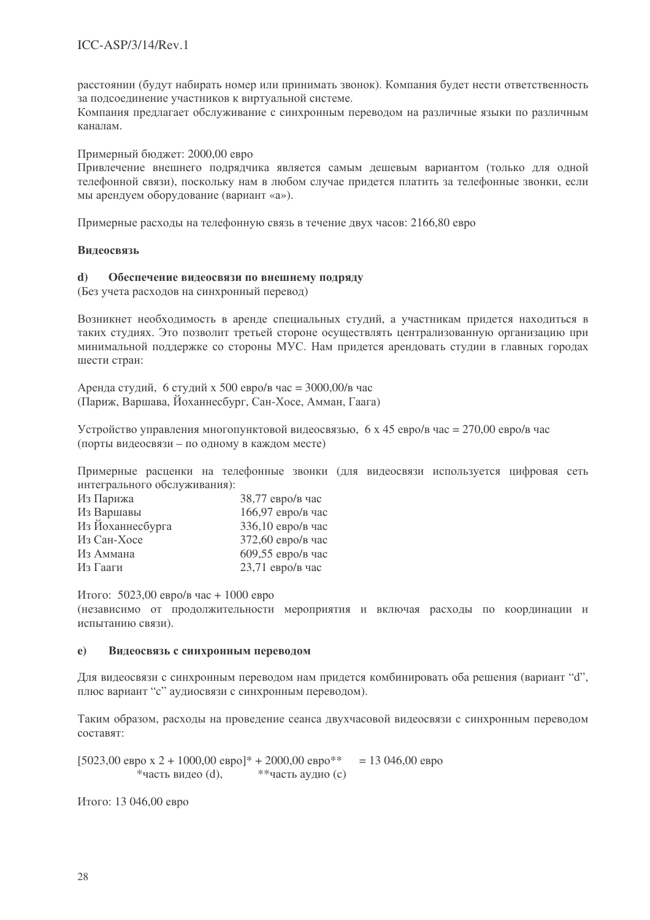расстоянии (будут набирать номер или принимать звонок). Компания будет нести ответственность за подсоединение участников к виртуальной системе.

Компания предлагает обслуживание с синхронным переводом на различные языки по различным каналам.

Примерный бюджет: 2000,00 евро

Привлечение внешнего подрядчика является самым дешевым вариантом (только для одной телефонной связи), поскольку нам в любом случае придется платить за телефонные звонки, если мы арендуем оборудование (вариант «а»).

Примерные расходы на телефонную связь в течение двух часов: 2166,80 евро

### **Видеосвязь**

#### Обеспечение видеосвязи по внешнему подряду  $\mathbf{d}$

(Без учета расходов на синхронный перевод)

Возникнет необходимость в аренде специальных студий, а участникам придется находиться в таких студиях. Это позволит третьей стороне осуществлять централизованную организацию при минимальной поддержке со стороны МУС. Нам придется арендовать студии в главных городах шести стран:

Аренда студий, 6 студий х 500 евро/в час = 3000,00/в час (Париж, Варшава, Йоханнесбург, Сан-Хосе, Амман, Гаага)

Устройство управления многопунктовой видеосвязью, 6 х 45 евро/в час = 270,00 евро/в час (порты видеосвязи - по одному в каждом месте)

Примерные расценки на телефонные звонки (для видеосвязи используется цифровая сеть интегрального обслуживания):

| Из Парижа        | $38,77$ евро/в час |
|------------------|--------------------|
| Из Варшавы       | 166,97 евро/в час  |
| Из Йоханнесбурга | 336,10 евро/в час  |
| Из Сан-Хосе      | 372,60 евро/в час  |
| Из Аммана        | 609,55 евро/в час  |
| Из Гааги         | 23,71 евро/в час   |

Итого: 5023,00 евро/в час + 1000 евро

(независимо от продолжительности мероприятия и включая расходы по координации и испытанию связи).

#### Видеосвязь с синхронным переводом  $e)$

Для видеосвязи с синхронным переводом нам придется комбинировать оба решения (вариант "d", плюс вариант "с" аудиосвязи с синхронным переводом).

Таким образом, расходы на проведение сеанса двухчасовой видеосвязи с синхронным переводом составят:

[5023,00 евро х 2 + 1000,00 евро]\* + 2000,00 евро\*\*  $= 13046,00$  ebpo \*часть видео (d), \*\*часть аудио (с)

Итого: 13 046,00 евро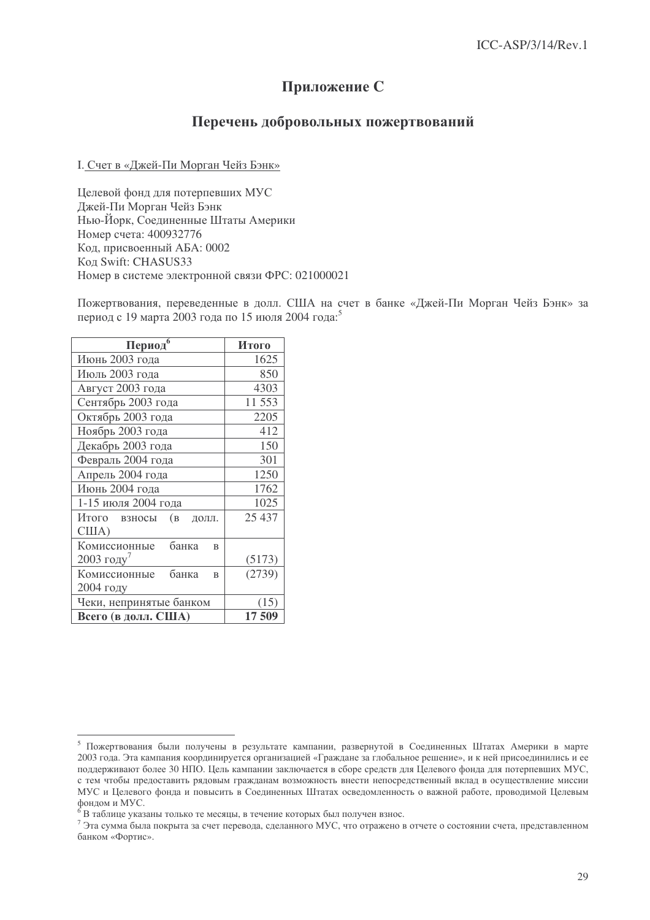# Приложение С

## Перечень добровольных пожертвований

## I. Счет в «Джей-Пи Морган Чейз Бэнк»

Целевой фонд для потерпевших МУС Джей-Пи Морган Чейз Бэнк Нью-Йорк, Соединенные Штаты Америки Номер счета: 400932776 Код, присвоенный АБА: 0002 Кол Swift: CHASUS33 Номер в системе электронной связи ФРС: 021000021

Пожертвования, переведенные в долл. США на счет в банке «Джей-Пи Морган Чейз Бэнк» за период с 19 марта 2003 года по 15 июля 2004 года:<sup>5</sup>

| Период                                | Итого  |
|---------------------------------------|--------|
| Июнь 2003 года                        | 1625   |
| Июль 2003 года                        | 850    |
| Август 2003 года                      | 4303   |
| Сентябрь 2003 года                    | 11 553 |
| Октябрь 2003 года                     | 2205   |
| Ноябрь 2003 года                      | 412    |
| Декабрь 2003 года                     | 150    |
| Февраль 2004 года                     | 301    |
| Апрель 2004 года                      | 1250   |
| Июнь 2004 года                        | 1762   |
| 1-15 июля 2004 года                   | 1025   |
| Итого взносы<br>(B<br>ДОЛЛ.<br>CIIIA) | 25 437 |
| Комиссионные<br>банка<br>$\mathbf{B}$ |        |
| 2003 году $'$                         | (5173) |
| Комиссионные<br>банка<br>$\mathbf{B}$ | (2739) |
| 2004 году                             |        |
| Чеки, непринятые банком               | (15)   |
| Всего (в долл. США)                   | 17 509 |

<sup>&</sup>lt;sup>5</sup> Пожертвования были получены в результате кампании, развернутой в Соединенных Штатах Америки в марте 2003 года. Эта кампания координируется организацией «Граждане за глобальное решение», и к ней присоединились и ее поддерживают более 30 НПО. Цель кампании заключается в сборе средств для Целевого фонда для потерпевших МУС, с тем чтобы предоставить рядовым гражданам возможность внести непосредственный вклад в осуществление миссии МУС и Целевого фонда и повысить в Соединенных Штатах осведомленность о важной работе, проводимой Целевым фондом и МУС.

 $^6$ В таблице указаны только те месяцы, в течение которых был получен взнос.

 $^7$  Эта сумма была покрыта за счет перевода, сделанного МУС, что отражено в отчете о состоянии счета, представленном банком «Фортис».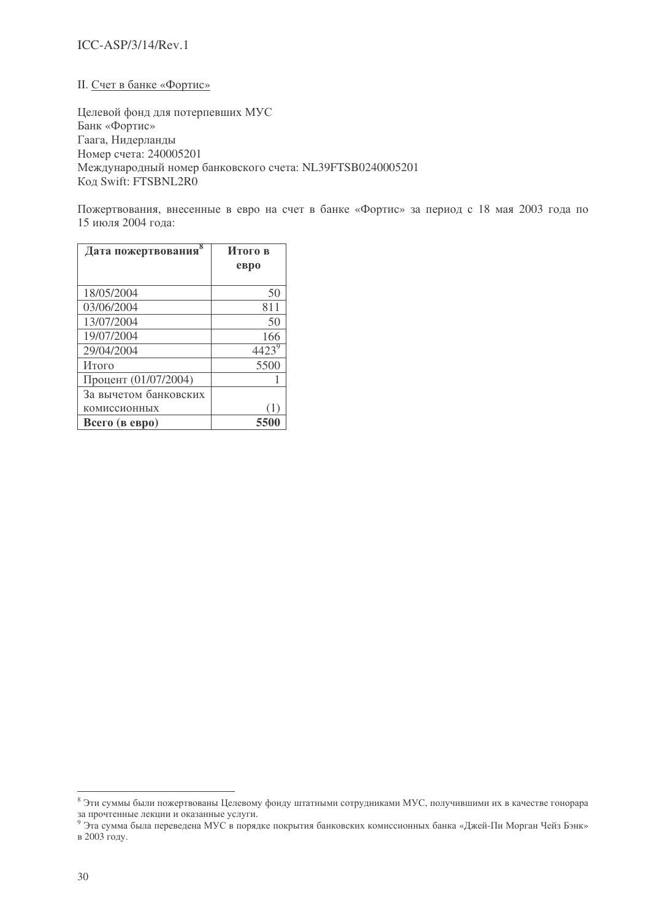## ICC-ASP/3/14/Rev.1

## II. Счет в банке «Фортис»

Целевой фонд для потерпевших МУС Банк «Фортис» Гаага, Нидерланды Номер счета: 240005201 Международный номер банковского счета: NL39FTSB0240005201 Код Swift: FTSBNL2R0

Пожертвования, внесенные в евро на счет в банке «Фортис» за период с 18 мая 2003 года по 15 июля 2004 года:

| Дата пожертвования    | Итого в |  |
|-----------------------|---------|--|
|                       | ebpo    |  |
|                       |         |  |
| 18/05/2004            | 50      |  |
| 03/06/2004            | 811     |  |
| 13/07/2004            | 50      |  |
| 19/07/2004            | 166     |  |
| 29/04/2004            | 4423    |  |
| Итого                 | 5500    |  |
| Процент (01/07/2004)  |         |  |
| За вычетом банковских |         |  |
| комиссионных          | Œ       |  |
| Всего (в евро)        | 5500    |  |

 $^8$  Эти суммы были пожертвованы Целевому фонду штатными сотрудниками МУС, получившими их в качестве гонорара за прочтенные лекции и оказанные услуги.

 $^9$  Эта сумма была переведена МУС в порядке покрытия банковских комиссионных банка «Джей-Пи Морган Чейз Бэнк» в 2003 году.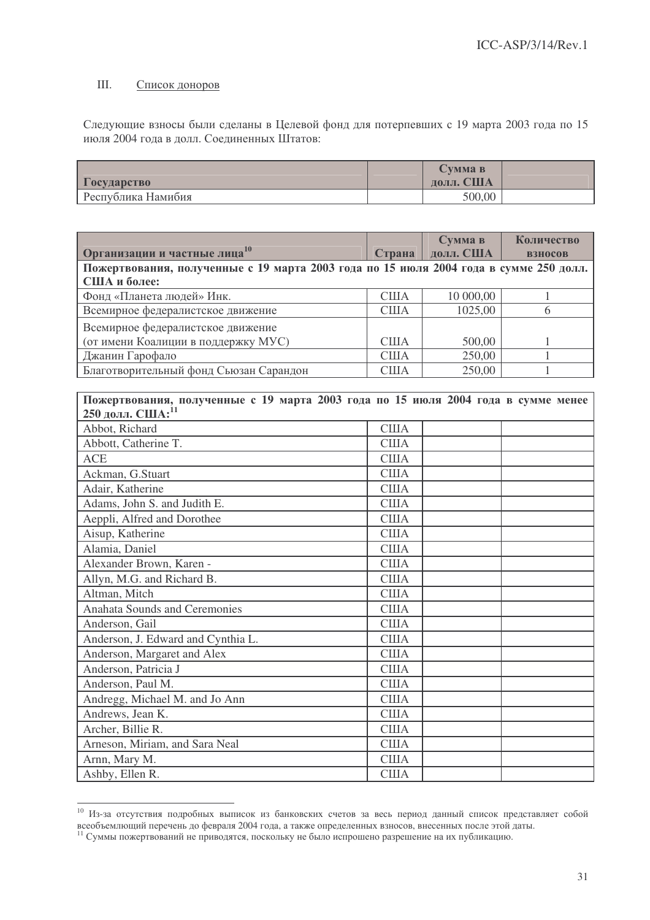#### III. Список доноров

Следующие взносы были сделаны в Целевой фонд для потерпевших с 19 марта 2003 года по 15 июля 2004 года в долл. Соединенных Штатов:

|                    | <b>CVMMa B</b> |  |
|--------------------|----------------|--|
| <b>Государство</b> | долл. США      |  |
| Республика Намибия | 500,00         |  |

|                                                                                       |              | Сумма в            | Количество     |
|---------------------------------------------------------------------------------------|--------------|--------------------|----------------|
| Организации и частные лица <sup>10</sup>                                              |              | Страна   долл. США | <b>ВЗНОСОВ</b> |
| Пожертвования, полученные с 19 марта 2003 года по 15 июля 2004 года в сумме 250 долл. |              |                    |                |
| США и более:                                                                          |              |                    |                |
| Фонд «Планета людей» Инк.                                                             | <b>CIIIA</b> | 10 000,00          | 1              |
| Всемирное федералистское движение                                                     | <b>США</b>   | 1025,00            | 6              |
| Всемирное федералистское движение                                                     |              |                    |                |
| (от имени Коалиции в поддержку МУС)                                                   | <b>США</b>   | 500,00             | 1              |
| Джанин Гарофало                                                                       | <b>CIIIA</b> | 250,00             | 1              |
| Благотворительный фонд Сьюзан Сарандон                                                | <b>США</b>   | 250,00             | 1              |
|                                                                                       |              |                    |                |
| Пожертвования, полученные с 19 марта 2003 года по 15 июля 2004 года в сумме менее     |              |                    |                |
| 250 долл. США: 11                                                                     |              |                    |                |
| Abbot, Richard                                                                        | <b>CIIIA</b> |                    |                |
| Abbott, Catherine T.                                                                  | <b>CIIIA</b> |                    |                |
| <b>ACE</b>                                                                            | <b>США</b>   |                    |                |
| Ackman, G.Stuart                                                                      | <b>США</b>   |                    |                |
| Adair, Katherine                                                                      | <b>CIIIA</b> |                    |                |
| Adams, John S. and Judith E.                                                          | <b>CIIIA</b> |                    |                |
| Aeppli, Alfred and Dorothee                                                           | <b>CIIIA</b> |                    |                |
| Aisup, Katherine                                                                      | <b>США</b>   |                    |                |
| Alamia, Daniel                                                                        | <b>CIIIA</b> |                    |                |
| Alexander Brown, Karen -                                                              | <b>CIIIA</b> |                    |                |
| Allyn, M.G. and Richard B.                                                            | <b>CIIIA</b> |                    |                |
| Altman, Mitch                                                                         | <b>США</b>   |                    |                |
| <b>Anahata Sounds and Ceremonies</b>                                                  | <b>CIIIA</b> |                    |                |
| Anderson, Gail                                                                        | <b>США</b>   |                    |                |
| Anderson, J. Edward and Cynthia L.                                                    | <b>США</b>   |                    |                |
| Anderson, Margaret and Alex                                                           | <b>CIIIA</b> |                    |                |
| Anderson, Patricia J                                                                  | <b>CIIIA</b> |                    |                |
| Anderson, Paul M.                                                                     | <b>CIIIA</b> |                    |                |
| Andregg, Michael M. and Jo Ann                                                        | <b>CIIIA</b> |                    |                |
| Andrews, Jean K.                                                                      | <b>CIIIA</b> |                    |                |
| Archer, Billie R.                                                                     | <b>CIIIA</b> |                    |                |
| Arneson, Miriam, and Sara Neal                                                        | <b>CIIIA</b> |                    |                |
| Arnn, Mary M.                                                                         | <b>CIIIA</b> |                    |                |
| Ashby, Ellen R.                                                                       | <b>CIIIA</b> |                    |                |

<sup>10</sup> Из-за отсутствия подробных выписок из банковских счетов за весь период данный список представляет собой всеобъемлющий перечень до февраля 2004 года, а также определенных взносов, внесенных после этой даты.<br><sup>11</sup> Суммы пожертвований не приводятся, поскольку не было испрошено разрешение на их публикацию.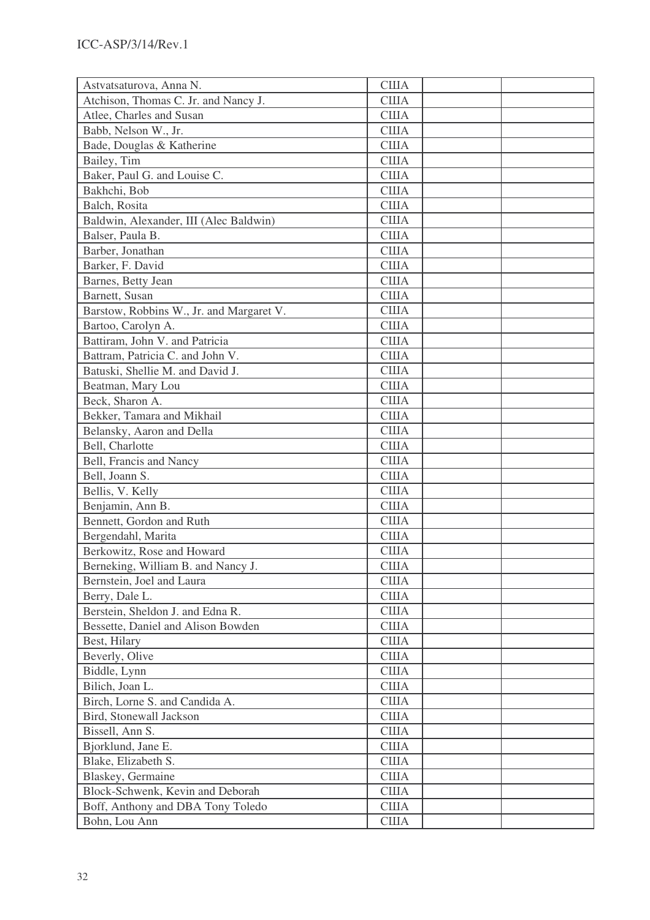| Astvatsaturova, Anna N.                  | <b>США</b>   |  |
|------------------------------------------|--------------|--|
| Atchison, Thomas C. Jr. and Nancy J.     | <b>США</b>   |  |
| Atlee, Charles and Susan                 | <b>США</b>   |  |
| Babb, Nelson W., Jr.                     | <b>США</b>   |  |
| Bade, Douglas & Katherine                | <b>CIIIA</b> |  |
| Bailey, Tim                              | <b>США</b>   |  |
| Baker, Paul G. and Louise C.             | <b>США</b>   |  |
| Bakhchi, Bob                             | <b>США</b>   |  |
| Balch, Rosita                            | <b>CIIIA</b> |  |
| Baldwin, Alexander, III (Alec Baldwin)   | <b>CIIIA</b> |  |
| Balser, Paula B.                         | США          |  |
| Barber, Jonathan                         | <b>CIIIA</b> |  |
| Barker, F. David                         | <b>США</b>   |  |
| Barnes, Betty Jean                       | <b>CIIIA</b> |  |
| Barnett, Susan                           | <b>США</b>   |  |
| Barstow, Robbins W., Jr. and Margaret V. | <b>CIIIA</b> |  |
| Bartoo, Carolyn A.                       | США          |  |
| Battiram, John V. and Patricia           | США          |  |
| Battram, Patricia C. and John V.         | <b>CIIIA</b> |  |
| Batuski, Shellie M. and David J.         | <b>США</b>   |  |
| Beatman, Mary Lou                        | <b>США</b>   |  |
| Beck, Sharon A.                          | <b>США</b>   |  |
| Bekker, Tamara and Mikhail               | <b>США</b>   |  |
| Belansky, Aaron and Della                | <b>США</b>   |  |
| Bell, Charlotte                          | <b>США</b>   |  |
| Bell, Francis and Nancy                  | <b>CIIIA</b> |  |
| Bell, Joann S.                           | <b>США</b>   |  |
| Bellis, V. Kelly                         | США          |  |
| Benjamin, Ann B.                         | <b>CIIIA</b> |  |
| Bennett, Gordon and Ruth                 | <b>США</b>   |  |
| Bergendahl, Marita                       | <b>США</b>   |  |
| Berkowitz, Rose and Howard               | <b>CIIIA</b> |  |
| Berneking, William B. and Nancy J.       | <b>США</b>   |  |
| Bernstein, Joel and Laura                | <b>CIIIA</b> |  |
| Berry, Dale L.                           | <b>CIIIA</b> |  |
| Berstein, Sheldon J. and Edna R.         | <b>CIIIA</b> |  |
| Bessette, Daniel and Alison Bowden       | США          |  |
| Best, Hilary                             | <b>CIIIA</b> |  |
| Beverly, Olive                           | <b>CIIIA</b> |  |
| Biddle, Lynn                             | <b>CIIIA</b> |  |
| Bilich, Joan L.                          | <b>CIIIA</b> |  |
| Birch, Lorne S. and Candida A.           | <b>США</b>   |  |
| Bird, Stonewall Jackson                  | <b>CIIIA</b> |  |
| Bissell, Ann S.                          | <b>CIIIA</b> |  |
| Bjorklund, Jane E.                       | <b>CIIIA</b> |  |
| Blake, Elizabeth S.                      | <b>CIIIA</b> |  |
| Blaskey, Germaine                        | <b>CIIIA</b> |  |
| Block-Schwenk, Kevin and Deborah         | <b>США</b>   |  |
| Boff, Anthony and DBA Tony Toledo        | <b>CIIIA</b> |  |
| Bohn, Lou Ann                            | <b>CIIIA</b> |  |
|                                          |              |  |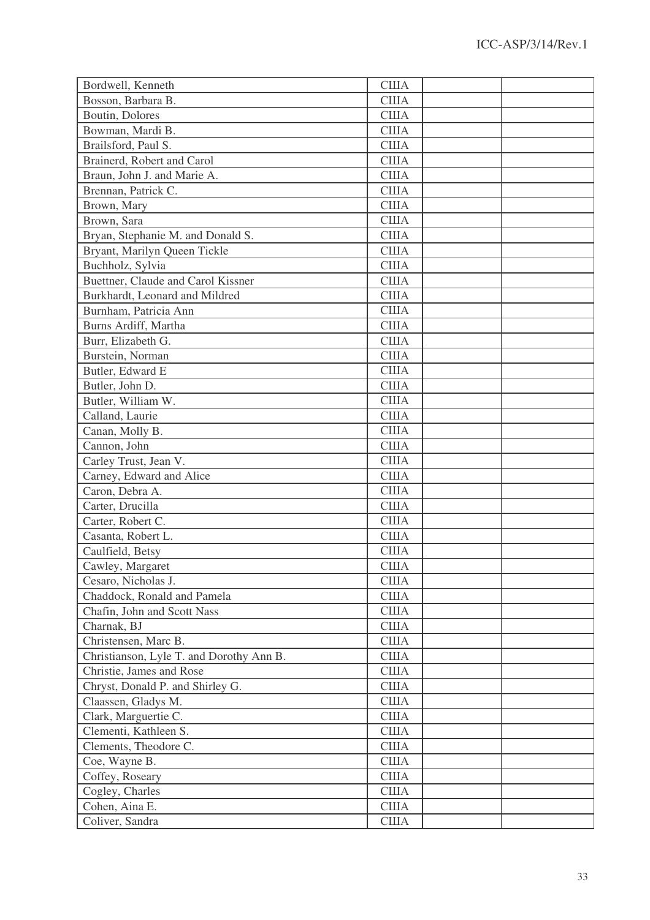| Bordwell, Kenneth                        | <b>США</b>   |  |
|------------------------------------------|--------------|--|
| Bosson, Barbara B.                       | <b>CIIIA</b> |  |
| Boutin, Dolores                          | <b>CIIIA</b> |  |
| Bowman, Mardi B.                         | <b>США</b>   |  |
| Brailsford, Paul S.                      | США          |  |
| Brainerd, Robert and Carol               | <b>CIIIA</b> |  |
| Braun, John J. and Marie A.              | <b>США</b>   |  |
| Brennan, Patrick C.                      | <b>США</b>   |  |
| Brown, Mary                              | <b>CIIIA</b> |  |
| Brown, Sara                              | <b>США</b>   |  |
| Bryan, Stephanie M. and Donald S.        | <b>CIIIA</b> |  |
| Bryant, Marilyn Queen Tickle             | <b>CIIIA</b> |  |
| Buchholz, Sylvia                         | <b>CIIIA</b> |  |
| Buettner, Claude and Carol Kissner       | <b>США</b>   |  |
| Burkhardt, Leonard and Mildred           | <b>США</b>   |  |
| Burnham, Patricia Ann                    | <b>CIIIA</b> |  |
| Burns Ardiff, Martha                     | <b>США</b>   |  |
| Burr, Elizabeth G.                       | <b>США</b>   |  |
| Burstein, Norman                         | <b>CIIIA</b> |  |
| Butler, Edward E                         | <b>CIIIA</b> |  |
| Butler, John D.                          | <b>США</b>   |  |
| Butler, William W.                       | <b>США</b>   |  |
| Calland, Laurie                          | <b>CIIIA</b> |  |
| Canan, Molly B.                          | США          |  |
| Cannon, John                             | <b>CIIIA</b> |  |
| Carley Trust, Jean V.                    | <b>CIIIA</b> |  |
| Carney, Edward and Alice                 | <b>CIIIA</b> |  |
| Caron, Debra A.                          | <b>США</b>   |  |
| Carter, Drucilla                         | <b>США</b>   |  |
| Carter, Robert C.                        | <b>CIIIA</b> |  |
| Casanta, Robert L.                       | <b>США</b>   |  |
| Caulfield, Betsy                         | США          |  |
| Cawley, Margaret                         | <b>CIIIA</b> |  |
| Cesaro, Nicholas J.                      | <b>CIIIA</b> |  |
| Chaddock, Ronald and Pamela              | <b>CIIIA</b> |  |
| Chafin, John and Scott Nass              | <b>CIIIA</b> |  |
| Charnak, BJ                              | <b>CIIIA</b> |  |
| Christensen, Marc B.                     | США          |  |
| Christianson, Lyle T. and Dorothy Ann B. | <b>CIIIA</b> |  |
| Christie, James and Rose                 | <b>CIIIA</b> |  |
| Chryst, Donald P. and Shirley G.         | <b>CIIIA</b> |  |
| Claassen, Gladys M.                      | <b>CIIIA</b> |  |
| Clark, Marguertie C.                     | <b>CIIIA</b> |  |
| Clementi, Kathleen S.                    | <b>CIIIA</b> |  |
|                                          | <b>CIIIA</b> |  |
| Clements, Theodore C.                    |              |  |
| Coe, Wayne B.                            | США          |  |
| Coffey, Roseary                          | <b>CIIIA</b> |  |
| Cogley, Charles                          | <b>CIIIA</b> |  |
| Cohen, Aina E.                           | США          |  |
| Coliver, Sandra                          | <b>CIIIA</b> |  |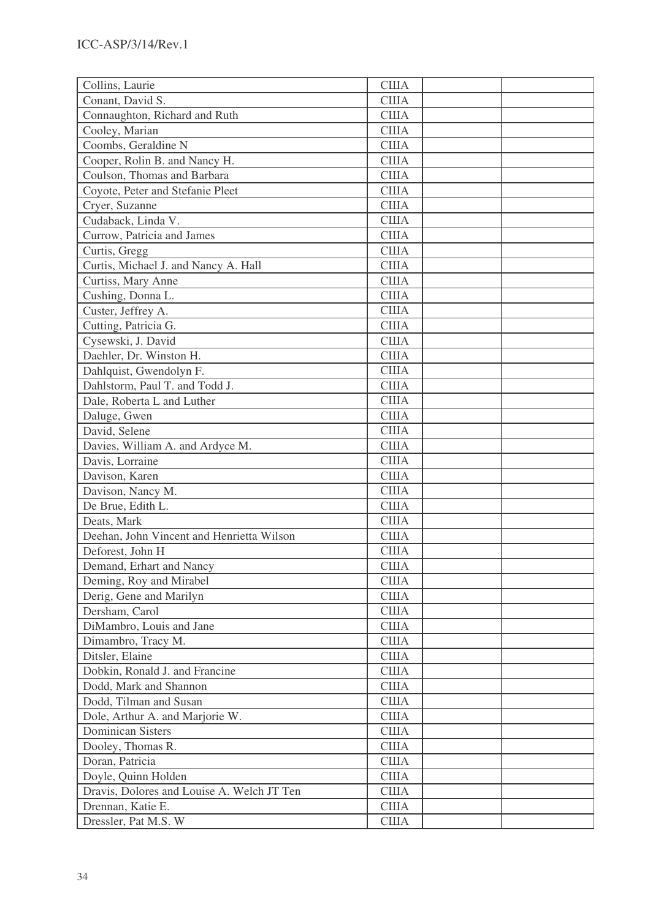| Collins, Laurie                            | <b>США</b>   |  |
|--------------------------------------------|--------------|--|
| Conant, David S.                           | <b>США</b>   |  |
| Connaughton, Richard and Ruth              | <b>CIIIA</b> |  |
| Cooley, Marian                             | <b>США</b>   |  |
| Coombs, Geraldine N                        | <b>США</b>   |  |
| Cooper, Rolin B. and Nancy H.              | <b>США</b>   |  |
| Coulson, Thomas and Barbara                | <b>США</b>   |  |
| Coyote, Peter and Stefanie Pleet           | <b>США</b>   |  |
| Cryer, Suzanne                             | <b>CIIIA</b> |  |
| Cudaback, Linda V.                         | <b>CIIIA</b> |  |
| Currow, Patricia and James                 | <b>США</b>   |  |
| Curtis, Gregg                              | <b>CIIIA</b> |  |
| Curtis, Michael J. and Nancy A. Hall       | <b>CIIIA</b> |  |
| Curtiss, Mary Anne                         | <b>CIIIA</b> |  |
| Cushing, Donna L.                          | <b>США</b>   |  |
| Custer, Jeffrey A.                         | <b>CIIIA</b> |  |
| Cutting, Patricia G.                       | <b>США</b>   |  |
| Cysewski, J. David                         | <b>США</b>   |  |
| Daehler, Dr. Winston H.                    | <b>CIIIA</b> |  |
| Dahlquist, Gwendolyn F.                    | <b>США</b>   |  |
| Dahlstorm, Paul T. and Todd J.             | <b>США</b>   |  |
| Dale, Roberta L and Luther                 | <b>США</b>   |  |
| Daluge, Gwen                               | <b>США</b>   |  |
| David, Selene                              | <b>США</b>   |  |
| Davies, William A. and Ardyce M.           | <b>США</b>   |  |
| Davis, Lorraine                            | <b>CIIIA</b> |  |
| Davison, Karen                             | <b>США</b>   |  |
| Davison, Nancy M.                          | <b>США</b>   |  |
| De Brue, Edith L.                          | <b>CIIIA</b> |  |
| Deats, Mark                                | <b>США</b>   |  |
| Deehan, John Vincent and Henrietta Wilson  | <b>CIIIA</b> |  |
| Deforest, John H                           | <b>CIIIA</b> |  |
| Demand, Erhart and Nancy                   | <b>CIIIA</b> |  |
| Deming, Roy and Mirabel                    | <b>CIIIA</b> |  |
| Derig, Gene and Marilyn                    | <b>CIIIA</b> |  |
| Dersham, Carol                             | <b>CIIIA</b> |  |
| DiMambro, Louis and Jane                   | <b>CIIIA</b> |  |
| Dimambro, Tracy M.                         | <b>CIIIA</b> |  |
| Ditsler, Elaine                            | <b>CIIIA</b> |  |
| Dobkin, Ronald J. and Francine             | <b>CIIIA</b> |  |
| Dodd, Mark and Shannon                     | <b>CIIIA</b> |  |
| Dodd, Tilman and Susan                     | <b>США</b>   |  |
| Dole, Arthur A. and Marjorie W.            | <b>CIIIA</b> |  |
| <b>Dominican Sisters</b>                   | <b>CIIIA</b> |  |
| Dooley, Thomas R.                          | <b>CIIIA</b> |  |
| Doran, Patricia                            | <b>CIIIA</b> |  |
| Doyle, Quinn Holden                        | <b>CIIIA</b> |  |
| Dravis, Dolores and Louise A. Welch JT Ten | <b>CIIIA</b> |  |
| Drennan, Katie E.                          | <b>CIIIA</b> |  |
| Dressler, Pat M.S. W                       | <b>CIIIA</b> |  |
|                                            |              |  |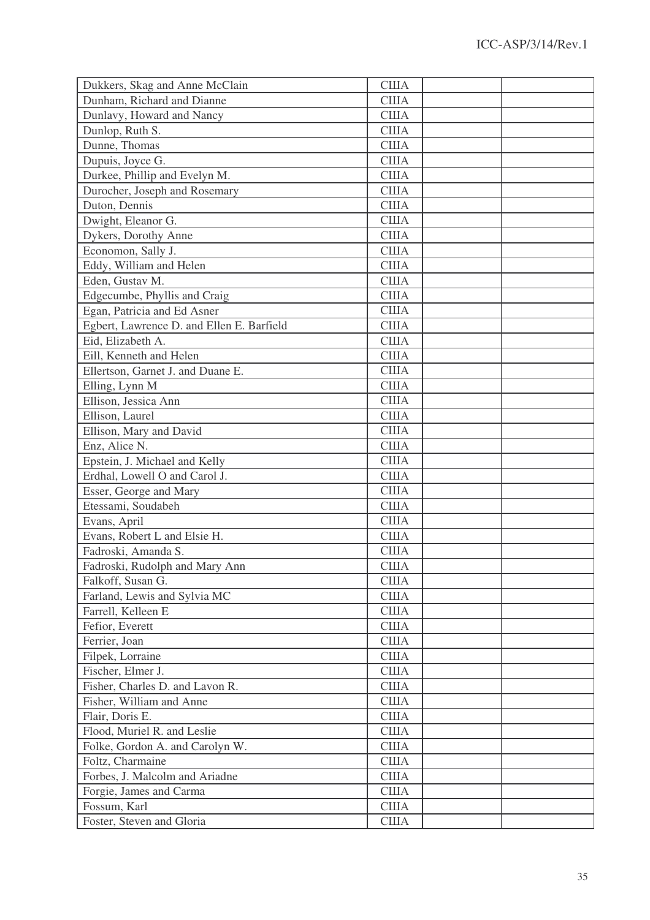| Dukkers, Skag and Anne McClain            | <b>США</b>   |  |
|-------------------------------------------|--------------|--|
| Dunham, Richard and Dianne                | <b>США</b>   |  |
| Dunlavy, Howard and Nancy                 | <b>CIIIA</b> |  |
| Dunlop, Ruth S.                           | США          |  |
| Dunne, Thomas                             | США          |  |
| Dupuis, Joyce G.                          | <b>США</b>   |  |
| Durkee, Phillip and Evelyn M.             | <b>США</b>   |  |
| Durocher, Joseph and Rosemary             | <b>CIIIA</b> |  |
| Duton, Dennis                             | <b>США</b>   |  |
| Dwight, Eleanor G.                        | <b>CIIIA</b> |  |
| Dykers, Dorothy Anne                      | <b>США</b>   |  |
| Economon, Sally J.                        | <b>США</b>   |  |
| Eddy, William and Helen                   | <b>CIIIA</b> |  |
| Eden, Gustav M.                           | <b>США</b>   |  |
| Edgecumbe, Phyllis and Craig              | <b>США</b>   |  |
| Egan, Patricia and Ed Asner               | <b>США</b>   |  |
| Egbert, Lawrence D. and Ellen E. Barfield | <b>CIIIA</b> |  |
| Eid, Elizabeth A.                         | <b>США</b>   |  |
| Eill, Kenneth and Helen                   | <b>США</b>   |  |
| Ellertson, Garnet J. and Duane E.         | <b>CIIIA</b> |  |
| Elling, Lynn M                            | <b>США</b>   |  |
| Ellison, Jessica Ann                      | <b>США</b>   |  |
| Ellison, Laurel                           | <b>CIIIA</b> |  |
| Ellison, Mary and David                   | <b>США</b>   |  |
| Enz, Alice N.                             | <b>США</b>   |  |
| Epstein, J. Michael and Kelly             | <b>CIIIA</b> |  |
| Erdhal, Lowell O and Carol J.             | <b>CIIIA</b> |  |
| Esser, George and Mary                    | <b>США</b>   |  |
| Etessami, Soudabeh                        | США          |  |
| Evans, April                              | <b>США</b>   |  |
| Evans, Robert L and Elsie H.              | <b>США</b>   |  |
| Fadroski, Amanda S.                       | США          |  |
| Fadroski, Rudolph and Mary Ann            | США          |  |
| Falkoff, Susan G.                         | <b>CIIIA</b> |  |
| Farland, Lewis and Sylvia MC              | <b>CIIIA</b> |  |
| Farrell, Kelleen E                        | <b>США</b>   |  |
| Fefior, Everett                           | <b>CIIIA</b> |  |
| Ferrier, Joan                             | <b>CIIIA</b> |  |
| Filpek, Lorraine                          | <b>CIIIA</b> |  |
| Fischer, Elmer J.                         | <b>CIIIA</b> |  |
| Fisher, Charles D. and Lavon R.           | <b>CIIIA</b> |  |
| Fisher, William and Anne                  | <b>CIIIA</b> |  |
| Flair, Doris E.                           | <b>CIIIA</b> |  |
| Flood, Muriel R. and Leslie               | <b>CIIIA</b> |  |
| Folke, Gordon A. and Carolyn W.           | <b>CIIIA</b> |  |
| Foltz, Charmaine                          | <b>CIIIA</b> |  |
| Forbes, J. Malcolm and Ariadne            | <b>CIIIA</b> |  |
| Forgie, James and Carma                   | <b>CIIIA</b> |  |
| Fossum, Karl                              | <b>США</b>   |  |
| Foster, Steven and Gloria                 | <b>CIIIA</b> |  |
|                                           |              |  |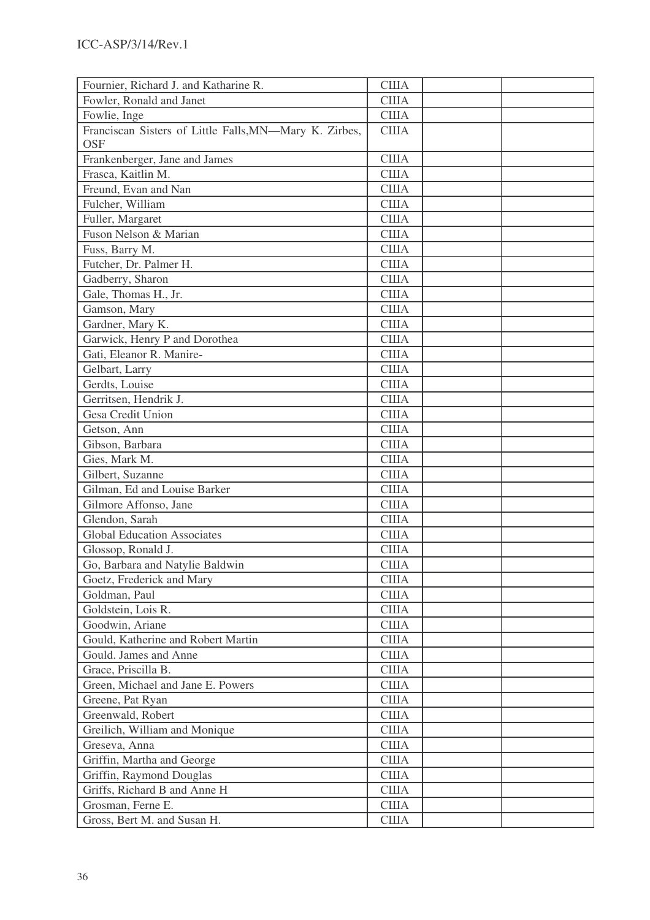| Fournier, Richard J. and Katharine R.                  | <b>США</b>   |  |
|--------------------------------------------------------|--------------|--|
| Fowler, Ronald and Janet                               | <b>США</b>   |  |
| Fowlie, Inge                                           | <b>CIIIA</b> |  |
| Franciscan Sisters of Little Falls, MN-Mary K. Zirbes, | <b>США</b>   |  |
| <b>OSF</b>                                             |              |  |
| Frankenberger, Jane and James                          | <b>США</b>   |  |
| Frasca, Kaitlin M.                                     | <b>США</b>   |  |
| Freund, Evan and Nan                                   | <b>CIIIA</b> |  |
| Fulcher, William                                       | <b>CIIIA</b> |  |
| Fuller, Margaret                                       | <b>CIIIA</b> |  |
| Fuson Nelson & Marian                                  | <b>США</b>   |  |
| Fuss, Barry M.                                         | <b>США</b>   |  |
| Futcher, Dr. Palmer H.                                 | <b>CIIIA</b> |  |
| Gadberry, Sharon                                       | <b>США</b>   |  |
| Gale, Thomas H., Jr.                                   | <b>США</b>   |  |
| Gamson, Mary                                           | <b>CIIIA</b> |  |
| Gardner, Mary K.                                       | <b>США</b>   |  |
| Garwick, Henry P and Dorothea                          | <b>CIIIA</b> |  |
| Gati, Eleanor R. Manire-                               | <b>США</b>   |  |
| Gelbart, Larry                                         | <b>CIIIA</b> |  |
| Gerdts, Louise                                         | США          |  |
| Gerritsen, Hendrik J.                                  | <b>США</b>   |  |
| Gesa Credit Union                                      | <b>CIIIA</b> |  |
| Getson, Ann                                            | <b>США</b>   |  |
| Gibson, Barbara                                        | <b>CIIIA</b> |  |
| Gies, Mark M.                                          | <b>США</b>   |  |
| Gilbert, Suzanne                                       | <b>CIIIA</b> |  |
| Gilman, Ed and Louise Barker                           | <b>CIIIA</b> |  |
| Gilmore Affonso, Jane                                  | <b>США</b>   |  |
| Glendon, Sarah                                         | <b>CIIIA</b> |  |
| <b>Global Education Associates</b>                     | <b>США</b>   |  |
| Glossop, Ronald J.                                     | США          |  |
| Go, Barbara and Natylie Baldwin                        | <b>CIIIA</b> |  |
| Goetz, Frederick and Mary                              | США          |  |
| Goldman, Paul                                          | <b>CIIIA</b> |  |
| Goldstein, Lois R.                                     | <b>CIIIA</b> |  |
| Goodwin, Ariane                                        | <b>CIIIA</b> |  |
| Gould, Katherine and Robert Martin                     | <b>CIIIA</b> |  |
| Gould. James and Anne                                  | <b>CIIIA</b> |  |
| Grace, Priscilla B.                                    | <b>CIIIA</b> |  |
| Green, Michael and Jane E. Powers                      | <b>CIIIA</b> |  |
| Greene, Pat Ryan                                       | <b>США</b>   |  |
| Greenwald, Robert                                      | <b>CIIIA</b> |  |
| Greilich, William and Monique                          | <b>CIIIA</b> |  |
| Greseva, Anna                                          | <b>США</b>   |  |
| Griffin, Martha and George                             | <b>CIIIA</b> |  |
| Griffin, Raymond Douglas                               | <b>CIIIA</b> |  |
| Griffs, Richard B and Anne H                           | <b>CIIIA</b> |  |
| Grosman, Ferne E.                                      | <b>CIIIA</b> |  |
| Gross, Bert M. and Susan H.                            | <b>CIIIA</b> |  |
|                                                        |              |  |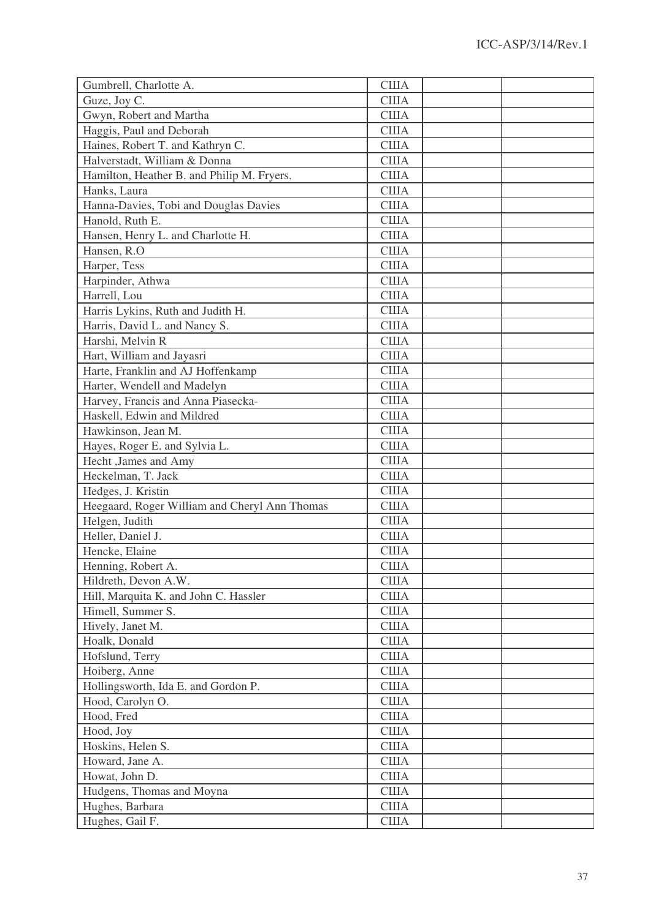| Gumbrell, Charlotte A.                        | <b>CIIIA</b> |  |
|-----------------------------------------------|--------------|--|
| Guze, Joy C.                                  | <b>CIIIA</b> |  |
| Gwyn, Robert and Martha                       | <b>CIIIA</b> |  |
| Haggis, Paul and Deborah                      | <b>США</b>   |  |
| Haines, Robert T. and Kathryn C.              | <b>CIIIA</b> |  |
| Halverstadt, William & Donna                  | <b>CIIIA</b> |  |
| Hamilton, Heather B. and Philip M. Fryers.    | <b>CIIIA</b> |  |
| Hanks, Laura                                  | <b>США</b>   |  |
| Hanna-Davies, Tobi and Douglas Davies         | <b>CIIIA</b> |  |
| Hanold, Ruth E.                               | <b>CIIIA</b> |  |
| Hansen, Henry L. and Charlotte H.             | <b>CIIIA</b> |  |
| Hansen, R.O.                                  | <b>CIIIA</b> |  |
| Harper, Tess                                  | <b>CIIIA</b> |  |
| Harpinder, Athwa                              | <b>CIIIA</b> |  |
| Harrell, Lou                                  | <b>CIIIA</b> |  |
| Harris Lykins, Ruth and Judith H.             | <b>CIIIA</b> |  |
| Harris, David L. and Nancy S.                 | <b>CIIIA</b> |  |
| Harshi, Melvin R                              | <b>США</b>   |  |
| Hart, William and Jayasri                     | <b>CIIIA</b> |  |
| Harte, Franklin and AJ Hoffenkamp             | <b>CIIIA</b> |  |
| Harter, Wendell and Madelyn                   | <b>США</b>   |  |
| Harvey, Francis and Anna Piasecka-            | <b>CIIIA</b> |  |
| Haskell, Edwin and Mildred                    | <b>CIIIA</b> |  |
| Hawkinson, Jean M.                            | <b>США</b>   |  |
| Hayes, Roger E. and Sylvia L.                 | США          |  |
| Hecht , James and Amy                         | <b>CIIIA</b> |  |
| Heckelman, T. Jack                            | <b>CIIIA</b> |  |
| Hedges, J. Kristin                            | <b>США</b>   |  |
| Heegaard, Roger William and Cheryl Ann Thomas | <b>CIIIA</b> |  |
| Helgen, Judith                                | <b>CIIIA</b> |  |
| Heller, Daniel J.                             | <b>США</b>   |  |
| Hencke, Elaine                                | <b>CIIIA</b> |  |
| Henning, Robert A.                            | <b>CIIIA</b> |  |
| Hildreth, Devon A.W.                          | <b>CIIIA</b> |  |
| Hill, Marquita K. and John C. Hassler         | <b>CIIIA</b> |  |
| Himell, Summer S.                             | <b>CIIIA</b> |  |
| Hively, Janet M.                              | <b>CIIIA</b> |  |
| Hoalk, Donald                                 | <b>CIIIA</b> |  |
| Hofslund, Terry                               | <b>CIIIA</b> |  |
| Hoiberg, Anne                                 | <b>CIIIA</b> |  |
| Hollingsworth, Ida E. and Gordon P.           | <b>CIIIA</b> |  |
| Hood, Carolyn O.                              | <b>CIIIA</b> |  |
| Hood, Fred                                    | <b>CIIIA</b> |  |
| Hood, Joy                                     | <b>CIIIA</b> |  |
| Hoskins, Helen S.                             | <b>CIIIA</b> |  |
| Howard, Jane A.                               | <b>CIIIA</b> |  |
| Howat, John D.                                | <b>CIIIA</b> |  |
| Hudgens, Thomas and Moyna                     | <b>CIIIA</b> |  |
| Hughes, Barbara                               | <b>CIIIA</b> |  |
| Hughes, Gail F.                               | <b>CIIIA</b> |  |
|                                               |              |  |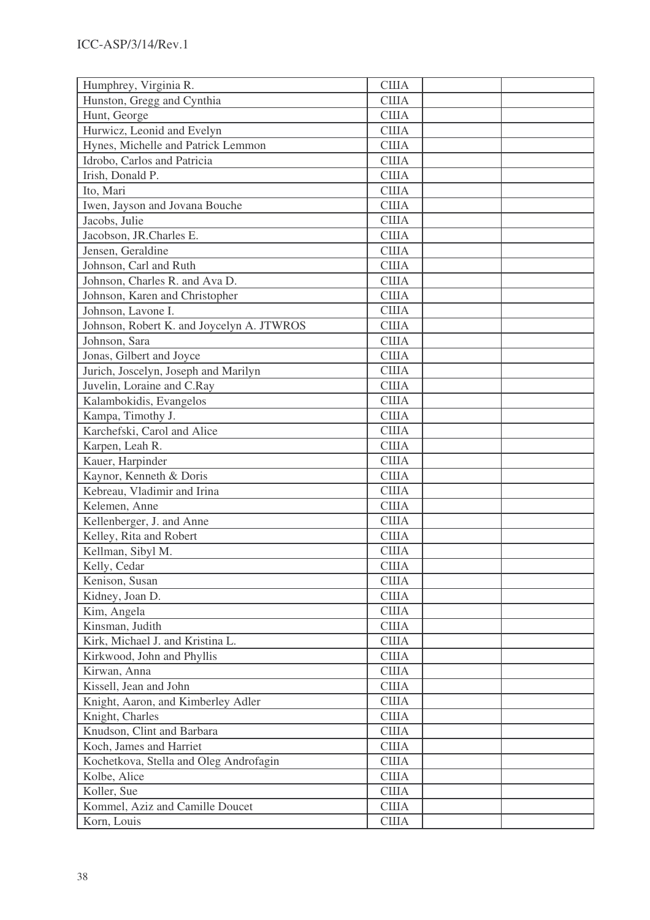| Humphrey, Virginia R.                     | <b>CIIIA</b> |  |
|-------------------------------------------|--------------|--|
| Hunston, Gregg and Cynthia                | <b>CIIIA</b> |  |
| Hunt, George                              | <b>США</b>   |  |
| Hurwicz, Leonid and Evelyn                | <b>США</b>   |  |
| Hynes, Michelle and Patrick Lemmon        | <b>США</b>   |  |
| Idrobo, Carlos and Patricia               | <b>CIIIA</b> |  |
| Irish, Donald P.                          | <b>США</b>   |  |
| Ito, Mari                                 | <b>США</b>   |  |
| Iwen, Jayson and Jovana Bouche            | <b>США</b>   |  |
| Jacobs, Julie                             | <b>США</b>   |  |
| Jacobson, JR.Charles E.                   | <b>CIIIA</b> |  |
| Jensen, Geraldine                         | <b>CIIIA</b> |  |
| Johnson, Carl and Ruth                    | <b>CIIIA</b> |  |
| Johnson, Charles R. and Ava D.            | <b>CIIIA</b> |  |
| Johnson, Karen and Christopher            | <b>США</b>   |  |
| Johnson, Lavone I.                        | <b>США</b>   |  |
| Johnson, Robert K. and Joycelyn A. JTWROS | <b>США</b>   |  |
| Johnson, Sara                             | <b>США</b>   |  |
| Jonas, Gilbert and Joyce                  | <b>CIIIA</b> |  |
| Jurich, Joscelyn, Joseph and Marilyn      | <b>США</b>   |  |
| Juvelin, Loraine and C.Ray                | <b>CIIIA</b> |  |
| Kalambokidis, Evangelos                   | <b>США</b>   |  |
| Kampa, Timothy J.                         | <b>CIIIA</b> |  |
| Karchefski, Carol and Alice               | <b>США</b>   |  |
| Karpen, Leah R.                           | <b>США</b>   |  |
| Kauer, Harpinder                          | <b>США</b>   |  |
| Kaynor, Kenneth & Doris                   | <b>CIIIA</b> |  |
| Kebreau, Vladimir and Irina               | <b>CIIIA</b> |  |
| Kelemen, Anne                             | <b>CIIIA</b> |  |
| Kellenberger, J. and Anne                 | <b>CIIIA</b> |  |
| Kelley, Rita and Robert                   | <b>США</b>   |  |
| Kellman, Sibyl M.                         | <b>CIIIA</b> |  |
| Kelly, Cedar                              | <b>США</b>   |  |
| Kenison, Susan                            | <b>CIIIA</b> |  |
| Kidney, Joan D.                           | <b>CIIIA</b> |  |
| Kim, Angela                               | <b>CIIIA</b> |  |
| Kinsman, Judith                           | <b>CIIIA</b> |  |
| Kirk, Michael J. and Kristina L.          | <b>США</b>   |  |
| Kirkwood, John and Phyllis                | <b>CIIIA</b> |  |
| Kirwan, Anna                              | <b>CIIIA</b> |  |
| Kissell, Jean and John                    | <b>CIIIA</b> |  |
| Knight, Aaron, and Kimberley Adler        | США          |  |
| Knight, Charles                           | <b>CIIIA</b> |  |
| Knudson, Clint and Barbara                | <b>CIIIA</b> |  |
| Koch, James and Harriet                   | <b>CIIIA</b> |  |
| Kochetkova, Stella and Oleg Androfagin    | <b>CIIIA</b> |  |
| Kolbe, Alice                              | <b>CIIIA</b> |  |
| Koller, Sue                               | <b>CIIIA</b> |  |
| Kommel, Aziz and Camille Doucet           | <b>CIIIA</b> |  |
| Korn, Louis                               | <b>CIIIA</b> |  |
|                                           |              |  |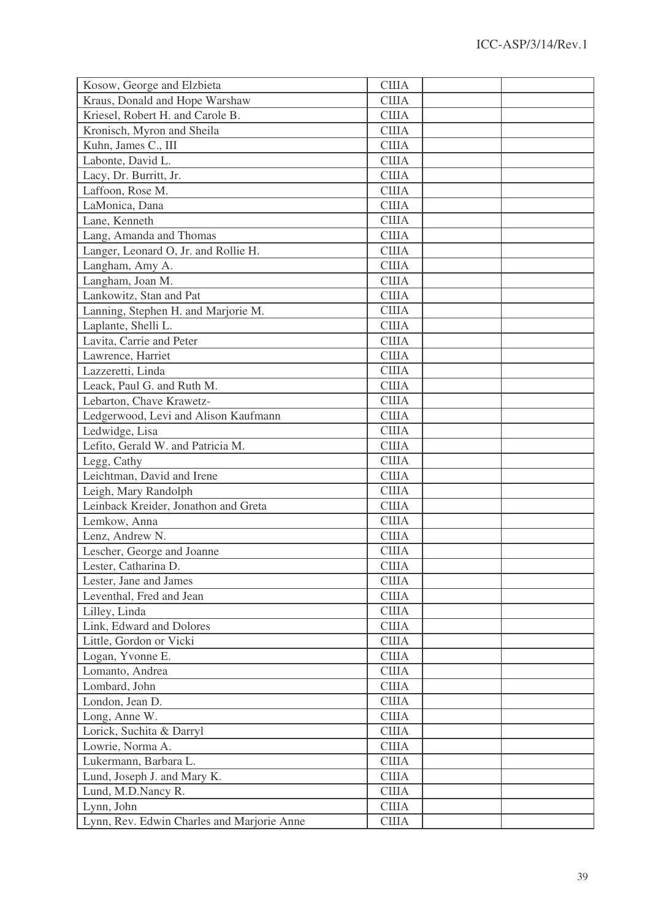| Kosow, George and Elzbieta                     | <b>CIIIA</b> |
|------------------------------------------------|--------------|
| Kraus, Donald and Hope Warshaw                 | <b>CIIIA</b> |
| Kriesel, Robert H. and Carole B.               | <b>CIIIA</b> |
| Kronisch, Myron and Sheila                     | <b>США</b>   |
| Kuhn, James C., III                            | <b>CIIIA</b> |
| Labonte, David L.                              | <b>CIIIA</b> |
| Lacy, Dr. Burritt, Jr.                         | <b>CIIIA</b> |
| Laffoon, Rose M.                               | <b>США</b>   |
| LaMonica, Dana                                 | <b>CIIIA</b> |
| Lane, Kenneth                                  | <b>CIIIA</b> |
| Lang, Amanda and Thomas                        | <b>CIIIA</b> |
| Langer, Leonard O, Jr. and Rollie H.           | <b>CIIIA</b> |
| Langham, Amy A.                                | <b>CIIIA</b> |
| Langham, Joan M.                               | <b>CIIIA</b> |
| Lankowitz, Stan and Pat                        | <b>CIIIA</b> |
| Lanning, Stephen H. and Marjorie M.            | <b>CIIIA</b> |
| Laplante, Shelli L.                            | <b>CIIIA</b> |
| Lavita, Carrie and Peter                       | <b>США</b>   |
| Lawrence, Harriet                              | <b>CIIIA</b> |
| Lazzeretti, Linda                              | <b>CIIIA</b> |
| Leack, Paul G. and Ruth M.                     | <b>CIIIA</b> |
| Lebarton, Chave Krawetz-                       | <b>CIIIA</b> |
| Ledgerwood, Levi and Alison Kaufmann           | <b>США</b>   |
| Ledwidge, Lisa                                 | <b>CIIIA</b> |
| Lefito, Gerald W. and Patricia M.              | <b>CIIIA</b> |
| Legg, Cathy                                    | <b>CIIIA</b> |
| Leichtman, David and Irene                     | <b>США</b>   |
| Leigh, Mary Randolph                           | <b>США</b>   |
| Leinback Kreider, Jonathon and Greta           | <b>США</b>   |
| Lemkow, Anna                                   | <b>США</b>   |
| Lenz, Andrew N.                                | <b>США</b>   |
| Lescher, George and Joanne                     | США          |
|                                                | <b>CIIIA</b> |
| Lester, Catharina D.<br>Lester, Jane and James | США          |
|                                                | <b>CIIIA</b> |
| Leventhal, Fred and Jean                       |              |
| Lilley, Linda                                  | <b>CIIIA</b> |
| Link, Edward and Dolores                       | <b>CIIIA</b> |
| Little, Gordon or Vicki                        | США          |
| Logan, Yvonne E.                               | США          |
| Lomanto, Andrea                                | <b>CIIIA</b> |
| Lombard, John                                  | США          |
| London, Jean D.                                | <b>CIIIA</b> |
| Long, Anne W.                                  | <b>CIIIA</b> |
| Lorick, Suchita & Darryl                       | США          |
| Lowrie, Norma A.                               | <b>CIIIA</b> |
| Lukermann, Barbara L.                          | США          |
| Lund, Joseph J. and Mary K.                    | <b>CIIIA</b> |
| Lund, M.D.Nancy R.                             | <b>CIIIA</b> |
| Lynn, John                                     | США          |
| Lynn, Rev. Edwin Charles and Marjorie Anne     | <b>CIIIA</b> |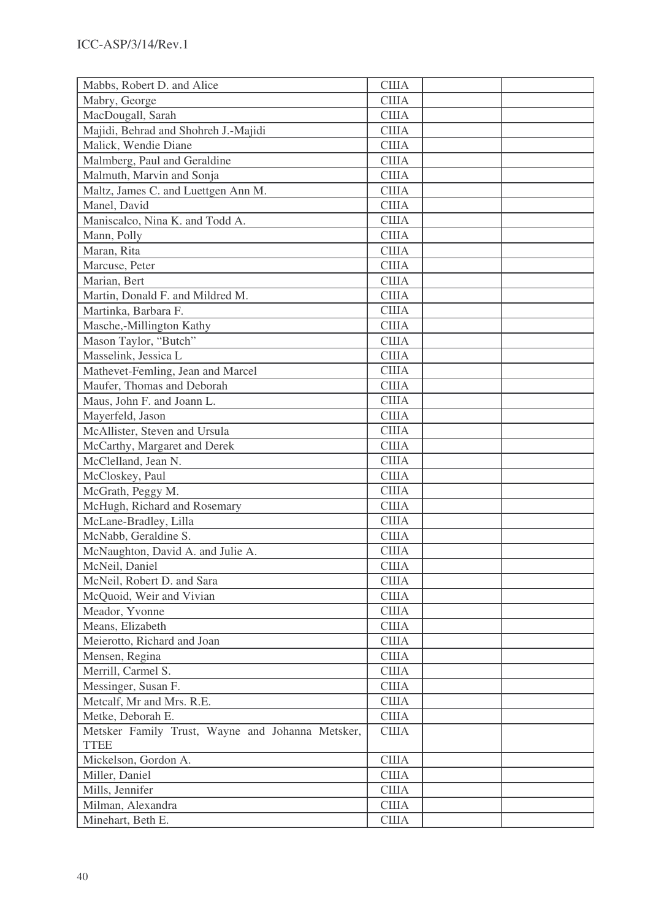| Mabbs, Robert D. and Alice                       | <b>CIIIA</b> |  |
|--------------------------------------------------|--------------|--|
| Mabry, George                                    | <b>CIIIA</b> |  |
| MacDougall, Sarah                                | <b>CIIIA</b> |  |
| Majidi, Behrad and Shohreh J.-Majidi             | <b>США</b>   |  |
| Malick, Wendie Diane                             | <b>США</b>   |  |
| Malmberg, Paul and Geraldine                     | <b>CIIIA</b> |  |
| Malmuth, Marvin and Sonja                        | <b>США</b>   |  |
| Maltz, James C. and Luettgen Ann M.              | <b>США</b>   |  |
| Manel, David                                     | <b>CIIIA</b> |  |
| Maniscalco, Nina K. and Todd A.                  | <b>США</b>   |  |
| Mann, Polly                                      | <b>CIIIA</b> |  |
| Maran, Rita                                      | <b>США</b>   |  |
| Marcuse, Peter                                   | <b>CIIIA</b> |  |
| Marian, Bert                                     | <b>CIIIA</b> |  |
| Martin, Donald F. and Mildred M.                 | <b>США</b>   |  |
| Martinka, Barbara F.                             | <b>США</b>   |  |
| Masche,-Millington Kathy                         | <b>США</b>   |  |
| Mason Taylor, "Butch"                            | <b>США</b>   |  |
| Masselink, Jessica L                             | <b>CIIIA</b> |  |
| Mathevet-Femling, Jean and Marcel                | <b>CIIIA</b> |  |
| Maufer, Thomas and Deborah                       | <b>США</b>   |  |
| Maus, John F. and Joann L.                       | <b>США</b>   |  |
| Mayerfeld, Jason                                 | <b>CIIIA</b> |  |
| McAllister, Steven and Ursula                    | <b>США</b>   |  |
| McCarthy, Margaret and Derek                     | <b>США</b>   |  |
| McClelland, Jean N.                              | <b>CIIIA</b> |  |
| McCloskey, Paul                                  | <b>CIIIA</b> |  |
| McGrath, Peggy M.                                | <b>США</b>   |  |
| McHugh, Richard and Rosemary                     | <b>США</b>   |  |
| McLane-Bradley, Lilla                            | <b>США</b>   |  |
| McNabb, Geraldine S.                             | <b>США</b>   |  |
| McNaughton, David A. and Julie A.                | США          |  |
| McNeil, Daniel                                   | <b>CIIIA</b> |  |
| McNeil, Robert D. and Sara                       | <b>США</b>   |  |
| McQuoid, Weir and Vivian                         | <b>CIIIA</b> |  |
| Meador, Yvonne                                   | <b>CIIIA</b> |  |
| Means, Elizabeth                                 | <b>CIIIA</b> |  |
| Meierotto, Richard and Joan                      | США          |  |
| Mensen, Regina                                   | США          |  |
| Merrill, Carmel S.                               | <b>CIIIA</b> |  |
| Messinger, Susan F.                              | <b>CIIIA</b> |  |
| Metcalf, Mr and Mrs. R.E.                        | <b>США</b>   |  |
| Metke, Deborah E.                                | <b>CIIIA</b> |  |
| Metsker Family Trust, Wayne and Johanna Metsker, | США          |  |
| <b>TTEE</b>                                      |              |  |
| Mickelson, Gordon A.                             | <b>США</b>   |  |
| Miller, Daniel                                   | <b>CIIIA</b> |  |
| Mills, Jennifer                                  | <b>CIIIA</b> |  |
| Milman, Alexandra                                | <b>CIIIA</b> |  |
| Minehart, Beth E.                                | <b>CIIIA</b> |  |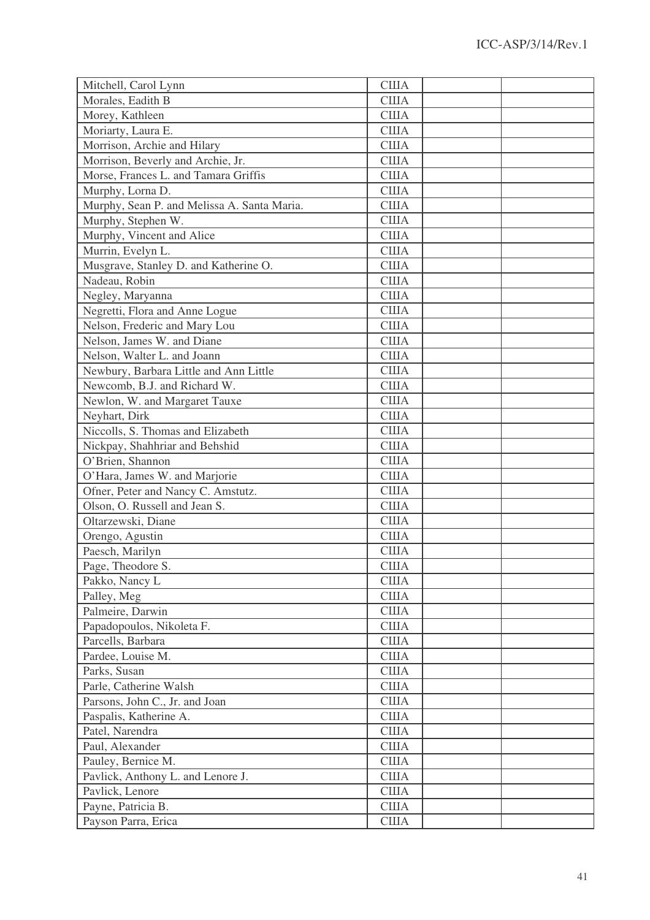| Mitchell, Carol Lynn                        | <b>США</b>   |  |
|---------------------------------------------|--------------|--|
| Morales, Eadith B                           | <b>США</b>   |  |
| Morey, Kathleen                             | <b>США</b>   |  |
| Moriarty, Laura E.                          | <b>США</b>   |  |
| Morrison, Archie and Hilary                 | <b>CIIIA</b> |  |
| Morrison, Beverly and Archie, Jr.           | <b>США</b>   |  |
| Morse, Frances L. and Tamara Griffis        | <b>США</b>   |  |
| Murphy, Lorna D.                            | <b>США</b>   |  |
| Murphy, Sean P. and Melissa A. Santa Maria. | <b>США</b>   |  |
| Murphy, Stephen W.                          | <b>США</b>   |  |
| Murphy, Vincent and Alice                   | <b>CIIIA</b> |  |
| Murrin, Evelyn L.                           | <b>США</b>   |  |
| Musgrave, Stanley D. and Katherine O.       | <b>CIIIA</b> |  |
| Nadeau, Robin                               | <b>США</b>   |  |
| Negley, Maryanna                            | <b>CIIIA</b> |  |
| Negretti, Flora and Anne Logue              | <b>США</b>   |  |
| Nelson, Frederic and Mary Lou               | <b>CIIIA</b> |  |
| Nelson, James W. and Diane                  | <b>США</b>   |  |
| Nelson, Walter L. and Joann                 | <b>CIIIA</b> |  |
| Newbury, Barbara Little and Ann Little      | <b>США</b>   |  |
| Newcomb, B.J. and Richard W.                | <b>США</b>   |  |
| Newlon, W. and Margaret Tauxe               | <b>США</b>   |  |
| Neyhart, Dirk                               | <b>США</b>   |  |
| Niccolls, S. Thomas and Elizabeth           | <b>США</b>   |  |
| Nickpay, Shahhriar and Behshid              | <b>США</b>   |  |
| O'Brien, Shannon                            | <b>США</b>   |  |
| O'Hara, James W. and Marjorie               | <b>CIIIA</b> |  |
| Ofner, Peter and Nancy C. Amstutz.          | <b>США</b>   |  |
| Olson, O. Russell and Jean S.               | <b>США</b>   |  |
| Oltarzewski, Diane                          | <b>США</b>   |  |
| Orengo, Agustin                             | <b>CIIIA</b> |  |
| Paesch, Marilyn                             | <b>CIIIA</b> |  |
| Page, Theodore S.                           | <b>CIIIA</b> |  |
| Pakko, Nancy L                              | США          |  |
| Palley, Meg                                 | <b>США</b>   |  |
| Palmeire, Darwin                            | <b>CIIIA</b> |  |
| Papadopoulos, Nikoleta F.                   | <b>CIIIA</b> |  |
| Parcells, Barbara                           | <b>CIIIA</b> |  |
| Pardee, Louise M.                           | <b>США</b>   |  |
| Parks, Susan                                | <b>CIIIA</b> |  |
| Parle, Catherine Walsh                      | <b>CIIIA</b> |  |
| Parsons, John C., Jr. and Joan              | <b>CIIIA</b> |  |
| Paspalis, Katherine A.                      | <b>CIIIA</b> |  |
| Patel, Narendra                             | <b>CIIIA</b> |  |
| Paul, Alexander                             | <b>CIIIA</b> |  |
| Pauley, Bernice M.                          | <b>США</b>   |  |
| Pavlick, Anthony L. and Lenore J.           | <b>CIIIA</b> |  |
| Pavlick, Lenore                             | <b>CIIIA</b> |  |
| Payne, Patricia B.                          | <b>США</b>   |  |
| Payson Parra, Erica                         | <b>CIIIA</b> |  |
|                                             |              |  |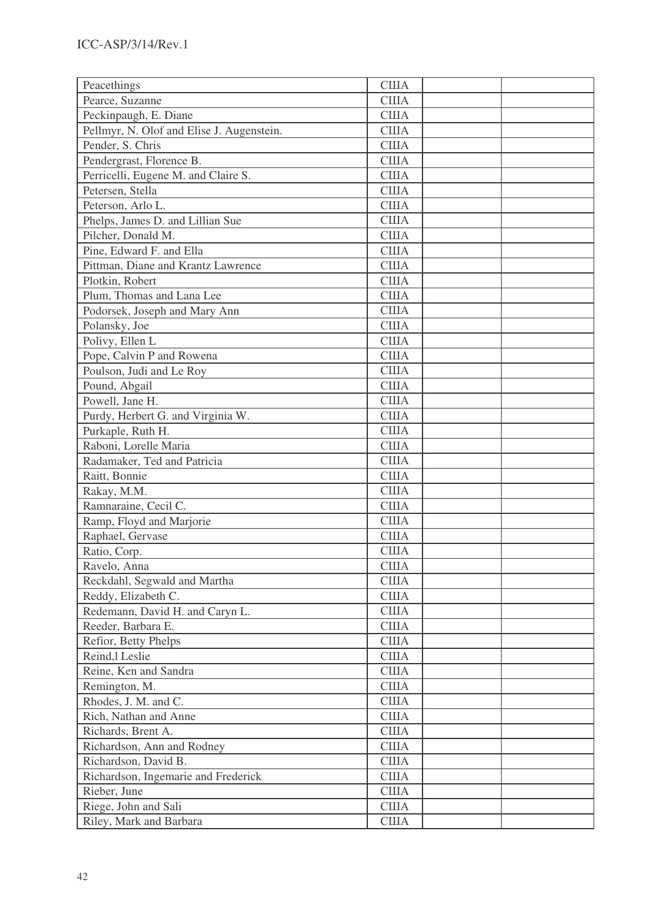| Peacethings                               | <b>CIIIA</b> |  |
|-------------------------------------------|--------------|--|
| Pearce, Suzanne                           | <b>CIIIA</b> |  |
| Peckinpaugh, E. Diane                     | <b>США</b>   |  |
| Pellmyr, N. Olof and Elise J. Augenstein. | <b>США</b>   |  |
| Pender, S. Chris                          | <b>США</b>   |  |
| Pendergrast, Florence B.                  | <b>CIIIA</b> |  |
| Perricelli, Eugene M. and Claire S.       | <b>США</b>   |  |
| Petersen, Stella                          | <b>США</b>   |  |
| Peterson, Arlo L.                         | <b>CIIIA</b> |  |
| Phelps, James D. and Lillian Sue          | <b>США</b>   |  |
| Pilcher, Donald M.                        | <b>США</b>   |  |
| Pine, Edward F. and Ella                  | <b>США</b>   |  |
| Pittman, Diane and Krantz Lawrence        | <b>CIIIA</b> |  |
| Plotkin, Robert                           | <b>США</b>   |  |
| Plum, Thomas and Lana Lee                 | <b>США</b>   |  |
| Podorsek, Joseph and Mary Ann             | <b>CIIIA</b> |  |
| Polansky, Joe                             | <b>США</b>   |  |
| Polivy, Ellen L                           | <b>США</b>   |  |
| Pope, Calvin P and Rowena                 | <b>CIIIA</b> |  |
| Poulson, Judi and Le Roy                  | <b>CIIIA</b> |  |
| Pound, Abgail                             | <b>CIIIA</b> |  |
| Powell, Jane H.                           | <b>CIIIA</b> |  |
| Purdy, Herbert G. and Virginia W.         | <b>CIIIA</b> |  |
| Purkaple, Ruth H.                         | <b>США</b>   |  |
| Raboni, Lorelle Maria                     | <b>США</b>   |  |
| Radamaker, Ted and Patricia               | <b>США</b>   |  |
| Raitt, Bonnie                             | <b>CIIIA</b> |  |
| Rakay, M.M.                               | <b>США</b>   |  |
| Ramnaraine, Cecil C.                      | <b>CIIIA</b> |  |
| Ramp, Floyd and Marjorie                  | <b>CIIIA</b> |  |
| Raphael, Gervase                          | <b>США</b>   |  |
| Ratio, Corp.                              | США          |  |
| Ravelo, Anna                              | <b>США</b>   |  |
| Reckdahl, Segwald and Martha              | <b>CIIIA</b> |  |
| Reddy, Elizabeth C.                       | <b>CIIIA</b> |  |
| Redemann, David H. and Caryn L.           | <b>CIIIA</b> |  |
| Reeder, Barbara E.                        | США          |  |
| Refior, Betty Phelps                      | <b>США</b>   |  |
| Reind, lLeslie                            | <b>CIIIA</b> |  |
| Reine, Ken and Sandra                     | <b>CIIIA</b> |  |
| Remington, M.                             | <b>CIIIA</b> |  |
| Rhodes, J. M. and C.                      | <b>США</b>   |  |
| Rich, Nathan and Anne                     | <b>CIIIA</b> |  |
| Richards, Brent A.                        | <b>CIIIA</b> |  |
| Richardson, Ann and Rodney                | <b>CIIIA</b> |  |
| Richardson, David B.                      | <b>CIIIA</b> |  |
| Richardson, Ingemarie and Frederick       | <b>CIIIA</b> |  |
| Rieber, June                              | <b>CIIIA</b> |  |
| Riege, John and Sali                      | <b>CIIIA</b> |  |
| Riley, Mark and Barbara                   | <b>CIIIA</b> |  |
|                                           |              |  |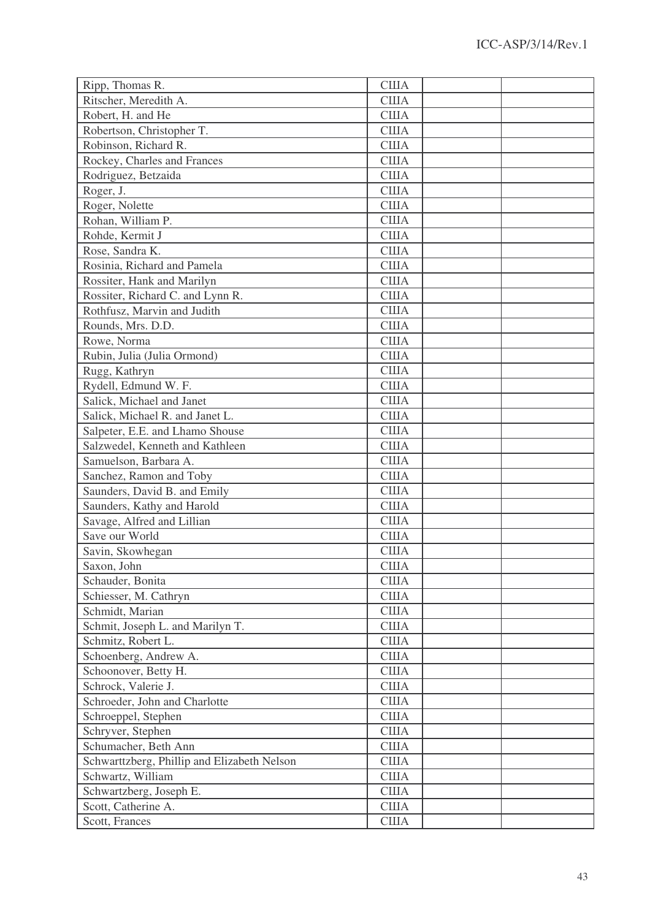| Ripp, Thomas R.                             | <b>CIIIA</b> |  |
|---------------------------------------------|--------------|--|
| Ritscher, Meredith A.                       | <b>CIIIA</b> |  |
| Robert, H. and He                           | <b>CIIIA</b> |  |
| Robertson, Christopher T.                   | <b>США</b>   |  |
| Robinson, Richard R.                        | <b>CIIIA</b> |  |
| Rockey, Charles and Frances                 | <b>США</b>   |  |
| Rodriguez, Betzaida                         | <b>CIIIA</b> |  |
| Roger, J.                                   | <b>CIIIA</b> |  |
| Roger, Nolette                              | <b>CIIIA</b> |  |
| Rohan, William P.                           | <b>CIIIA</b> |  |
| Rohde, Kermit J                             | <b>CIIIA</b> |  |
| Rose, Sandra K.                             | <b>CIIIA</b> |  |
| Rosinia, Richard and Pamela                 | <b>CIIIA</b> |  |
| Rossiter, Hank and Marilyn                  | <b>CIIIA</b> |  |
| Rossiter, Richard C. and Lynn R.            | <b>CIIIA</b> |  |
| Rothfusz, Marvin and Judith                 | <b>США</b>   |  |
| Rounds, Mrs. D.D.                           | <b>CIIIA</b> |  |
| Rowe, Norma                                 | <b>США</b>   |  |
| Rubin, Julia (Julia Ormond)                 | <b>США</b>   |  |
| Rugg, Kathryn                               | <b>CIIIA</b> |  |
| Rydell, Edmund W. F.                        | <b>CIIIA</b> |  |
| Salick, Michael and Janet                   | <b>США</b>   |  |
| Salick, Michael R. and Janet L.             | <b>CIIIA</b> |  |
| Salpeter, E.E. and Lhamo Shouse             | <b>CIIIA</b> |  |
| Salzwedel, Kenneth and Kathleen             | <b>CIIIA</b> |  |
| Samuelson, Barbara A.                       | <b>США</b>   |  |
| Sanchez, Ramon and Toby                     | <b>CIIIA</b> |  |
| Saunders, David B. and Emily                | <b>США</b>   |  |
| Saunders, Kathy and Harold                  | <b>CIIIA</b> |  |
| Savage, Alfred and Lillian                  | <b>CIIIA</b> |  |
| Save our World                              | <b>CIIIA</b> |  |
| Savin, Skowhegan                            | <b>CIIIA</b> |  |
| Saxon, John                                 | <b>США</b>   |  |
| Schauder, Bonita                            | <b>США</b>   |  |
| Schiesser, M. Cathryn                       | <b>CIIIA</b> |  |
| Schmidt, Marian                             | <b>США</b>   |  |
| Schmit, Joseph L. and Marilyn T.            | <b>CIIIA</b> |  |
| Schmitz, Robert L.                          | <b>CIIIA</b> |  |
| Schoenberg, Andrew A.                       | <b>CIIIA</b> |  |
| Schoonover, Betty H.                        | <b>CIIIA</b> |  |
| Schrock, Valerie J.                         | <b>CIIIA</b> |  |
| Schroeder, John and Charlotte               | <b>CIIIA</b> |  |
| Schroeppel, Stephen                         | <b>CIIIA</b> |  |
| Schryver, Stephen                           | <b>CIIIA</b> |  |
| Schumacher, Beth Ann                        | <b>CIIIA</b> |  |
| Schwarttzberg, Phillip and Elizabeth Nelson | <b>CIIIA</b> |  |
| Schwartz, William                           | <b>США</b>   |  |
| Schwartzberg, Joseph E.                     | <b>CIIIA</b> |  |
| Scott, Catherine A.                         | <b>США</b>   |  |
| Scott, Frances                              | <b>CIIIA</b> |  |
|                                             |              |  |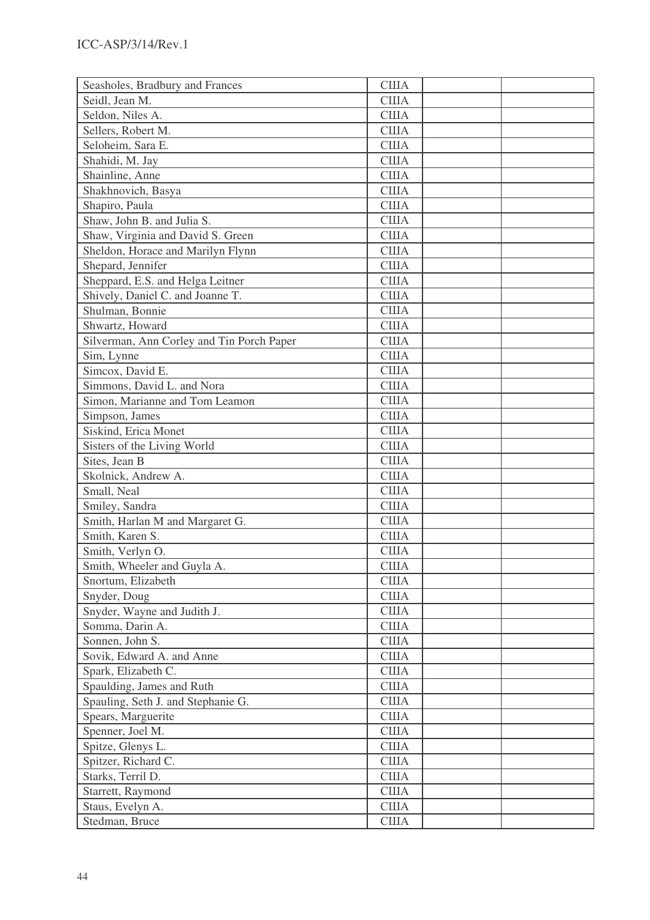| Seasholes, Bradbury and Frances           | <b>США</b>   |  |
|-------------------------------------------|--------------|--|
| Seidl, Jean M.                            | <b>CIIIA</b> |  |
| Seldon, Niles A.                          | <b>CIIIA</b> |  |
| Sellers, Robert M.                        | <b>CIIIA</b> |  |
| Seloheim, Sara E.                         | <b>CIIIA</b> |  |
| Shahidi, M. Jay                           | <b>CIIIA</b> |  |
| Shainline, Anne                           | <b>США</b>   |  |
| Shakhnovich, Basya                        | <b>США</b>   |  |
| Shapiro, Paula                            | <b>США</b>   |  |
| Shaw, John B. and Julia S.                | <b>США</b>   |  |
| Shaw, Virginia and David S. Green         | <b>США</b>   |  |
| Sheldon, Horace and Marilyn Flynn         | <b>CIIIA</b> |  |
| Shepard, Jennifer                         | <b>CIIIA</b> |  |
| Sheppard, E.S. and Helga Leitner          | <b>США</b>   |  |
| Shively, Daniel C. and Joanne T.          | <b>США</b>   |  |
| Shulman, Bonnie                           | <b>CIIIA</b> |  |
| Shwartz, Howard                           | США          |  |
| Silverman, Ann Corley and Tin Porch Paper | <b>США</b>   |  |
| Sim, Lynne                                | <b>CIIIA</b> |  |
| Simcox, David E.                          | <b>CIIIA</b> |  |
| Simmons, David L. and Nora                | <b>США</b>   |  |
| Simon, Marianne and Tom Leamon            | <b>CIIIA</b> |  |
| Simpson, James                            | <b>США</b>   |  |
| Siskind, Erica Monet                      | <b>CIIIA</b> |  |
| Sisters of the Living World               | <b>CIIIA</b> |  |
| Sites, Jean B                             | <b>США</b>   |  |
| Skolnick, Andrew A.                       | <b>CIIIA</b> |  |
| Small, Neal                               | <b>США</b>   |  |
| Smiley, Sandra                            | <b>CIIIA</b> |  |
| Smith, Harlan M and Margaret G.           | <b>CIIIA</b> |  |
| Smith, Karen S.                           | <b>CIIIA</b> |  |
| Smith, Verlyn O.                          | <b>CIIIA</b> |  |
| Smith, Wheeler and Guyla A.               | <b>США</b>   |  |
| Snortum, Elizabeth                        | <b>CIIIA</b> |  |
| Snyder, Doug                              | <b>CIIIA</b> |  |
| Snyder, Wayne and Judith J.               | <b>CIIIA</b> |  |
| Somma, Darin A.                           | <b>CIIIA</b> |  |
| Sonnen, John S.                           | <b>CIIIA</b> |  |
| Sovik, Edward A. and Anne                 | <b>CIIIA</b> |  |
| Spark, Elizabeth C.                       | <b>CIIIA</b> |  |
| Spaulding, James and Ruth                 | <b>CIIIA</b> |  |
| Spauling, Seth J. and Stephanie G.        | США          |  |
| Spears, Marguerite                        | <b>CIIIA</b> |  |
| Spenner, Joel M.                          | <b>CIIIA</b> |  |
| Spitze, Glenys L.                         | <b>CIIIA</b> |  |
| Spitzer, Richard C.                       | <b>CIIIA</b> |  |
| Starks, Terril D.                         | <b>CIIIA</b> |  |
| Starrett, Raymond                         | <b>CIIIA</b> |  |
| Staus, Evelyn A.                          | <b>CIIIA</b> |  |
| Stedman, Bruce                            | <b>CIIIA</b> |  |
|                                           |              |  |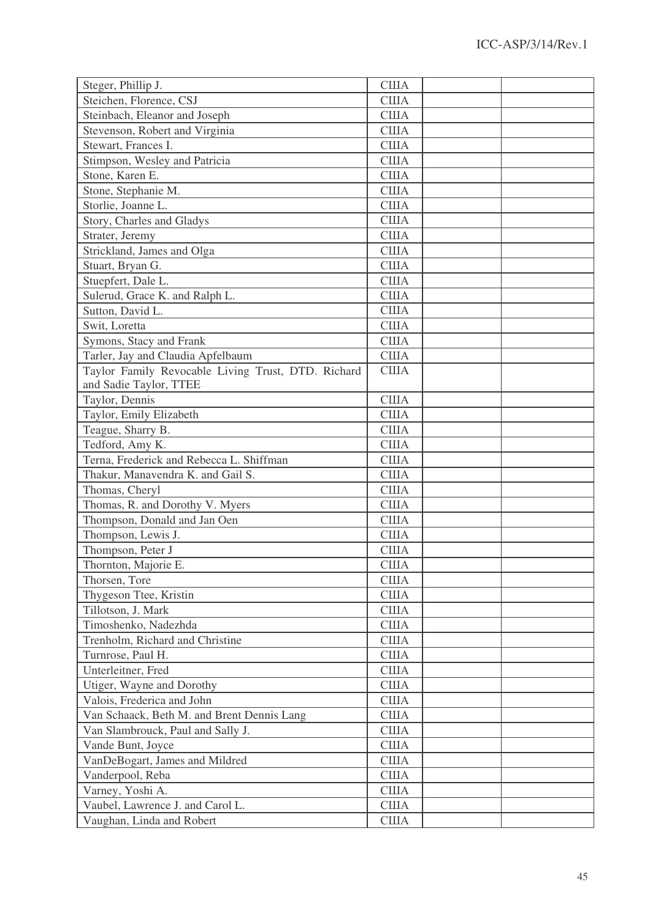| Steger, Phillip J.                                 | <b>США</b>   |  |
|----------------------------------------------------|--------------|--|
| Steichen, Florence, CSJ                            | <b>CIIIA</b> |  |
| Steinbach, Eleanor and Joseph                      | <b>CIIIA</b> |  |
| Stevenson, Robert and Virginia                     | <b>США</b>   |  |
| Stewart, Frances I.                                | <b>США</b>   |  |
| Stimpson, Wesley and Patricia                      | <b>CIIIA</b> |  |
| Stone, Karen E.                                    | <b>США</b>   |  |
| Stone, Stephanie M.                                | <b>США</b>   |  |
| Storlie, Joanne L.                                 | <b>CIIIA</b> |  |
| Story, Charles and Gladys                          | <b>CIIIA</b> |  |
| Strater, Jeremy                                    | <b>США</b>   |  |
| Strickland, James and Olga                         | <b>США</b>   |  |
| Stuart, Bryan G.                                   | <b>CIIIA</b> |  |
| Stuepfert, Dale L.                                 | <b>США</b>   |  |
| Sulerud, Grace K. and Ralph L.                     | <b>США</b>   |  |
| Sutton, David L.                                   | <b>CIIIA</b> |  |
| Swit, Loretta                                      | <b>США</b>   |  |
| Symons, Stacy and Frank                            | <b>США</b>   |  |
| Tarler, Jay and Claudia Apfelbaum                  | <b>CIIIA</b> |  |
| Taylor Family Revocable Living Trust, DTD. Richard | <b>США</b>   |  |
| and Sadie Taylor, TTEE                             |              |  |
| Taylor, Dennis                                     | <b>США</b>   |  |
| Taylor, Emily Elizabeth                            | <b>CIIIA</b> |  |
| Teague, Sharry B.                                  | <b>CIIIA</b> |  |
| Tedford, Amy K.                                    | <b>США</b>   |  |
| Terna, Frederick and Rebecca L. Shiffman           | <b>США</b>   |  |
| Thakur, Manavendra K. and Gail S.                  | <b>CIIIA</b> |  |
| Thomas, Cheryl                                     | <b>США</b>   |  |
| Thomas, R. and Dorothy V. Myers                    | <b>США</b>   |  |
| Thompson, Donald and Jan Oen                       | <b>США</b>   |  |
| Thompson, Lewis J.                                 | <b>CIIIA</b> |  |
| Thompson, Peter J                                  | <b>США</b>   |  |
| Thornton, Majorie E.                               | США          |  |
| Thorsen, Tore                                      | <b>CIIIA</b> |  |
| Thygeson Ttee, Kristin                             | <b>CIIIA</b> |  |
| Tillotson, J. Mark                                 | <b>CIIIA</b> |  |
| Timoshenko, Nadezhda                               | <b>CIIIA</b> |  |
| Trenholm, Richard and Christine                    | <b>CIIIA</b> |  |
| Turnrose, Paul H.                                  | <b>CIIIA</b> |  |
| Unterleitner, Fred                                 | <b>CIIIA</b> |  |
| Utiger, Wayne and Dorothy                          | <b>CIIIA</b> |  |
| Valois, Frederica and John                         | <b>CIIIA</b> |  |
| Van Schaack, Beth M. and Brent Dennis Lang         | <b>CIIIA</b> |  |
| Van Slambrouck, Paul and Sally J.                  | <b>CIIIA</b> |  |
| Vande Bunt, Joyce                                  | <b>CIIIA</b> |  |
| VanDeBogart, James and Mildred                     | <b>CIIIA</b> |  |
| Vanderpool, Reba                                   | <b>CIIIA</b> |  |
| Varney, Yoshi A.                                   | <b>CIIIA</b> |  |
| Vaubel, Lawrence J. and Carol L.                   | <b>CIIIA</b> |  |
| Vaughan, Linda and Robert                          | <b>CIIIA</b> |  |
|                                                    |              |  |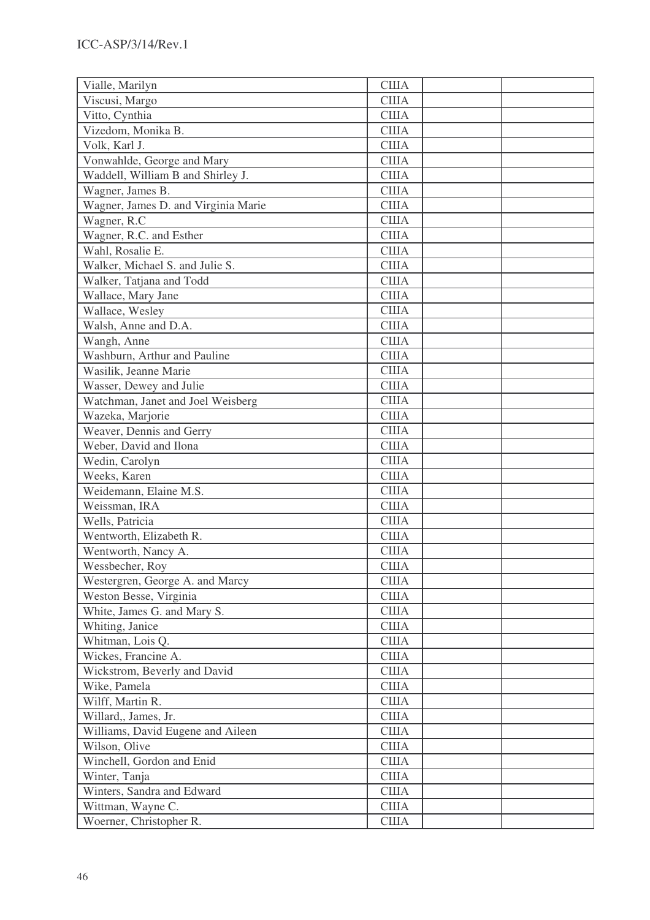| Vialle, Marilyn                     | <b>CIIIA</b> |
|-------------------------------------|--------------|
| Viscusi, Margo                      | <b>США</b>   |
| Vitto, Cynthia                      | <b>США</b>   |
| Vizedom, Monika B.                  | <b>США</b>   |
| Volk, Karl J.                       | <b>США</b>   |
| Vonwahlde, George and Mary          | <b>CIIIA</b> |
| Waddell, William B and Shirley J.   | <b>США</b>   |
| Wagner, James B.                    | <b>США</b>   |
| Wagner, James D. and Virginia Marie | <b>США</b>   |
| Wagner, R.C                         | <b>США</b>   |
| Wagner, R.C. and Esther             | <b>США</b>   |
| Wahl, Rosalie E.                    | <b>CIIIA</b> |
| Walker, Michael S. and Julie S.     | <b>CIIIA</b> |
| Walker, Tatjana and Todd            | <b>США</b>   |
| Wallace, Mary Jane                  | <b>США</b>   |
| Wallace, Wesley                     | <b>CIIIA</b> |
| Walsh, Anne and D.A.                | <b>США</b>   |
| Wangh, Anne                         | <b>США</b>   |
| Washburn, Arthur and Pauline        | <b>CIIIA</b> |
| Wasilik, Jeanne Marie               | <b>США</b>   |
| Wasser, Dewey and Julie             | <b>CIIIA</b> |
| Watchman, Janet and Joel Weisberg   | <b>США</b>   |
| Wazeka, Marjorie                    | <b>CIIIA</b> |
| Weaver, Dennis and Gerry            | <b>США</b>   |
| Weber, David and Ilona              | <b>США</b>   |
| Wedin, Carolyn                      | <b>США</b>   |
| Weeks, Karen                        | <b>CIIIA</b> |
| Weidemann, Elaine M.S.              | <b>CIIIA</b> |
| Weissman, IRA                       | <b>CIIIA</b> |
| Wells, Patricia                     | <b>CIIIA</b> |
| Wentworth, Elizabeth R.             | <b>США</b>   |
| Wentworth, Nancy A.                 | США          |
| Wessbecher, Roy                     | <b>США</b>   |
| Westergren, George A. and Marcy     | <b>CIIIA</b> |
| Weston Besse, Virginia              | <b>CIIIA</b> |
| White, James G. and Mary S.         | <b>CIIIA</b> |
| Whiting, Janice                     | США          |
| Whitman, Lois Q.                    | <b>CIIIA</b> |
| Wickes, Francine A.                 | <b>CIIIA</b> |
| Wickstrom, Beverly and David        | <b>CIIIA</b> |
| Wike, Pamela                        | <b>CIIIA</b> |
| Wilff, Martin R.                    | <b>США</b>   |
| Willard,, James, Jr.                | <b>CIIIA</b> |
| Williams, David Eugene and Aileen   | <b>CIIIA</b> |
| Wilson, Olive                       | <b>CIIIA</b> |
| Winchell, Gordon and Enid           | <b>CIIIA</b> |
| Winter, Tanja                       | <b>CIIIA</b> |
| Winters, Sandra and Edward          | <b>CIIIA</b> |
| Wittman, Wayne C.                   | <b>CIIIA</b> |
| Woerner, Christopher R.             | <b>CIIIA</b> |
|                                     |              |